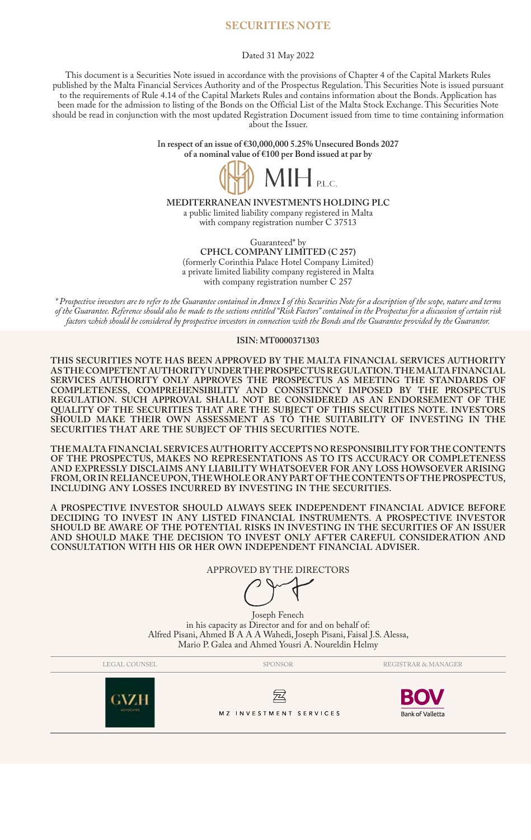## **SECURITIES NOTE**

#### Dated 31 May 2022

This document is a Securities Note issued in accordance with the provisions of Chapter 4 of the Capital Markets Rules published by the Malta Financial Services Authority and of the Prospectus Regulation. This Securities Note is issued pursuant to the requirements of Rule 4.14 of the Capital Markets Rules and contains information about the Bonds. Application has been made for the admission to listing of the Bonds on the Official List of the Malta Stock Exchange. This Securities Note should be read in conjunction with the most updated Registration Document issued from time to time containing information about the Issuer.

> I**n respect of an issue of €30,000,000 5.25% Unsecured Bonds 2027 of a nominal value of €100 per Bond issued at par by**



**MEDITERRANEAN INVESTMENTS HOLDING PLC** a public limited liability company registered in Malta with company registration number C 37513

Guaranteed\* by **CPHCL COMPANY LIMITED (C 257)** (formerly Corinthia Palace Hotel Company Limited) a private limited liability company registered in Malta with company registration number C 257

*\* Prospective investors are to refer to the Guarantee contained in Annex I of this Securities Note for a description of the scope, nature and terms of the Guarantee. Reference should also be made to the sections entitled "Risk Factors" contained in the Prospectus for a discussion of certain risk factors which should be considered by prospective investors in connection with the Bonds and the Guarantee provided by the Guarantor.*

#### **ISIN: MT0000371303**

**THIS SECURITIES NOTE HAS BEEN APPROVED BY THE MALTA FINANCIAL SERVICES AUTHORITY AS THE COMPETENT AUTHORITY UNDER THE PROSPECTUS REGULATION. THE MALTA FINANCIAL SERVICES AUTHORITY ONLY APPROVES THE PROSPECTUS AS MEETING THE STANDARDS OF COMPLETENESS, COMPREHENSIBILITY AND CONSISTENCY IMPOSED BY THE PROSPECTUS REGULATION. SUCH APPROVAL SHALL NOT BE CONSIDERED AS AN ENDORSEMENT OF THE QUALITY OF THE SECURITIES THAT ARE THE SUBJECT OF THIS SECURITIES NOTE. INVESTORS SHOULD MAKE THEIR OWN ASSESSMENT AS TO THE SUITABILITY OF INVESTING IN THE SECURITIES THAT ARE THE SUBJECT OF THIS SECURITIES NOTE.**

**THE MALTA FINANCIAL SERVICES AUTHORITY ACCEPTS NO RESPONSIBILITY FOR THE CONTENTS OF THE PROSPECTUS, MAKES NO REPRESENTATIONS AS TO ITS ACCURACY OR COMPLETENESS AND EXPRESSLY DISCLAIMS ANY LIABILITY WHATSOEVER FOR ANY LOSS HOWSOEVER ARISING FROM, OR IN RELIANCE UPON, THE WHOLE OR ANY PART OF THE CONTENTS OF THE PROSPECTUS, INCLUDING ANY LOSSES INCURRED BY INVESTING IN THE SECURITIES.** 

**A PROSPECTIVE INVESTOR SHOULD ALWAYS SEEK INDEPENDENT FINANCIAL ADVICE BEFORE DECIDING TO INVEST IN ANY LISTED FINANCIAL INSTRUMENTS. A PROSPECTIVE INVESTOR SHOULD BE AWARE OF THE POTENTIAL RISKS IN INVESTING IN THE SECURITIES OF AN ISSUER AND SHOULD MAKE THE DECISION TO INVEST ONLY AFTER CAREFUL CONSIDERATION AND CONSULTATION WITH HIS OR HER OWN INDEPENDENT FINANCIAL ADVISER.** 

APPROVED BY THE DIRECTORS

Joseph Fenech in his capacity as Director and for and on behalf of: Alfred Pisani, Ahmed B A A A Wahedi, Joseph Pisani, Faisal J.S. Alessa, Mario P. Galea and Ahmed Yousri A. Noureldin Helmy

LEGAL COUNSEL SPONSOR REGISTRAR & MANAGER $\overleftrightarrow{\mathbb{Z}}$ MZ INVESTMENT SERVICES **Bank of Valletta**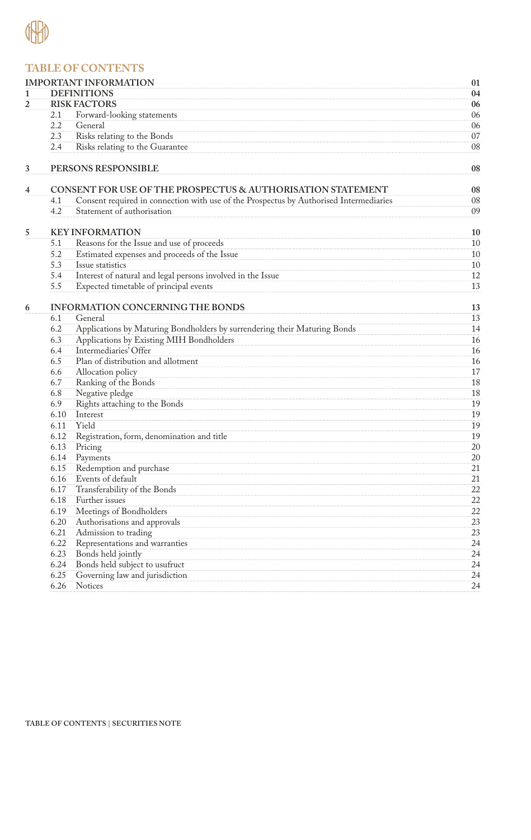

## **TABLE OF CONTENTS**

|                | <b>IMPORTANT INFORMATION</b>                                                                  | 01       |
|----------------|-----------------------------------------------------------------------------------------------|----------|
| 1              | <b>DEFINITIONS</b>                                                                            | 04       |
| $\overline{2}$ | <b>RISK FACTORS</b>                                                                           | 06       |
|                | Forward-looking statements<br>2.1                                                             | 06       |
|                | 2.2<br>General                                                                                | 06       |
|                | 2.3<br>Risks relating to the Bonds                                                            | 07       |
|                | 2.4<br>Risks relating to the Guarantee                                                        | 08       |
| 3              | PERSONS RESPONSIBLE                                                                           | 08       |
| 4              | <b>CONSENT FOR USE OF THE PROSPECTUS &amp; AUTHORISATION STATEMENT</b>                        | 08       |
|                | Consent required in connection with use of the Prospectus by Authorised Intermediaries<br>4.1 | 08       |
|                | 4.2<br>Statement of authorisation                                                             | 09       |
| 5              | <b>KEY INFORMATION</b>                                                                        | 10       |
|                | Reasons for the Issue and use of proceeds<br>5.1                                              | 10       |
|                | 5.2<br>Estimated expenses and proceeds of the Issue                                           | 10       |
|                | 5.3<br>Issue statistics                                                                       | 10       |
|                | 5.4<br>Interest of natural and legal persons involved in the Issue                            | 12       |
|                | 5.5<br>Expected timetable of principal events                                                 | 13       |
|                |                                                                                               |          |
| 6              | <b>INFORMATION CONCERNING THE BONDS</b><br>General<br>6.1                                     | 13<br>13 |
|                | 6.2<br>Applications by Maturing Bondholders by surrendering their Maturing Bonds              | 14       |
|                | Applications by Existing MIH Bondholders<br>6.3                                               | 16       |
|                | Intermediaries' Offer<br>6.4                                                                  | 16       |
|                | Plan of distribution and allotment<br>6.5                                                     | 16       |
|                | Allocation policy<br>6.6                                                                      | 17       |
|                | 6.7<br>Ranking of the Bonds                                                                   | 18       |
|                | Negative pledge<br>6.8                                                                        | 18       |
|                | Rights attaching to the Bonds<br>6.9                                                          | 19       |
|                | Interest<br>6.10                                                                              | 19       |
|                | Yield<br>6.11                                                                                 | 19       |
|                | 6.12<br>Registration, form, denomination and title                                            | 19       |
|                | 6.13<br>Pricing                                                                               | 20       |
|                | 6.14<br>Payments                                                                              | 20       |
|                | 6.15<br>Redemption and purchase                                                               | 21       |
|                | 6.16<br>Events of default                                                                     | 21       |
|                | 6.17<br>Transferability of the Bonds                                                          | 22       |
|                | 6.18<br>Further issues                                                                        | 22       |
|                | Meetings of Bondholders<br>6.19                                                               | 22       |
|                | 6.20<br>Authorisations and approvals                                                          | 23       |
|                | 6.21<br>Admission to trading                                                                  | 23       |
|                | 6.22<br>Representations and warranties                                                        | 24       |
|                | 6.23<br>Bonds held jointly                                                                    | 24       |
|                | 6.24<br>Bonds held subject to usufruct                                                        | 24       |
|                | 6.25<br>Governing law and jurisdiction                                                        | 24       |
|                | 6.26<br><b>Notices</b>                                                                        | 24       |
|                |                                                                                               |          |

**TABLE OF CONTENTS** | **SECURITIES NOTE**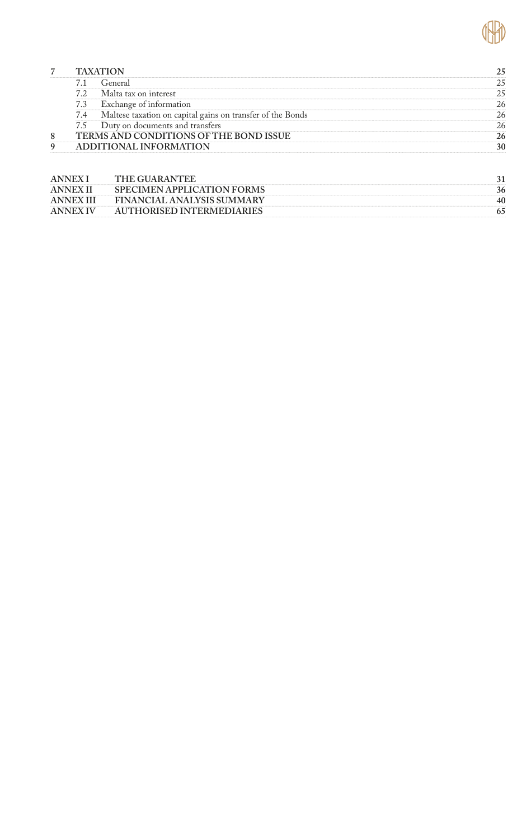

|   |                                        | <b>TAXATION</b>                                            |    |
|---|----------------------------------------|------------------------------------------------------------|----|
|   |                                        | General                                                    | 25 |
|   | 7.2                                    | Malta tax on interest                                      | 25 |
|   | 7.3                                    | Exchange of information                                    | 26 |
|   | 7.4                                    | Maltese taxation on capital gains on transfer of the Bonds | 26 |
|   |                                        | 7.5 Duty on documents and transfers                        | 26 |
| 8 | TERMS AND CONDITIONS OF THE BOND ISSUE |                                                            | 26 |
| 9 |                                        | ADDITIONAL INFORMATION                                     | 30 |
|   |                                        |                                                            |    |

| <b>ANNEX I</b>   | THE GUARANTEE                     |    |
|------------------|-----------------------------------|----|
| <b>ANNEX II</b>  | <b>SPECIMEN APPLICATION FORMS</b> |    |
| <b>ANNEX III</b> | <b>FINANCIAL ANALYSIS SUMMARY</b> | 40 |
| <b>ANNEX IV</b>  | AUTHORISED INTERMEDIARIES         |    |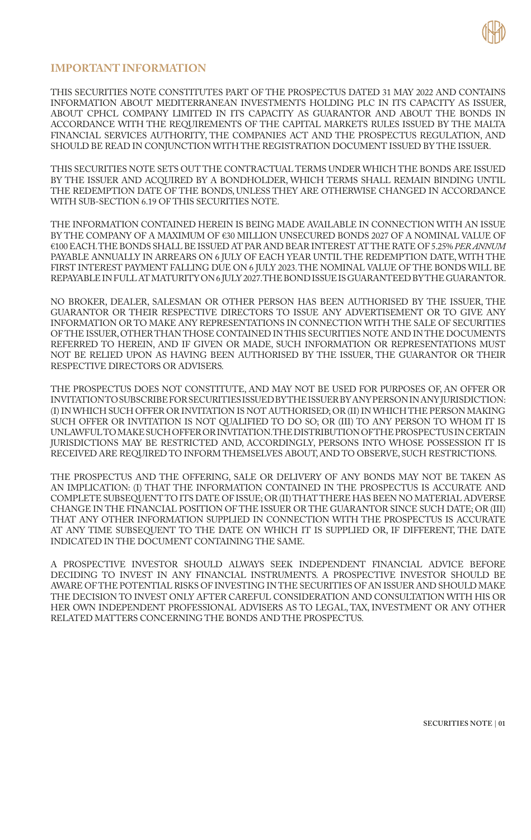

### **IMPORTANT INFORMATION**

THIS SECURITIES NOTE CONSTITUTES PART OF THE PROSPECTUS DATED 31 MAY 2022 AND CONTAINS INFORMATION ABOUT MEDITERRANEAN INVESTMENTS HOLDING PLC IN ITS CAPACITY AS ISSUER, ABOUT CPHCL COMPANY LIMITED IN ITS CAPACITY AS GUARANTOR AND ABOUT THE BONDS IN ACCORDANCE WITH THE REQUIREMENTS OF THE CAPITAL MARKETS RULES ISSUED BY THE MALTA FINANCIAL SERVICES AUTHORITY, THE COMPANIES ACT AND THE PROSPECTUS REGULATION, AND SHOULD BE READ IN CONJUNCTION WITH THE REGISTRATION DOCUMENT ISSUED BY THE ISSUER.

THIS SECURITIES NOTE SETS OUT THE CONTRACTUAL TERMS UNDER WHICH THE BONDS ARE ISSUED BY THE ISSUER AND ACQUIRED BY A BONDHOLDER, WHICH TERMS SHALL REMAIN BINDING UNTIL THE REDEMPTION DATE OF THE BONDS, UNLESS THEY ARE OTHERWISE CHANGED IN ACCORDANCE WITH SUB-SECTION 6.19 OF THIS SECURITIES NOTE.

THE INFORMATION CONTAINED HEREIN IS BEING MADE AVAILABLE IN CONNECTION WITH AN ISSUE BY THE COMPANY OF A MAXIMUM OF €30 MILLION UNSECURED BONDS 2027 OF A NOMINAL VALUE OF €100 EACH. THE BONDS SHALL BE ISSUED AT PAR AND BEAR INTEREST AT THE RATE OF 5.25% *PER ANNUM* PAYABLE ANNUALLY IN ARREARS ON 6 JULY OF EACH YEAR UNTIL THE REDEMPTION DATE, WITH THE FIRST INTEREST PAYMENT FALLING DUE ON 6 JULY 2023. THE NOMINAL VALUE OF THE BONDS WILL BE REPAYABLE IN FULL AT MATURITY ON 6 JULY 2027. THE BOND ISSUE IS GUARANTEED BY THE GUARANTOR.

NO BROKER, DEALER, SALESMAN OR OTHER PERSON HAS BEEN AUTHORISED BY THE ISSUER, THE GUARANTOR OR THEIR RESPECTIVE DIRECTORS TO ISSUE ANY ADVERTISEMENT OR TO GIVE ANY INFORMATION OR TO MAKE ANY REPRESENTATIONS IN CONNECTION WITH THE SALE OF SECURITIES OF THE ISSUER, OTHER THAN THOSE CONTAINED IN THIS SECURITIES NOTE AND IN THE DOCUMENTS REFERRED TO HEREIN, AND IF GIVEN OR MADE, SUCH INFORMATION OR REPRESENTATIONS MUST NOT BE RELIED UPON AS HAVING BEEN AUTHORISED BY THE ISSUER, THE GUARANTOR OR THEIR RESPECTIVE DIRECTORS OR ADVISERS.

THE PROSPECTUS DOES NOT CONSTITUTE, AND MAY NOT BE USED FOR PURPOSES OF, AN OFFER OR INVITATION TO SUBSCRIBE FOR SECURITIES ISSUED BY THE ISSUER BY ANY PERSON IN ANY JURISDICTION: (I) IN WHICH SUCH OFFER OR INVITATION IS NOT AUTHORISED; OR (II) IN WHICH THE PERSON MAKING SUCH OFFER OR INVITATION IS NOT QUALIFIED TO DO SO; OR (III) TO ANY PERSON TO WHOM IT IS UNLAWFUL TO MAKE SUCH OFFER OR INVITATION. THE DISTRIBUTION OF THE PROSPECTUS IN CERTAIN JURISDICTIONS MAY BE RESTRICTED AND, ACCORDINGLY, PERSONS INTO WHOSE POSSESSION IT IS RECEIVED ARE REQUIRED TO INFORM THEMSELVES ABOUT, AND TO OBSERVE, SUCH RESTRICTIONS.

THE PROSPECTUS AND THE OFFERING, SALE OR DELIVERY OF ANY BONDS MAY NOT BE TAKEN AS AN IMPLICATION: (I) THAT THE INFORMATION CONTAINED IN THE PROSPECTUS IS ACCURATE AND COMPLETE SUBSEQUENT TO ITS DATE OF ISSUE; OR (II) THAT THERE HAS BEEN NO MATERIAL ADVERSE CHANGE IN THE FINANCIAL POSITION OF THE ISSUER OR THE GUARANTOR SINCE SUCH DATE; OR (III) THAT ANY OTHER INFORMATION SUPPLIED IN CONNECTION WITH THE PROSPECTUS IS ACCURATE AT ANY TIME SUBSEQUENT TO THE DATE ON WHICH IT IS SUPPLIED OR, IF DIFFERENT, THE DATE INDICATED IN THE DOCUMENT CONTAINING THE SAME.

A PROSPECTIVE INVESTOR SHOULD ALWAYS SEEK INDEPENDENT FINANCIAL ADVICE BEFORE DECIDING TO INVEST IN ANY FINANCIAL INSTRUMENTS. A PROSPECTIVE INVESTOR SHOULD BE AWARE OF THE POTENTIAL RISKS OF INVESTING IN THE SECURITIES OF AN ISSUER AND SHOULD MAKE THE DECISION TO INVEST ONLY AFTER CAREFUL CONSIDERATION AND CONSULTATION WITH HIS OR HER OWN INDEPENDENT PROFESSIONAL ADVISERS AS TO LEGAL, TAX, INVESTMENT OR ANY OTHER RELATED MATTERS CONCERNING THE BONDS AND THE PROSPECTUS.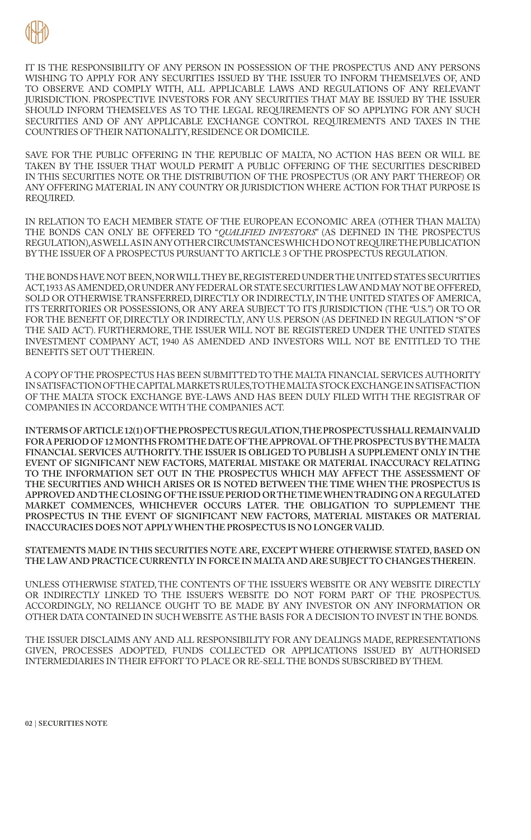

IT IS THE RESPONSIBILITY OF ANY PERSON IN POSSESSION OF THE PROSPECTUS AND ANY PERSONS WISHING TO APPLY FOR ANY SECURITIES ISSUED BY THE ISSUER TO INFORM THEMSELVES OF, AND TO OBSERVE AND COMPLY WITH, ALL APPLICABLE LAWS AND REGULATIONS OF ANY RELEVANT JURISDICTION. PROSPECTIVE INVESTORS FOR ANY SECURITIES THAT MAY BE ISSUED BY THE ISSUER SHOULD INFORM THEMSELVES AS TO THE LEGAL REQUIREMENTS OF SO APPLYING FOR ANY SUCH SECURITIES AND OF ANY APPLICABLE EXCHANGE CONTROL REQUIREMENTS AND TAXES IN THE COUNTRIES OF THEIR NATIONALITY, RESIDENCE OR DOMICILE.

SAVE FOR THE PUBLIC OFFERING IN THE REPUBLIC OF MALTA, NO ACTION HAS BEEN OR WILL BE TAKEN BY THE ISSUER THAT WOULD PERMIT A PUBLIC OFFERING OF THE SECURITIES DESCRIBED IN THIS SECURITIES NOTE OR THE DISTRIBUTION OF THE PROSPECTUS (OR ANY PART THEREOF) OR ANY OFFERING MATERIAL IN ANY COUNTRY OR JURISDICTION WHERE ACTION FOR THAT PURPOSE IS REQUIRED.

IN RELATION TO EACH MEMBER STATE OF THE EUROPEAN ECONOMIC AREA (OTHER THAN MALTA) THE BONDS CAN ONLY BE OFFERED TO "*QUALIFIED INVESTORS*" (AS DEFINED IN THE PROSPECTUS REGULATION), AS WELL AS IN ANY OTHER CIRCUMSTANCES WHICH DO NOT REQUIRE THE PUBLICATION BY THE ISSUER OF A PROSPECTUS PURSUANT TO ARTICLE 3 OF THE PROSPECTUS REGULATION.

THE BONDS HAVE NOT BEEN, NOR WILL THEY BE, REGISTERED UNDER THE UNITED STATES SECURITIES ACT, 1933 AS AMENDED, OR UNDER ANY FEDERAL OR STATE SECURITIES LAW AND MAY NOT BE OFFERED, SOLD OR OTHERWISE TRANSFERRED, DIRECTLY OR INDIRECTLY, IN THE UNITED STATES OF AMERICA, ITS TERRITORIES OR POSSESSIONS, OR ANY AREA SUBJECT TO ITS JURISDICTION (THE "U.S.") OR TO OR FOR THE BENEFIT OF, DIRECTLY OR INDIRECTLY, ANY U.S. PERSON (AS DEFINED IN REGULATION "S" OF THE SAID ACT). FURTHERMORE, THE ISSUER WILL NOT BE REGISTERED UNDER THE UNITED STATES INVESTMENT COMPANY ACT, 1940 AS AMENDED AND INVESTORS WILL NOT BE ENTITLED TO THE BENEFITS SET OUT THEREIN.

A COPY OF THE PROSPECTUS HAS BEEN SUBMITTED TO THE MALTA FINANCIAL SERVICES AUTHORITY IN SATISFACTION OF THE CAPITAL MARKETS RULES, TO THE MALTA STOCK EXCHANGE IN SATISFACTION OF THE MALTA STOCK EXCHANGE BYE-LAWS AND HAS BEEN DULY FILED WITH THE REGISTRAR OF COMPANIES IN ACCORDANCE WITH THE COMPANIES ACT.

**IN TERMS OF ARTICLE 12(1) OF THE PROSPECTUS REGULATION, THE PROSPECTUS SHALL REMAIN VALID FOR A PERIOD OF 12 MONTHS FROM THE DATE OF THE APPROVAL OF THE PROSPECTUS BY THE MALTA FINANCIAL SERVICES AUTHORITY. THE ISSUER IS OBLIGED TO PUBLISH A SUPPLEMENT ONLY IN THE EVENT OF SIGNIFICANT NEW FACTORS, MATERIAL MISTAKE OR MATERIAL INACCURACY RELATING TO THE INFORMATION SET OUT IN THE PROSPECTUS WHICH MAY AFFECT THE ASSESSMENT OF THE SECURITIES AND WHICH ARISES OR IS NOTED BETWEEN THE TIME WHEN THE PROSPECTUS IS APPROVED AND THE CLOSING OF THE ISSUE PERIOD OR THE TIME WHEN TRADING ON A REGULATED MARKET COMMENCES, WHICHEVER OCCURS LATER. THE OBLIGATION TO SUPPLEMENT THE PROSPECTUS IN THE EVENT OF SIGNIFICANT NEW FACTORS, MATERIAL MISTAKES OR MATERIAL INACCURACIES DOES NOT APPLY WHEN THE PROSPECTUS IS NO LONGER VALID.**

**STATEMENTS MADE IN THIS SECURITIES NOTE ARE, EXCEPT WHERE OTHERWISE STATED, BASED ON THE LAW AND PRACTICE CURRENTLY IN FORCE IN MALTA AND ARE SUBJECT TO CHANGES THEREIN.**

UNLESS OTHERWISE STATED, THE CONTENTS OF THE ISSUER'S WEBSITE OR ANY WEBSITE DIRECTLY OR INDIRECTLY LINKED TO THE ISSUER'S WEBSITE DO NOT FORM PART OF THE PROSPECTUS. ACCORDINGLY, NO RELIANCE OUGHT TO BE MADE BY ANY INVESTOR ON ANY INFORMATION OR OTHER DATA CONTAINED IN SUCH WEBSITE AS THE BASIS FOR A DECISION TO INVEST IN THE BONDS.

THE ISSUER DISCLAIMS ANY AND ALL RESPONSIBILITY FOR ANY DEALINGS MADE, REPRESENTATIONS GIVEN, PROCESSES ADOPTED, FUNDS COLLECTED OR APPLICATIONS ISSUED BY AUTHORISED INTERMEDIARIES IN THEIR EFFORT TO PLACE OR RE-SELL THE BONDS SUBSCRIBED BY THEM.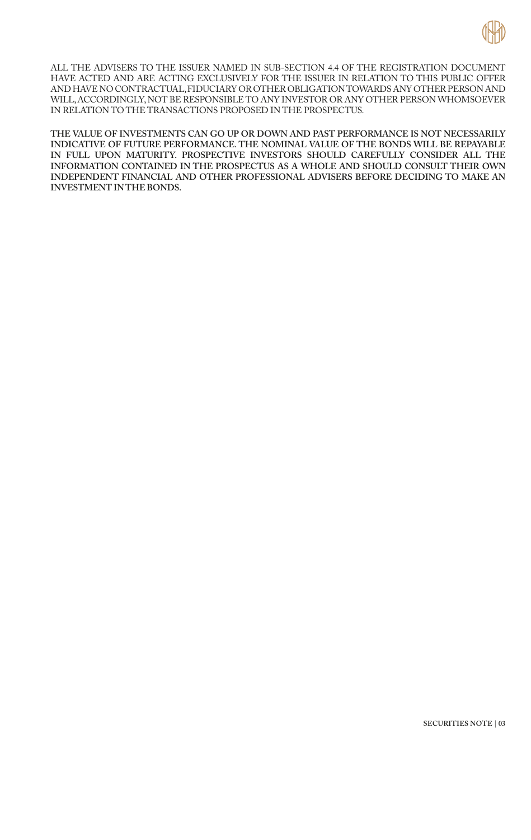

ALL THE ADVISERS TO THE ISSUER NAMED IN SUB-SECTION 4.4 OF THE REGISTRATION DOCUMENT HAVE ACTED AND ARE ACTING EXCLUSIVELY FOR THE ISSUER IN RELATION TO THIS PUBLIC OFFER AND HAVE NO CONTRACTUAL, FIDUCIARY OR OTHER OBLIGATION TOWARDS ANY OTHER PERSON AND WILL, ACCORDINGLY, NOT BE RESPONSIBLE TO ANY INVESTOR OR ANY OTHER PERSON WHOMSOEVER IN RELATION TO THE TRANSACTIONS PROPOSED IN THE PROSPECTUS.

**THE VALUE OF INVESTMENTS CAN GO UP OR DOWN AND PAST PERFORMANCE IS NOT NECESSARILY INDICATIVE OF FUTURE PERFORMANCE. THE NOMINAL VALUE OF THE BONDS WILL BE REPAYABLE IN FULL UPON MATURITY. PROSPECTIVE INVESTORS SHOULD CAREFULLY CONSIDER ALL THE INFORMATION CONTAINED IN THE PROSPECTUS AS A WHOLE AND SHOULD CONSULT THEIR OWN INDEPENDENT FINANCIAL AND OTHER PROFESSIONAL ADVISERS BEFORE DECIDING TO MAKE AN INVESTMENT IN THE BONDS.**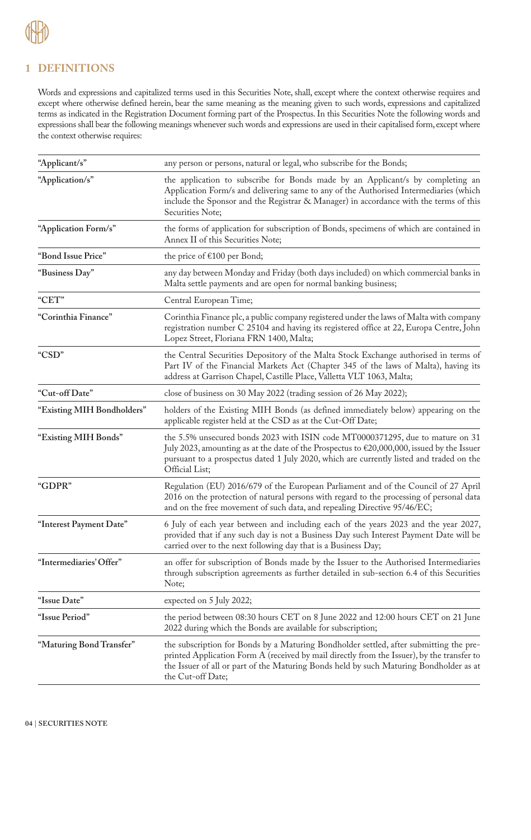

## **1 DEFINITIONS**

Words and expressions and capitalized terms used in this Securities Note, shall, except where the context otherwise requires and except where otherwise defined herein, bear the same meaning as the meaning given to such words, expressions and capitalized terms as indicated in the Registration Document forming part of the Prospectus. In this Securities Note the following words and expressions shall bear the following meanings whenever such words and expressions are used in their capitalised form, except where the context otherwise requires:

| "Applicant/s"              | any person or persons, natural or legal, who subscribe for the Bonds;                                                                                                                                                                                                                               |
|----------------------------|-----------------------------------------------------------------------------------------------------------------------------------------------------------------------------------------------------------------------------------------------------------------------------------------------------|
| "Application/s"            | the application to subscribe for Bonds made by an Applicant/s by completing an<br>Application Form/s and delivering same to any of the Authorised Intermediaries (which<br>include the Sponsor and the Registrar & Manager) in accordance with the terms of this<br>Securities Note;                |
| "Application Form/s"       | the forms of application for subscription of Bonds, specimens of which are contained in<br>Annex II of this Securities Note;                                                                                                                                                                        |
| "Bond Issue Price"         | the price of $€100$ per Bond;                                                                                                                                                                                                                                                                       |
| "Business Day"             | any day between Monday and Friday (both days included) on which commercial banks in<br>Malta settle payments and are open for normal banking business;                                                                                                                                              |
| "CET"                      | Central European Time;                                                                                                                                                                                                                                                                              |
| "Corinthia Finance"        | Corinthia Finance plc, a public company registered under the laws of Malta with company<br>registration number C 25104 and having its registered office at 22, Europa Centre, John<br>Lopez Street, Floriana FRN 1400, Malta;                                                                       |
| "CSD"                      | the Central Securities Depository of the Malta Stock Exchange authorised in terms of<br>Part IV of the Financial Markets Act (Chapter 345 of the laws of Malta), having its<br>address at Garrison Chapel, Castille Place, Valletta VLT 1063, Malta;                                                |
| "Cut-off Date"             | close of business on 30 May 2022 (trading session of 26 May 2022);                                                                                                                                                                                                                                  |
| "Existing MIH Bondholders" | holders of the Existing MIH Bonds (as defined immediately below) appearing on the<br>applicable register held at the CSD as at the Cut-Off Date;                                                                                                                                                    |
| "Existing MIH Bonds"       | the 5.5% unsecured bonds 2023 with ISIN code MT0000371295, due to mature on 31<br>July 2023, amounting as at the date of the Prospectus to €20,000,000, issued by the Issuer<br>pursuant to a prospectus dated 1 July 2020, which are currently listed and traded on the<br>Official List;          |
| "GDPR"                     | Regulation (EU) 2016/679 of the European Parliament and of the Council of 27 April<br>2016 on the protection of natural persons with regard to the processing of personal data<br>and on the free movement of such data, and repealing Directive 95/46/EC;                                          |
| "Interest Payment Date"    | 6 July of each year between and including each of the years 2023 and the year 2027,<br>provided that if any such day is not a Business Day such Interest Payment Date will be<br>carried over to the next following day that is a Business Day;                                                     |
| "Intermediaries' Offer"    | an offer for subscription of Bonds made by the Issuer to the Authorised Intermediaries<br>through subscription agreements as further detailed in sub-section 6.4 of this Securities<br>Note;                                                                                                        |
| "Issue Date"               | expected on 5 July 2022;                                                                                                                                                                                                                                                                            |
| "Issue Period"             | the period between 08:30 hours CET on 8 June 2022 and 12:00 hours CET on 21 June<br>2022 during which the Bonds are available for subscription;                                                                                                                                                     |
| "Maturing Bond Transfer"   | the subscription for Bonds by a Maturing Bondholder settled, after submitting the pre-<br>printed Application Form A (received by mail directly from the Issuer), by the transfer to<br>the Issuer of all or part of the Maturing Bonds held by such Maturing Bondholder as at<br>the Cut-off Date; |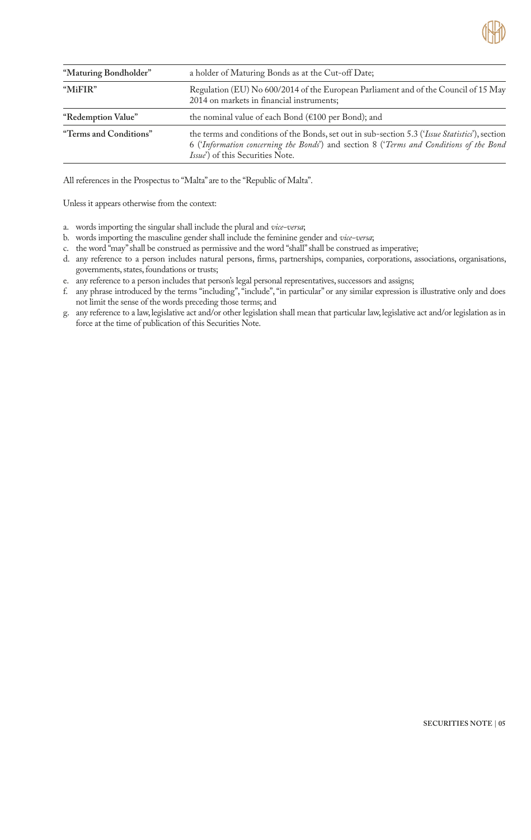

| "Maturing Bondholder"  | a holder of Maturing Bonds as at the Cut-off Date;                                                                                                                                                                                     |
|------------------------|----------------------------------------------------------------------------------------------------------------------------------------------------------------------------------------------------------------------------------------|
| "MiFIR"                | Regulation (EU) No 600/2014 of the European Parliament and of the Council of 15 May<br>2014 on markets in financial instruments;                                                                                                       |
| "Redemption Value"     | the nominal value of each Bond ( $\epsilon$ 100 per Bond); and                                                                                                                                                                         |
| "Terms and Conditions" | the terms and conditions of the Bonds, set out in sub-section 5.3 ( <i>Issue Statistics</i> '), section<br>6 ('Information concerning the Bonds') and section 8 ('Terms and Conditions of the Bond<br>Issue') of this Securities Note. |

All references in the Prospectus to "Malta" are to the "Republic of Malta".

Unless it appears otherwise from the context:

- a. words importing the singular shall include the plural and *vice-versa*;
- b. words importing the masculine gender shall include the feminine gender and *vice-versa*;
- c. the word "may" shall be construed as permissive and the word "shall" shall be construed as imperative;
- d. any reference to a person includes natural persons, firms, partnerships, companies, corporations, associations, organisations, governments, states, foundations or trusts;
- e. any reference to a person includes that person's legal personal representatives, successors and assigns;
- f. any phrase introduced by the terms "including", "include", "in particular" or any similar expression is illustrative only and does not limit the sense of the words preceding those terms; and
- g. any reference to a law, legislative act and/or other legislation shall mean that particular law, legislative act and/or legislation as in force at the time of publication of this Securities Note.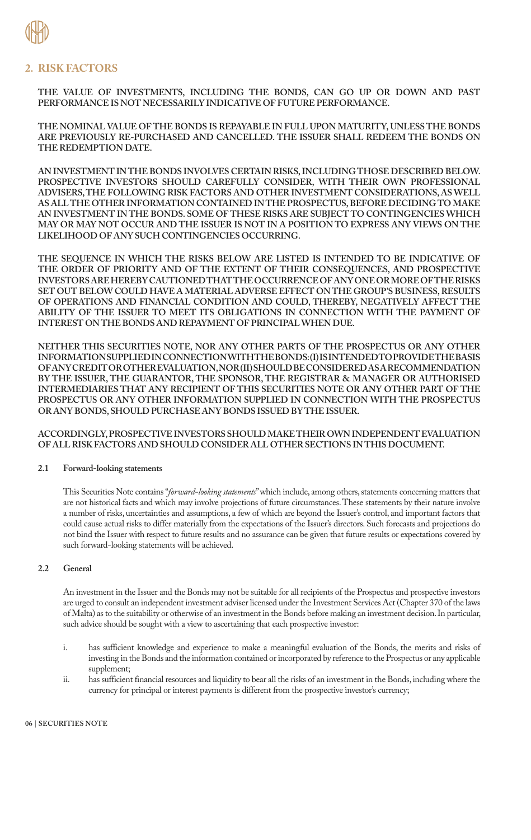

## **2. RISK FACTORS**

**THE VALUE OF INVESTMENTS, INCLUDING THE BONDS, CAN GO UP OR DOWN AND PAST PERFORMANCE IS NOT NECESSARILY INDICATIVE OF FUTURE PERFORMANCE.** 

**THE NOMINAL VALUE OF THE BONDS IS REPAYABLE IN FULL UPON MATURITY, UNLESS THE BONDS ARE PREVIOUSLY RE-PURCHASED AND CANCELLED. THE ISSUER SHALL REDEEM THE BONDS ON THE REDEMPTION DATE.** 

**AN INVESTMENT IN THE BONDS INVOLVES CERTAIN RISKS, INCLUDING THOSE DESCRIBED BELOW. PROSPECTIVE INVESTORS SHOULD CAREFULLY CONSIDER, WITH THEIR OWN PROFESSIONAL ADVISERS, THE FOLLOWING RISK FACTORS AND OTHER INVESTMENT CONSIDERATIONS, AS WELL AS ALL THE OTHER INFORMATION CONTAINED IN THE PROSPECTUS, BEFORE DECIDING TO MAKE AN INVESTMENT IN THE BONDS. SOME OF THESE RISKS ARE SUBJECT TO CONTINGENCIES WHICH MAY OR MAY NOT OCCUR AND THE ISSUER IS NOT IN A POSITION TO EXPRESS ANY VIEWS ON THE LIKELIHOOD OF ANY SUCH CONTINGENCIES OCCURRING.** 

**THE SEQUENCE IN WHICH THE RISKS BELOW ARE LISTED IS INTENDED TO BE INDICATIVE OF THE ORDER OF PRIORITY AND OF THE EXTENT OF THEIR CONSEQUENCES, AND PROSPECTIVE INVESTORS ARE HEREBY CAUTIONED THAT THE OCCURRENCE OF ANY ONE OR MORE OF THE RISKS SET OUT BELOW COULD HAVE A MATERIAL ADVERSE EFFECT ON THE GROUP'S BUSINESS, RESULTS OF OPERATIONS AND FINANCIAL CONDITION AND COULD, THEREBY, NEGATIVELY AFFECT THE ABILITY OF THE ISSUER TO MEET ITS OBLIGATIONS IN CONNECTION WITH THE PAYMENT OF INTEREST ON THE BONDS AND REPAYMENT OF PRINCIPAL WHEN DUE.**

**NEITHER THIS SECURITIES NOTE, NOR ANY OTHER PARTS OF THE PROSPECTUS OR ANY OTHER INFORMATION SUPPLIED IN CONNECTION WITH THE BONDS: (I) IS INTENDED TO PROVIDE THE BASIS OF ANY CREDIT OR OTHER EVALUATION, NOR (II) SHOULD BE CONSIDERED AS A RECOMMENDATION BY THE ISSUER, THE GUARANTOR, THE SPONSOR, THE REGISTRAR & MANAGER OR AUTHORISED INTERMEDIARIES THAT ANY RECIPIENT OF THIS SECURITIES NOTE OR ANY OTHER PART OF THE PROSPECTUS OR ANY OTHER INFORMATION SUPPLIED IN CONNECTION WITH THE PROSPECTUS OR ANY BONDS, SHOULD PURCHASE ANY BONDS ISSUED BY THE ISSUER.**

### **ACCORDINGLY, PROSPECTIVE INVESTORS SHOULD MAKE THEIR OWN INDEPENDENT EVALUATION OF ALL RISK FACTORS AND SHOULD CONSIDER ALL OTHER SECTIONS IN THIS DOCUMENT.**

### **2.1 Forward-looking statements**

This Securities Note contains "*forward-looking statements*" which include, among others, statements concerning matters that are not historical facts and which may involve projections of future circumstances. These statements by their nature involve a number of risks, uncertainties and assumptions, a few of which are beyond the Issuer's control, and important factors that could cause actual risks to differ materially from the expectations of the Issuer's directors. Such forecasts and projections do not bind the Issuer with respect to future results and no assurance can be given that future results or expectations covered by such forward-looking statements will be achieved.

### **2.2 General**

An investment in the Issuer and the Bonds may not be suitable for all recipients of the Prospectus and prospective investors are urged to consult an independent investment adviser licensed under the Investment Services Act (Chapter 370 of the laws of Malta) as to the suitability or otherwise of an investment in the Bonds before making an investment decision. In particular, such advice should be sought with a view to ascertaining that each prospective investor:

- i. has sufficient knowledge and experience to make a meaningful evaluation of the Bonds, the merits and risks of investing in the Bonds and the information contained or incorporated by reference to the Prospectus or any applicable supplement;
- ii. has sufficient financial resources and liquidity to bear all the risks of an investment in the Bonds, including where the currency for principal or interest payments is different from the prospective investor's currency;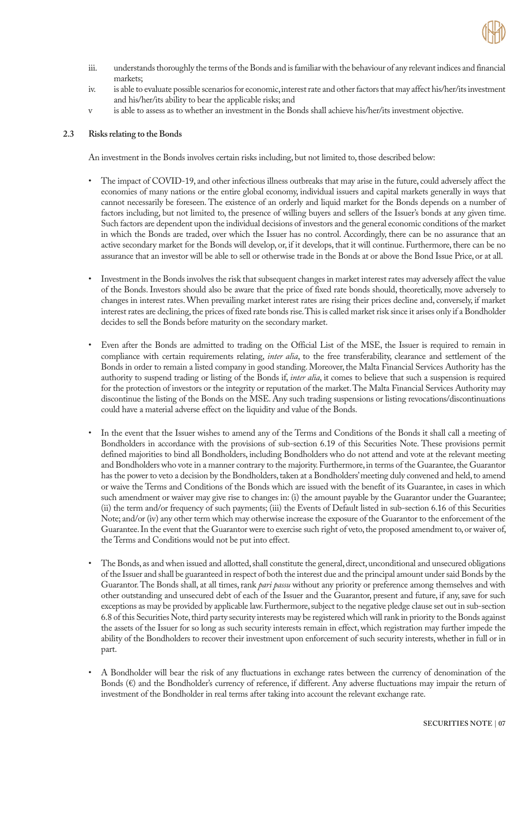

- iii. understands thoroughly the terms of the Bonds and is familiar with the behaviour of any relevant indices and financial markets;
- iv. is able to evaluate possible scenarios for economic, interest rate and other factors that may affect his/her/its investment and his/her/its ability to bear the applicable risks; and
- v is able to assess as to whether an investment in the Bonds shall achieve his/her/its investment objective.

#### **2.3 Risks relating to the Bonds**

An investment in the Bonds involves certain risks including, but not limited to, those described below:

- The impact of COVID-19, and other infectious illness outbreaks that may arise in the future, could adversely affect the economies of many nations or the entire global economy, individual issuers and capital markets generally in ways that cannot necessarily be foreseen. The existence of an orderly and liquid market for the Bonds depends on a number of factors including, but not limited to, the presence of willing buyers and sellers of the Issuer's bonds at any given time. Such factors are dependent upon the individual decisions of investors and the general economic conditions of the market in which the Bonds are traded, over which the Issuer has no control. Accordingly, there can be no assurance that an active secondary market for the Bonds will develop, or, if it develops, that it will continue. Furthermore, there can be no assurance that an investor will be able to sell or otherwise trade in the Bonds at or above the Bond Issue Price, or at all.
- Investment in the Bonds involves the risk that subsequent changes in market interest rates may adversely affect the value of the Bonds. Investors should also be aware that the price of fixed rate bonds should, theoretically, move adversely to changes in interest rates. When prevailing market interest rates are rising their prices decline and, conversely, if market interest rates are declining, the prices of fixed rate bonds rise. This is called market risk since it arises only if a Bondholder decides to sell the Bonds before maturity on the secondary market.
- Even after the Bonds are admitted to trading on the Official List of the MSE, the Issuer is required to remain in compliance with certain requirements relating, *inter alia*, to the free transferability, clearance and settlement of the Bonds in order to remain a listed company in good standing. Moreover, the Malta Financial Services Authority has the authority to suspend trading or listing of the Bonds if, *inter alia*, it comes to believe that such a suspension is required for the protection of investors or the integrity or reputation of the market. The Malta Financial Services Authority may discontinue the listing of the Bonds on the MSE. Any such trading suspensions or listing revocations/discontinuations could have a material adverse effect on the liquidity and value of the Bonds.
- In the event that the Issuer wishes to amend any of the Terms and Conditions of the Bonds it shall call a meeting of Bondholders in accordance with the provisions of sub-section 6.19 of this Securities Note. These provisions permit defined majorities to bind all Bondholders, including Bondholders who do not attend and vote at the relevant meeting and Bondholders who vote in a manner contrary to the majority. Furthermore, in terms of the Guarantee, the Guarantor has the power to veto a decision by the Bondholders, taken at a Bondholders' meeting duly convened and held, to amend or waive the Terms and Conditions of the Bonds which are issued with the benefit of its Guarantee, in cases in which such amendment or waiver may give rise to changes in: (i) the amount payable by the Guarantor under the Guarantee; (ii) the term and/or frequency of such payments; (iii) the Events of Default listed in sub-section 6.16 of this Securities Note; and/or (iv) any other term which may otherwise increase the exposure of the Guarantor to the enforcement of the Guarantee. In the event that the Guarantor were to exercise such right of veto, the proposed amendment to, or waiver of, the Terms and Conditions would not be put into effect.
- The Bonds, as and when issued and allotted, shall constitute the general, direct, unconditional and unsecured obligations of the Issuer and shall be guaranteed in respect of both the interest due and the principal amount under said Bonds by the Guarantor. The Bonds shall, at all times, rank *pari passu* without any priority or preference among themselves and with other outstanding and unsecured debt of each of the Issuer and the Guarantor, present and future, if any, save for such exceptions as may be provided by applicable law. Furthermore, subject to the negative pledge clause set out in sub-section 6.8 of this Securities Note, third party security interests may be registered which will rank in priority to the Bonds against the assets of the Issuer for so long as such security interests remain in effect, which registration may further impede the ability of the Bondholders to recover their investment upon enforcement of such security interests, whether in full or in part.
- A Bondholder will bear the risk of any fluctuations in exchange rates between the currency of denomination of the Bonds (€) and the Bondholder's currency of reference, if different. Any adverse fluctuations may impair the return of investment of the Bondholder in real terms after taking into account the relevant exchange rate.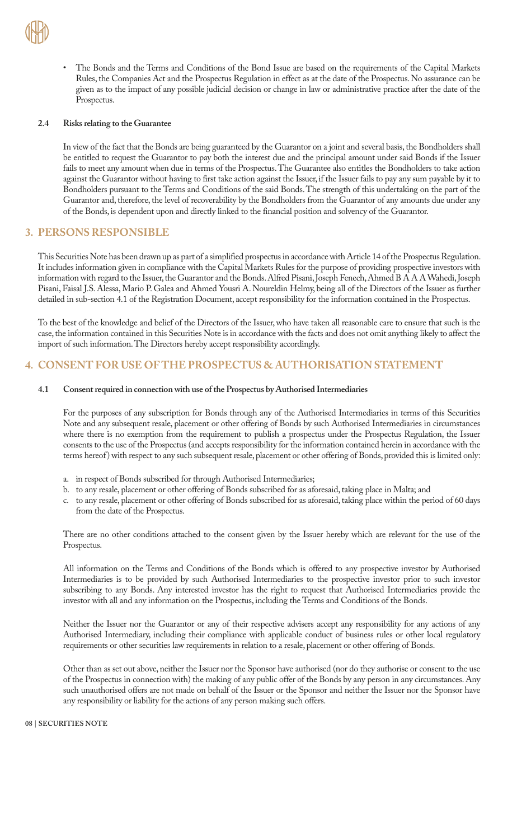

• The Bonds and the Terms and Conditions of the Bond Issue are based on the requirements of the Capital Markets Rules, the Companies Act and the Prospectus Regulation in effect as at the date of the Prospectus. No assurance can be given as to the impact of any possible judicial decision or change in law or administrative practice after the date of the Prospectus.

#### **2.4 Risks relating to the Guarantee**

In view of the fact that the Bonds are being guaranteed by the Guarantor on a joint and several basis, the Bondholders shall be entitled to request the Guarantor to pay both the interest due and the principal amount under said Bonds if the Issuer fails to meet any amount when due in terms of the Prospectus. The Guarantee also entitles the Bondholders to take action against the Guarantor without having to first take action against the Issuer, if the Issuer fails to pay any sum payable by it to Bondholders pursuant to the Terms and Conditions of the said Bonds. The strength of this undertaking on the part of the Guarantor and, therefore, the level of recoverability by the Bondholders from the Guarantor of any amounts due under any of the Bonds, is dependent upon and directly linked to the financial position and solvency of the Guarantor.

### **3. PERSONS RESPONSIBLE**

This Securities Note has been drawn up as part of a simplified prospectus in accordance with Article 14 of the Prospectus Regulation. It includes information given in compliance with the Capital Markets Rules for the purpose of providing prospective investors with information with regard to the Issuer, the Guarantor and the Bonds. Alfred Pisani, Joseph Fenech, Ahmed B A A A Wahedi, Joseph Pisani, Faisal J.S. Alessa, Mario P. Galea and Ahmed Yousri A. Noureldin Helmy, being all of the Directors of the Issuer as further detailed in sub-section 4.1 of the Registration Document, accept responsibility for the information contained in the Prospectus.

To the best of the knowledge and belief of the Directors of the Issuer, who have taken all reasonable care to ensure that such is the case, the information contained in this Securities Note is in accordance with the facts and does not omit anything likely to affect the import of such information. The Directors hereby accept responsibility accordingly.

### **4. CONSENT FOR USE OF THE PROSPECTUS & AUTHORISATION STATEMENT**

#### **4.1 Consent required in connection with use of the Prospectus by Authorised Intermediaries**

For the purposes of any subscription for Bonds through any of the Authorised Intermediaries in terms of this Securities Note and any subsequent resale, placement or other offering of Bonds by such Authorised Intermediaries in circumstances where there is no exemption from the requirement to publish a prospectus under the Prospectus Regulation, the Issuer consents to the use of the Prospectus (and accepts responsibility for the information contained herein in accordance with the terms hereof) with respect to any such subsequent resale, placement or other offering of Bonds, provided this is limited only:

- a. in respect of Bonds subscribed for through Authorised Intermediaries;
- b. to any resale, placement or other offering of Bonds subscribed for as aforesaid, taking place in Malta; and
- c. to any resale, placement or other offering of Bonds subscribed for as aforesaid, taking place within the period of 60 days from the date of the Prospectus.

There are no other conditions attached to the consent given by the Issuer hereby which are relevant for the use of the Prospectus.

All information on the Terms and Conditions of the Bonds which is offered to any prospective investor by Authorised Intermediaries is to be provided by such Authorised Intermediaries to the prospective investor prior to such investor subscribing to any Bonds. Any interested investor has the right to request that Authorised Intermediaries provide the investor with all and any information on the Prospectus, including the Terms and Conditions of the Bonds.

Neither the Issuer nor the Guarantor or any of their respective advisers accept any responsibility for any actions of any Authorised Intermediary, including their compliance with applicable conduct of business rules or other local regulatory requirements or other securities law requirements in relation to a resale, placement or other offering of Bonds.

Other than as set out above, neither the Issuer nor the Sponsor have authorised (nor do they authorise or consent to the use of the Prospectus in connection with) the making of any public offer of the Bonds by any person in any circumstances. Any such unauthorised offers are not made on behalf of the Issuer or the Sponsor and neither the Issuer nor the Sponsor have any responsibility or liability for the actions of any person making such offers.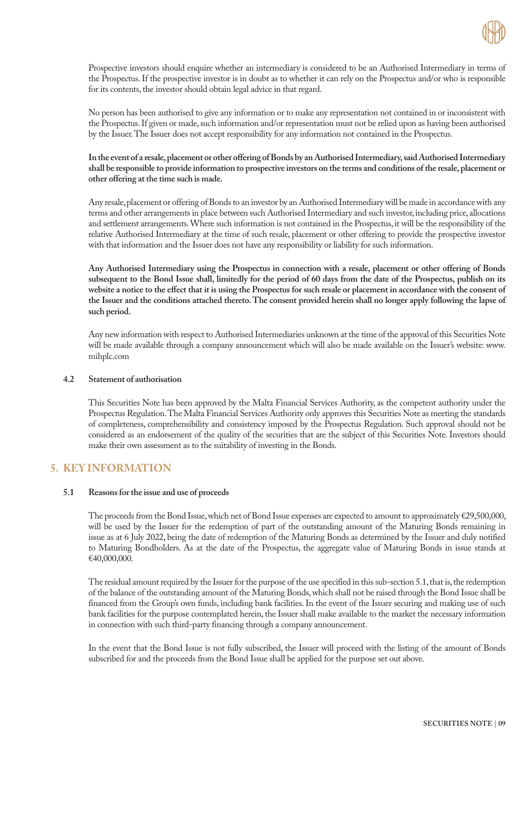

Prospective investors should enquire whether an intermediary is considered to be an Authorised Intermediary in terms of the Prospectus. If the prospective investor is in doubt as to whether it can rely on the Prospectus and/or who is responsible for its contents, the investor should obtain legal advice in that regard.

No person has been authorised to give any information or to make any representation not contained in or inconsistent with the Prospectus. If given or made, such information and/or representation must not be relied upon as having been authorised by the Issuer. The Issuer does not accept responsibility for any information not contained in the Prospectus.

### **In the event of a resale, placement or other offering of Bonds by an Authorised Intermediary, said Authorised Intermediary shall be responsible to provide information to prospective investors on the terms and conditions of the resale, placement or other offering at the time such is made.**

Any resale, placement or offering of Bonds to an investor by an Authorised Intermediary will be made in accordance with any terms and other arrangements in place between such Authorised Intermediary and such investor, including price, allocations and settlement arrangements. Where such information is not contained in the Prospectus, it will be the responsibility of the relative Authorised Intermediary at the time of such resale, placement or other offering to provide the prospective investor with that information and the Issuer does not have any responsibility or liability for such information.

**Any Authorised Intermediary using the Prospectus in connection with a resale, placement or other offering of Bonds subsequent to the Bond Issue shall, limitedly for the period of 60 days from the date of the Prospectus, publish on its website a notice to the effect that it is using the Prospectus for such resale or placement in accordance with the consent of the Issuer and the conditions attached thereto. The consent provided herein shall no longer apply following the lapse of such period.** 

Any new information with respect to Authorised Intermediaries unknown at the time of the approval of this Securities Note will be made available through a company announcement which will also be made available on the Issuer's website: www. mihplc.com

### **4.2 Statement of authorisation**

This Securities Note has been approved by the Malta Financial Services Authority, as the competent authority under the Prospectus Regulation. The Malta Financial Services Authority only approves this Securities Note as meeting the standards of completeness, comprehensibility and consistency imposed by the Prospectus Regulation. Such approval should not be considered as an endorsement of the quality of the securities that are the subject of this Securities Note. Investors should make their own assessment as to the suitability of investing in the Bonds.

## **5. KEY INFORMATION**

### **5.1 Reasons for the issue and use of proceeds**

The proceeds from the Bond Issue, which net of Bond Issue expenses are expected to amount to approximately €29,500,000, will be used by the Issuer for the redemption of part of the outstanding amount of the Maturing Bonds remaining in issue as at 6 July 2022, being the date of redemption of the Maturing Bonds as determined by the Issuer and duly notified to Maturing Bondholders. As at the date of the Prospectus, the aggregate value of Maturing Bonds in issue stands at €40,000,000.

The residual amount required by the Issuer for the purpose of the use specified in this sub-section 5.1, that is, the redemption of the balance of the outstanding amount of the Maturing Bonds, which shall not be raised through the Bond Issue shall be financed from the Group's own funds, including bank facilities. In the event of the Issuer securing and making use of such bank facilities for the purpose contemplated herein, the Issuer shall make available to the market the necessary information in connection with such third-party financing through a company announcement.

In the event that the Bond Issue is not fully subscribed, the Issuer will proceed with the listing of the amount of Bonds subscribed for and the proceeds from the Bond Issue shall be applied for the purpose set out above.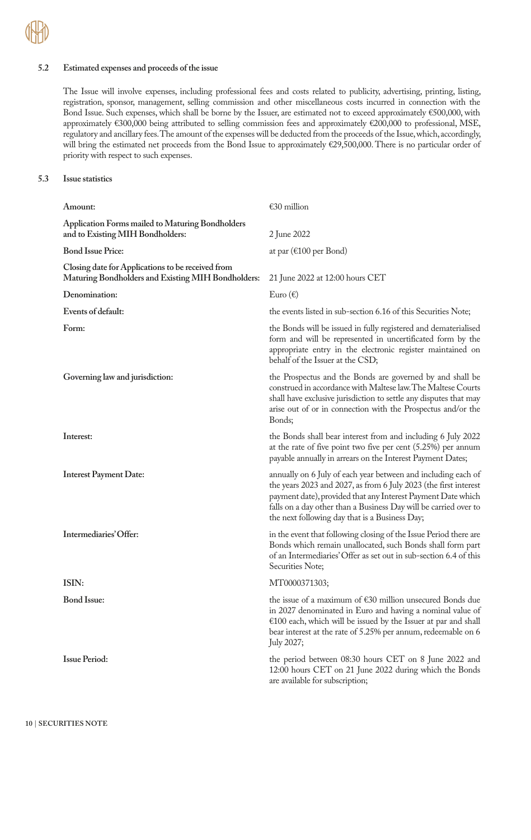### **5.2 Estimated expenses and proceeds of the issue**

The Issue will involve expenses, including professional fees and costs related to publicity, advertising, printing, listing, registration, sponsor, management, selling commission and other miscellaneous costs incurred in connection with the Bond Issue. Such expenses, which shall be borne by the Issuer, are estimated not to exceed approximately €500,000, with approximately €300,000 being attributed to selling commission fees and approximately €200,000 to professional, MSE, regulatory and ancillary fees. The amount of the expenses will be deducted from the proceeds of the Issue, which, accordingly, will bring the estimated net proceeds from the Bond Issue to approximately €29,500,000. There is no particular order of priority with respect to such expenses.

### **5.3 Issue statistics**

| Amount:                                                                                                 | €30 million                                                                                                                                                                                                                                                                                                             |
|---------------------------------------------------------------------------------------------------------|-------------------------------------------------------------------------------------------------------------------------------------------------------------------------------------------------------------------------------------------------------------------------------------------------------------------------|
| <b>Application Forms mailed to Maturing Bondholders</b><br>and to Existing MIH Bondholders:             | 2 June 2022                                                                                                                                                                                                                                                                                                             |
| <b>Bond Issue Price:</b>                                                                                | at par ( $E100$ per Bond)                                                                                                                                                                                                                                                                                               |
| Closing date for Applications to be received from<br>Maturing Bondholders and Existing MIH Bondholders: | 21 June 2022 at 12:00 hours CET                                                                                                                                                                                                                                                                                         |
| Denomination:                                                                                           | Euro $(\epsilon)$                                                                                                                                                                                                                                                                                                       |
| Events of default:                                                                                      | the events listed in sub-section 6.16 of this Securities Note;                                                                                                                                                                                                                                                          |
| Form:                                                                                                   | the Bonds will be issued in fully registered and dematerialised<br>form and will be represented in uncertificated form by the<br>appropriate entry in the electronic register maintained on<br>behalf of the Issuer at the CSD;                                                                                         |
| Governing law and jurisdiction:                                                                         | the Prospectus and the Bonds are governed by and shall be<br>construed in accordance with Maltese law. The Maltese Courts<br>shall have exclusive jurisdiction to settle any disputes that may<br>arise out of or in connection with the Prospectus and/or the<br>Bonds;                                                |
| Interest:                                                                                               | the Bonds shall bear interest from and including 6 July 2022<br>at the rate of five point two five per cent $(5.25%)$ per annum<br>payable annually in arrears on the Interest Payment Dates;                                                                                                                           |
| <b>Interest Payment Date:</b>                                                                           | annually on 6 July of each year between and including each of<br>the years 2023 and 2027, as from 6 July 2023 (the first interest<br>payment date), provided that any Interest Payment Date which<br>falls on a day other than a Business Day will be carried over to<br>the next following day that is a Business Day; |
| Intermediaries' Offer:                                                                                  | in the event that following closing of the Issue Period there are<br>Bonds which remain unallocated, such Bonds shall form part<br>of an Intermediaries' Offer as set out in sub-section 6.4 of this<br>Securities Note;                                                                                                |
| ISIN:                                                                                                   | MT0000371303;                                                                                                                                                                                                                                                                                                           |
| <b>Bond Issue:</b>                                                                                      | the issue of a maximum of $E30$ million unsecured Bonds due<br>in 2027 denominated in Euro and having a nominal value of<br>$£100$ each, which will be issued by the Issuer at par and shall<br>bear interest at the rate of 5.25% per annum, redeemable on 6<br>July 2027;                                             |
| <b>Issue Period:</b>                                                                                    | the period between 08:30 hours CET on 8 June 2022 and<br>12:00 hours CET on 21 June 2022 during which the Bonds<br>are available for subscription;                                                                                                                                                                      |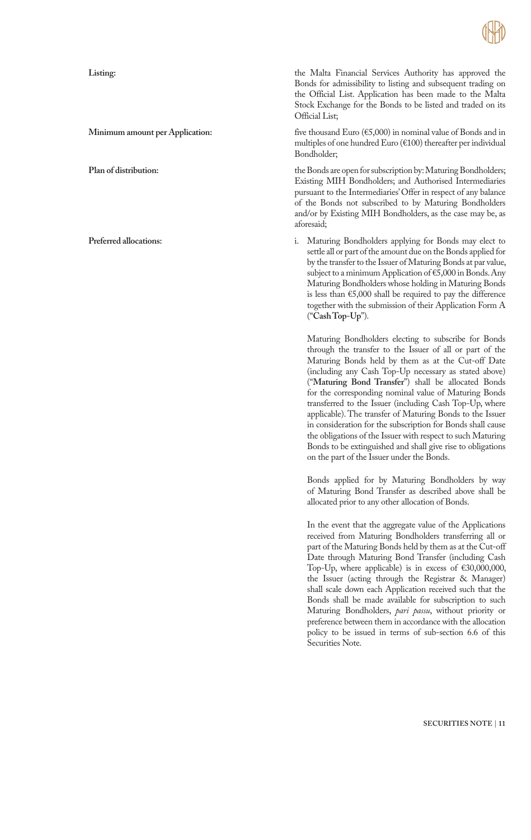

**Listing:** the Malta Financial Services Authority has approved the Bonds for admissibility to listing and subsequent trading on the Official List. Application has been made to the Malta Stock Exchange for the Bonds to be listed and traded on its Official List;

**Minimum amount per Application:** five thousand Euro (€5,000) in nominal value of Bonds and in multiples of one hundred Euro (€100) thereafter per individual Bondholder;

**Plan of distribution:** the Bonds are open for subscription by: Maturing Bondholders; Existing MIH Bondholders; and Authorised Intermediaries pursuant to the Intermediaries' Offer in respect of any balance of the Bonds not subscribed to by Maturing Bondholders and/or by Existing MIH Bondholders, as the case may be, as aforesaid;

**Preferred allocations:** i. Maturing Bondholders applying for Bonds may elect to settle all or part of the amount due on the Bonds applied for by the transfer to the Issuer of Maturing Bonds at par value, subject to a minimum Application of €5,000 in Bonds. Any Maturing Bondholders whose holding in Maturing Bonds is less than €5,000 shall be required to pay the difference together with the submission of their Application Form A ("**Cash Top-Up**").

> Maturing Bondholders electing to subscribe for Bonds through the transfer to the Issuer of all or part of the Maturing Bonds held by them as at the Cut-off Date (including any Cash Top-Up necessary as stated above) ("**Maturing Bond Transfer**") shall be allocated Bonds for the corresponding nominal value of Maturing Bonds transferred to the Issuer (including Cash Top-Up, where applicable). The transfer of Maturing Bonds to the Issuer in consideration for the subscription for Bonds shall cause the obligations of the Issuer with respect to such Maturing Bonds to be extinguished and shall give rise to obligations on the part of the Issuer under the Bonds.

> Bonds applied for by Maturing Bondholders by way of Maturing Bond Transfer as described above shall be allocated prior to any other allocation of Bonds.

> In the event that the aggregate value of the Applications received from Maturing Bondholders transferring all or part of the Maturing Bonds held by them as at the Cut-off Date through Maturing Bond Transfer (including Cash Top-Up, where applicable) is in excess of  $£30,000,000,$ the Issuer (acting through the Registrar & Manager) shall scale down each Application received such that the Bonds shall be made available for subscription to such Maturing Bondholders, *pari passu*, without priority or preference between them in accordance with the allocation policy to be issued in terms of sub-section 6.6 of this Securities Note.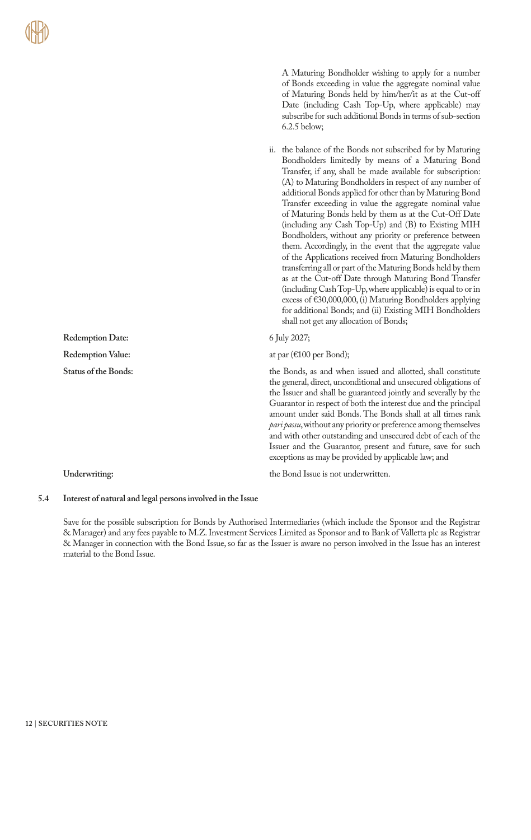of Maturing Bonds held by him/her/it as at the Cut-off Date (including Cash Top-Up, where applicable) may subscribe for such additional Bonds in terms of sub-section 6.2.5 below; ii. the balance of the Bonds not subscribed for by Maturing Bondholders limitedly by means of a Maturing Bond Transfer, if any, shall be made available for subscription: (A) to Maturing Bondholders in respect of any number of additional Bonds applied for other than by Maturing Bond Transfer exceeding in value the aggregate nominal value of Maturing Bonds held by them as at the Cut-Off Date (including any Cash Top-Up) and (B) to Existing MIH Bondholders, without any priority or preference between them. Accordingly, in the event that the aggregate value of the Applications received from Maturing Bondholders transferring all or part of the Maturing Bonds held by them as at the Cut-off Date through Maturing Bond Transfer (including Cash Top-Up, where applicable) is equal to or in excess of €30,000,000, (i) Maturing Bondholders applying for additional Bonds; and (ii) Existing MIH Bondholders shall not get any allocation of Bonds; Redemption Date: 6 July 2027; **Redemption Value:** at par (€100 per Bond); **Status of the Bonds:** the Bonds, as and when issued and allotted, shall constitute the general, direct, unconditional and unsecured obligations of the Issuer and shall be guaranteed jointly and severally by the Guarantor in respect of both the interest due and the principal amount under said Bonds. The Bonds shall at all times rank *pari passu*, without any priority or preference among themselves and with other outstanding and unsecured debt of each of the Issuer and the Guarantor, present and future, save for such exceptions as may be provided by applicable law; and Underwriting: the Bond Issue is not underwritten.

A Maturing Bondholder wishing to apply for a number of Bonds exceeding in value the aggregate nominal value

#### **5.4 Interest of natural and legal persons involved in the Issue**

Save for the possible subscription for Bonds by Authorised Intermediaries (which include the Sponsor and the Registrar & Manager) and any fees payable to M.Z. Investment Services Limited as Sponsor and to Bank of Valletta plc as Registrar & Manager in connection with the Bond Issue, so far as the Issuer is aware no person involved in the Issue has an interest material to the Bond Issue.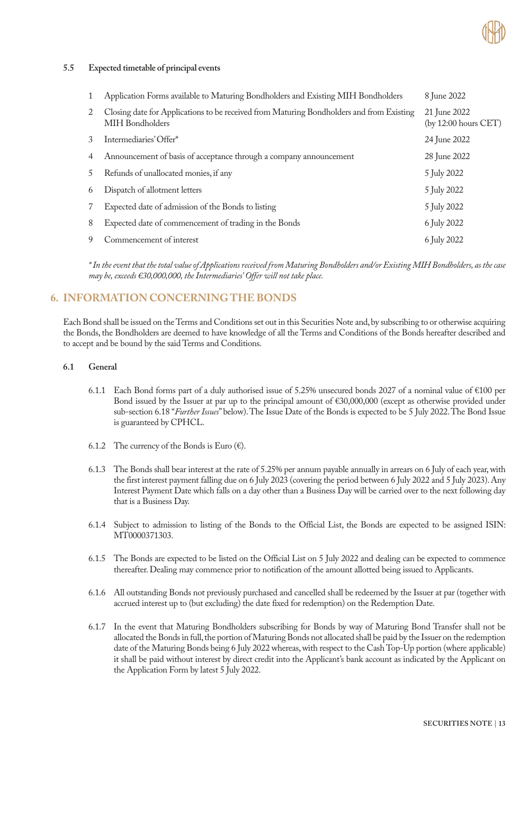

### **5.5 Expected timetable of principal events**

|    | Application Forms available to Maturing Bondholders and Existing MIH Bondholders                            | 8 June 2022                          |
|----|-------------------------------------------------------------------------------------------------------------|--------------------------------------|
| 2  | Closing date for Applications to be received from Maturing Bondholders and from Existing<br>MIH Bondholders | 21 June 2022<br>(by 12:00 hours CET) |
| 3  | Intermediaries' Offer*                                                                                      | 24 June 2022                         |
| 4  | Announcement of basis of acceptance through a company announcement                                          | 28 June 2022                         |
| 5. | Refunds of unallocated monies, if any                                                                       | 5 July 2022                          |
| 6  | Dispatch of allotment letters                                                                               | 5 July 2022                          |
|    | Expected date of admission of the Bonds to listing                                                          | 5 July 2022                          |
| 8  | Expected date of commencement of trading in the Bonds                                                       | 6 July 2022                          |
| 9  | Commencement of interest                                                                                    | 6 July 2022                          |

*\* In the event that the total value of Applications received from Maturing Bondholders and/or Existing MIH Bondholders, as the case may be, exceeds €30,000,000, the Intermediaries' Offer will not take place.*

### **6. INFORMATION CONCERNING THE BONDS**

Each Bond shall be issued on the Terms and Conditions set out in this Securities Note and, by subscribing to or otherwise acquiring the Bonds, the Bondholders are deemed to have knowledge of all the Terms and Conditions of the Bonds hereafter described and to accept and be bound by the said Terms and Conditions.

#### **6.1 General**

- 6.1.1 Each Bond forms part of a duly authorised issue of 5.25% unsecured bonds 2027 of a nominal value of €100 per Bond issued by the Issuer at par up to the principal amount of €30,000,000 (except as otherwise provided under sub-section 6.18 "*Further Issues*" below). The Issue Date of the Bonds is expected to be 5 July 2022. The Bond Issue is guaranteed by CPHCL.
- 6.1.2 The currency of the Bonds is Euro  $(\epsilon)$ .
- 6.1.3 The Bonds shall bear interest at the rate of 5.25% per annum payable annually in arrears on 6 July of each year, with the first interest payment falling due on 6 July 2023 (covering the period between 6 July 2022 and 5 July 2023). Any Interest Payment Date which falls on a day other than a Business Day will be carried over to the next following day that is a Business Day.
- 6.1.4 Subject to admission to listing of the Bonds to the Official List, the Bonds are expected to be assigned ISIN: MT0000371303.
- 6.1.5 The Bonds are expected to be listed on the Official List on 5 July 2022 and dealing can be expected to commence thereafter. Dealing may commence prior to notification of the amount allotted being issued to Applicants.
- 6.1.6 All outstanding Bonds not previously purchased and cancelled shall be redeemed by the Issuer at par (together with accrued interest up to (but excluding) the date fixed for redemption) on the Redemption Date.
- 6.1.7 In the event that Maturing Bondholders subscribing for Bonds by way of Maturing Bond Transfer shall not be allocated the Bonds in full, the portion of Maturing Bonds not allocated shall be paid by the Issuer on the redemption date of the Maturing Bonds being 6 July 2022 whereas, with respect to the Cash Top-Up portion (where applicable) it shall be paid without interest by direct credit into the Applicant's bank account as indicated by the Applicant on the Application Form by latest 5 July 2022.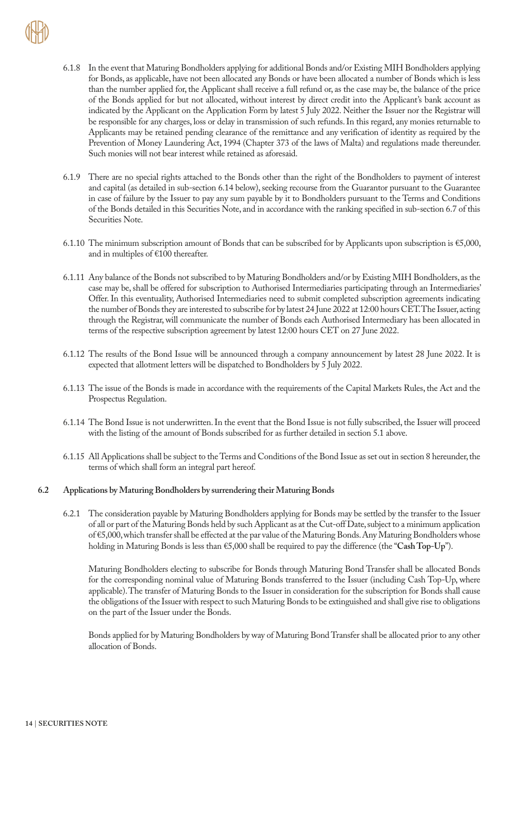- 6.1.8 In the event that Maturing Bondholders applying for additional Bonds and/or Existing MIH Bondholders applying for Bonds, as applicable, have not been allocated any Bonds or have been allocated a number of Bonds which is less than the number applied for, the Applicant shall receive a full refund or, as the case may be, the balance of the price of the Bonds applied for but not allocated, without interest by direct credit into the Applicant's bank account as indicated by the Applicant on the Application Form by latest 5 July 2022. Neither the Issuer nor the Registrar will be responsible for any charges, loss or delay in transmission of such refunds. In this regard, any monies returnable to Applicants may be retained pending clearance of the remittance and any verification of identity as required by the Prevention of Money Laundering Act, 1994 (Chapter 373 of the laws of Malta) and regulations made thereunder. Such monies will not bear interest while retained as aforesaid.
- 6.1.9 There are no special rights attached to the Bonds other than the right of the Bondholders to payment of interest and capital (as detailed in sub-section 6.14 below), seeking recourse from the Guarantor pursuant to the Guarantee in case of failure by the Issuer to pay any sum payable by it to Bondholders pursuant to the Terms and Conditions of the Bonds detailed in this Securities Note, and in accordance with the ranking specified in sub-section 6.7 of this Securities Note.
- 6.1.10 The minimum subscription amount of Bonds that can be subscribed for by Applicants upon subscription is €5,000, and in multiples of €100 thereafter.
- 6.1.11 Any balance of the Bonds not subscribed to by Maturing Bondholders and/or by Existing MIH Bondholders, as the case may be, shall be offered for subscription to Authorised Intermediaries participating through an Intermediaries' Offer. In this eventuality, Authorised Intermediaries need to submit completed subscription agreements indicating the number of Bonds they are interested to subscribe for by latest 24 June 2022 at 12:00 hours CET. The Issuer, acting through the Registrar, will communicate the number of Bonds each Authorised Intermediary has been allocated in terms of the respective subscription agreement by latest 12:00 hours CET on 27 June 2022.
- 6.1.12 The results of the Bond Issue will be announced through a company announcement by latest 28 June 2022. It is expected that allotment letters will be dispatched to Bondholders by 5 July 2022.
- 6.1.13 The issue of the Bonds is made in accordance with the requirements of the Capital Markets Rules, the Act and the Prospectus Regulation.
- 6.1.14 The Bond Issue is not underwritten. In the event that the Bond Issue is not fully subscribed, the Issuer will proceed with the listing of the amount of Bonds subscribed for as further detailed in section 5.1 above.
- 6.1.15 All Applications shall be subject to the Terms and Conditions of the Bond Issue as set out in section 8 hereunder, the terms of which shall form an integral part hereof.

#### **6.2 Applications by Maturing Bondholders by surrendering their Maturing Bonds**

6.2.1 The consideration payable by Maturing Bondholders applying for Bonds may be settled by the transfer to the Issuer of all or part of the Maturing Bonds held by such Applicant as at the Cut-off Date, subject to a minimum application of €5,000, which transfer shall be effected at the par value of the Maturing Bonds. Any Maturing Bondholders whose holding in Maturing Bonds is less than €5,000 shall be required to pay the difference (the "**Cash Top-Up**").

Maturing Bondholders electing to subscribe for Bonds through Maturing Bond Transfer shall be allocated Bonds for the corresponding nominal value of Maturing Bonds transferred to the Issuer (including Cash Top-Up, where applicable). The transfer of Maturing Bonds to the Issuer in consideration for the subscription for Bonds shall cause the obligations of the Issuer with respect to such Maturing Bonds to be extinguished and shall give rise to obligations on the part of the Issuer under the Bonds.

Bonds applied for by Maturing Bondholders by way of Maturing Bond Transfer shall be allocated prior to any other allocation of Bonds.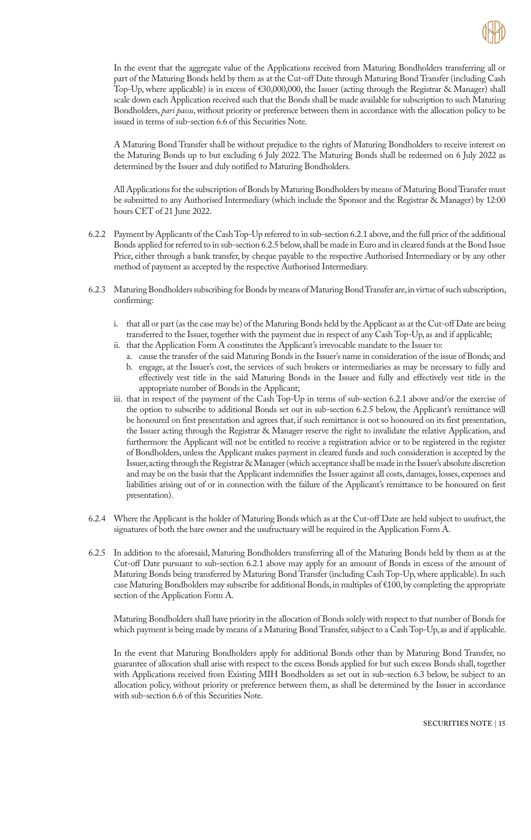

In the event that the aggregate value of the Applications received from Maturing Bondholders transferring all or part of the Maturing Bonds held by them as at the Cut-off Date through Maturing Bond Transfer (including Cash Top-Up, where applicable) is in excess of €30,000,000, the Issuer (acting through the Registrar & Manager) shall scale down each Application received such that the Bonds shall be made available for subscription to such Maturing Bondholders, *pari passu*, without priority or preference between them in accordance with the allocation policy to be issued in terms of sub-section 6.6 of this Securities Note.

A Maturing Bond Transfer shall be without prejudice to the rights of Maturing Bondholders to receive interest on the Maturing Bonds up to but excluding 6 July 2022. The Maturing Bonds shall be redeemed on 6 July 2022 as determined by the Issuer and duly notified to Maturing Bondholders.

All Applications for the subscription of Bonds by Maturing Bondholders by means of Maturing Bond Transfer must be submitted to any Authorised Intermediary (which include the Sponsor and the Registrar & Manager) by 12:00 hours CET of 21 June 2022.

- 6.2.2 Payment by Applicants of the Cash Top-Up referred to in sub-section 6.2.1 above, and the full price of the additional Bonds applied for referred to in sub-section 6.2.5 below, shall be made in Euro and in cleared funds at the Bond Issue Price, either through a bank transfer, by cheque payable to the respective Authorised Intermediary or by any other method of payment as accepted by the respective Authorised Intermediary.
- 6.2.3 Maturing Bondholders subscribing for Bonds by means of Maturing Bond Transfer are, in virtue of such subscription, confirming:
	- i. that all or part (as the case may be) of the Maturing Bonds held by the Applicant as at the Cut-off Date are being transferred to the Issuer, together with the payment due in respect of any Cash Top-Up, as and if applicable;
	- ii. that the Application Form A constitutes the Applicant's irrevocable mandate to the Issuer to: a. cause the transfer of the said Maturing Bonds in the Issuer's name in consideration of the issue of Bonds; and
		- b. engage, at the Issuer's cost, the services of such brokers or intermediaries as may be necessary to fully and effectively vest title in the said Maturing Bonds in the Issuer and fully and effectively vest title in the appropriate number of Bonds in the Applicant;
	- iii. that in respect of the payment of the Cash Top-Up in terms of sub-section 6.2.1 above and/or the exercise of the option to subscribe to additional Bonds set out in sub-section 6.2.5 below, the Applicant's remittance will be honoured on first presentation and agrees that, if such remittance is not so honoured on its first presentation, the Issuer acting through the Registrar & Manager reserve the right to invalidate the relative Application, and furthermore the Applicant will not be entitled to receive a registration advice or to be registered in the register of Bondholders, unless the Applicant makes payment in cleared funds and such consideration is accepted by the Issuer, acting through the Registrar & Manager (which acceptance shall be made in the Issuer's absolute discretion and may be on the basis that the Applicant indemnifies the Issuer against all costs, damages, losses, expenses and liabilities arising out of or in connection with the failure of the Applicant's remittance to be honoured on first presentation).
- 6.2.4 Where the Applicant is the holder of Maturing Bonds which as at the Cut-off Date are held subject to usufruct, the signatures of both the bare owner and the usufructuary will be required in the Application Form A.
- 6.2.5 In addition to the aforesaid, Maturing Bondholders transferring all of the Maturing Bonds held by them as at the Cut-off Date pursuant to sub-section 6.2.1 above may apply for an amount of Bonds in excess of the amount of Maturing Bonds being transferred by Maturing Bond Transfer (including Cash Top-Up, where applicable). In such case Maturing Bondholders may subscribe for additional Bonds, in multiples of €100, by completing the appropriate section of the Application Form A.

Maturing Bondholders shall have priority in the allocation of Bonds solely with respect to that number of Bonds for which payment is being made by means of a Maturing Bond Transfer, subject to a Cash Top-Up, as and if applicable.

In the event that Maturing Bondholders apply for additional Bonds other than by Maturing Bond Transfer, no guarantee of allocation shall arise with respect to the excess Bonds applied for but such excess Bonds shall, together with Applications received from Existing MIH Bondholders as set out in sub-section 6.3 below, be subject to an allocation policy, without priority or preference between them, as shall be determined by the Issuer in accordance with sub-section 6.6 of this Securities Note.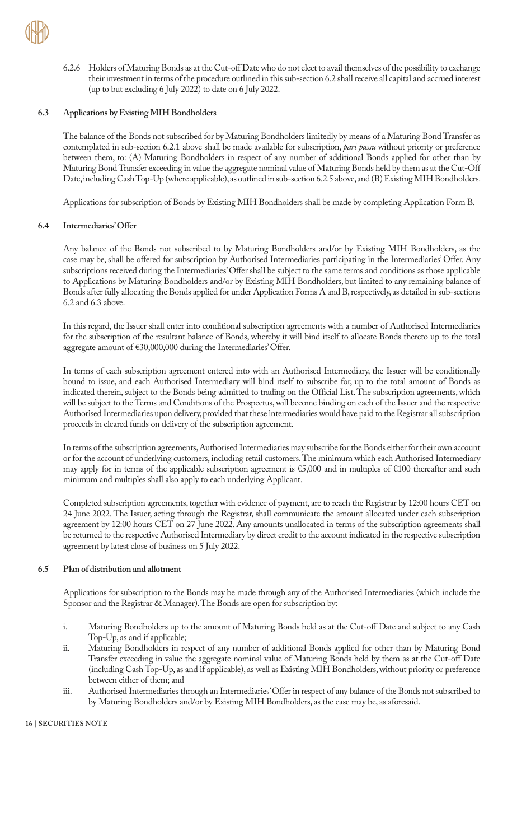6.2.6 Holders of Maturing Bonds as at the Cut-off Date who do not elect to avail themselves of the possibility to exchange their investment in terms of the procedure outlined in this sub-section 6.2 shall receive all capital and accrued interest (up to but excluding 6 July 2022) to date on 6 July 2022.

### **6.3 Applications by Existing MIH Bondholders**

The balance of the Bonds not subscribed for by Maturing Bondholders limitedly by means of a Maturing Bond Transfer as contemplated in sub-section 6.2.1 above shall be made available for subscription, *pari passu* without priority or preference between them, to: (A) Maturing Bondholders in respect of any number of additional Bonds applied for other than by Maturing Bond Transfer exceeding in value the aggregate nominal value of Maturing Bonds held by them as at the Cut-Off Date, including Cash Top-Up (where applicable), as outlined in sub-section 6.2.5 above, and (B) Existing MIH Bondholders.

Applications for subscription of Bonds by Existing MIH Bondholders shall be made by completing Application Form B.

### **6.4 Intermediaries' Offer**

Any balance of the Bonds not subscribed to by Maturing Bondholders and/or by Existing MIH Bondholders, as the case may be, shall be offered for subscription by Authorised Intermediaries participating in the Intermediaries' Offer. Any subscriptions received during the Intermediaries' Offer shall be subject to the same terms and conditions as those applicable to Applications by Maturing Bondholders and/or by Existing MIH Bondholders, but limited to any remaining balance of Bonds after fully allocating the Bonds applied for under Application Forms A and B, respectively, as detailed in sub-sections 6.2 and 6.3 above.

In this regard, the Issuer shall enter into conditional subscription agreements with a number of Authorised Intermediaries for the subscription of the resultant balance of Bonds, whereby it will bind itself to allocate Bonds thereto up to the total aggregate amount of €30,000,000 during the Intermediaries' Offer.

In terms of each subscription agreement entered into with an Authorised Intermediary, the Issuer will be conditionally bound to issue, and each Authorised Intermediary will bind itself to subscribe for, up to the total amount of Bonds as indicated therein, subject to the Bonds being admitted to trading on the Official List. The subscription agreements, which will be subject to the Terms and Conditions of the Prospectus, will become binding on each of the Issuer and the respective Authorised Intermediaries upon delivery, provided that these intermediaries would have paid to the Registrar all subscription proceeds in cleared funds on delivery of the subscription agreement.

In terms of the subscription agreements, Authorised Intermediaries may subscribe for the Bonds either for their own account or for the account of underlying customers, including retail customers. The minimum which each Authorised Intermediary may apply for in terms of the applicable subscription agreement is €5,000 and in multiples of €100 thereafter and such minimum and multiples shall also apply to each underlying Applicant.

Completed subscription agreements, together with evidence of payment, are to reach the Registrar by 12:00 hours CET on 24 June 2022. The Issuer, acting through the Registrar, shall communicate the amount allocated under each subscription agreement by 12:00 hours CET on 27 June 2022. Any amounts unallocated in terms of the subscription agreements shall be returned to the respective Authorised Intermediary by direct credit to the account indicated in the respective subscription agreement by latest close of business on 5 July 2022.

### **6.5 Plan of distribution and allotment**

Applications for subscription to the Bonds may be made through any of the Authorised Intermediaries (which include the Sponsor and the Registrar & Manager). The Bonds are open for subscription by:

- i. Maturing Bondholders up to the amount of Maturing Bonds held as at the Cut-off Date and subject to any Cash Top-Up, as and if applicable;
- ii. Maturing Bondholders in respect of any number of additional Bonds applied for other than by Maturing Bond Transfer exceeding in value the aggregate nominal value of Maturing Bonds held by them as at the Cut-off Date (including Cash Top-Up, as and if applicable), as well as Existing MIH Bondholders, without priority or preference between either of them; and
- iii. Authorised Intermediaries through an Intermediaries' Offer in respect of any balance of the Bonds not subscribed to by Maturing Bondholders and/or by Existing MIH Bondholders, as the case may be, as aforesaid.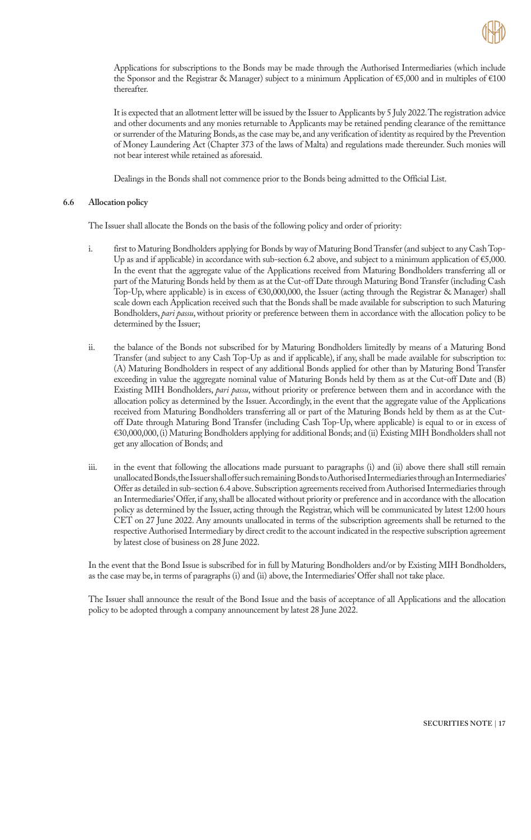

Applications for subscriptions to the Bonds may be made through the Authorised Intermediaries (which include the Sponsor and the Registrar & Manager) subject to a minimum Application of €5,000 and in multiples of €100 thereafter.

It is expected that an allotment letter will be issued by the Issuer to Applicants by 5 July 2022. The registration advice and other documents and any monies returnable to Applicants may be retained pending clearance of the remittance or surrender of the Maturing Bonds, as the case may be, and any verification of identity as required by the Prevention of Money Laundering Act (Chapter 373 of the laws of Malta) and regulations made thereunder. Such monies will not bear interest while retained as aforesaid.

Dealings in the Bonds shall not commence prior to the Bonds being admitted to the Official List.

#### **6.6 Allocation policy**

The Issuer shall allocate the Bonds on the basis of the following policy and order of priority:

- i. first to Maturing Bondholders applying for Bonds by way of Maturing Bond Transfer (and subject to any Cash Top-Up as and if applicable) in accordance with sub-section 6.2 above, and subject to a minimum application of €5,000. In the event that the aggregate value of the Applications received from Maturing Bondholders transferring all or part of the Maturing Bonds held by them as at the Cut-off Date through Maturing Bond Transfer (including Cash Top-Up, where applicable) is in excess of €30,000,000, the Issuer (acting through the Registrar & Manager) shall scale down each Application received such that the Bonds shall be made available for subscription to such Maturing Bondholders, *pari passu*, without priority or preference between them in accordance with the allocation policy to be determined by the Issuer;
- ii. the balance of the Bonds not subscribed for by Maturing Bondholders limitedly by means of a Maturing Bond Transfer (and subject to any Cash Top-Up as and if applicable), if any, shall be made available for subscription to: (A) Maturing Bondholders in respect of any additional Bonds applied for other than by Maturing Bond Transfer exceeding in value the aggregate nominal value of Maturing Bonds held by them as at the Cut-off Date and (B) Existing MIH Bondholders, *pari passu*, without priority or preference between them and in accordance with the allocation policy as determined by the Issuer. Accordingly, in the event that the aggregate value of the Applications received from Maturing Bondholders transferring all or part of the Maturing Bonds held by them as at the Cutoff Date through Maturing Bond Transfer (including Cash Top-Up, where applicable) is equal to or in excess of €30,000,000, (i) Maturing Bondholders applying for additional Bonds; and (ii) Existing MIH Bondholders shall not get any allocation of Bonds; and
- iii. in the event that following the allocations made pursuant to paragraphs (i) and (ii) above there shall still remain unallocated Bonds, the Issuer shall offer such remaining Bonds to Authorised Intermediaries through an Intermediaries' Offer as detailed in sub-section 6.4 above. Subscription agreements received from Authorised Intermediaries through an Intermediaries' Offer, if any, shall be allocated without priority or preference and in accordance with the allocation policy as determined by the Issuer, acting through the Registrar, which will be communicated by latest 12:00 hours CET on 27 June 2022. Any amounts unallocated in terms of the subscription agreements shall be returned to the respective Authorised Intermediary by direct credit to the account indicated in the respective subscription agreement by latest close of business on 28 June 2022.

In the event that the Bond Issue is subscribed for in full by Maturing Bondholders and/or by Existing MIH Bondholders, as the case may be, in terms of paragraphs (i) and (ii) above, the Intermediaries' Offer shall not take place.

The Issuer shall announce the result of the Bond Issue and the basis of acceptance of all Applications and the allocation policy to be adopted through a company announcement by latest 28 June 2022.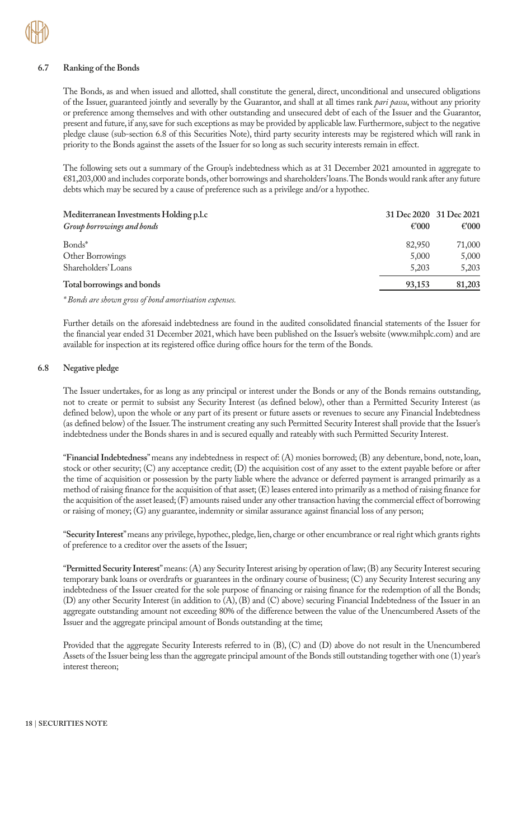### **6.7 Ranking of the Bonds**

The Bonds, as and when issued and allotted, shall constitute the general, direct, unconditional and unsecured obligations of the Issuer, guaranteed jointly and severally by the Guarantor, and shall at all times rank *pari passu*, without any priority or preference among themselves and with other outstanding and unsecured debt of each of the Issuer and the Guarantor, present and future, if any, save for such exceptions as may be provided by applicable law. Furthermore, subject to the negative pledge clause (sub-section 6.8 of this Securities Note), third party security interests may be registered which will rank in priority to the Bonds against the assets of the Issuer for so long as such security interests remain in effect.

The following sets out a summary of the Group's indebtedness which as at 31 December 2021 amounted in aggregate to €81,203,000 and includes corporate bonds, other borrowings and shareholders' loans. The Bonds would rank after any future debts which may be secured by a cause of preference such as a privilege and/or a hypothec.

| Mediterranean Investments Holding p.l.c<br>Group borrowings and bonds | €'000  | 31 Dec 2020 31 Dec 2021<br>€'000 |
|-----------------------------------------------------------------------|--------|----------------------------------|
| Bonds*                                                                | 82,950 | 71,000                           |
| Other Borrowings                                                      | 5,000  | 5,000                            |
| Shareholders' Loans                                                   | 5,203  | 5,203                            |
| Total borrowings and bonds                                            | 93,153 | 81,203                           |

*\* Bonds are shown gross of bond amortisation expenses.*

Further details on the aforesaid indebtedness are found in the audited consolidated financial statements of the Issuer for the financial year ended 31 December 2021, which have been published on the Issuer's website (www.mihplc.com) and are available for inspection at its registered office during office hours for the term of the Bonds.

#### **6.8 Negative pledge**

The Issuer undertakes, for as long as any principal or interest under the Bonds or any of the Bonds remains outstanding, not to create or permit to subsist any Security Interest (as defined below), other than a Permitted Security Interest (as defined below), upon the whole or any part of its present or future assets or revenues to secure any Financial Indebtedness (as defined below) of the Issuer. The instrument creating any such Permitted Security Interest shall provide that the Issuer's indebtedness under the Bonds shares in and is secured equally and rateably with such Permitted Security Interest.

"**Financial Indebtedness**" means any indebtedness in respect of: (A) monies borrowed; (B) any debenture, bond, note, loan, stock or other security; (C) any acceptance credit; (D) the acquisition cost of any asset to the extent payable before or after the time of acquisition or possession by the party liable where the advance or deferred payment is arranged primarily as a method of raising finance for the acquisition of that asset; (E) leases entered into primarily as a method of raising finance for the acquisition of the asset leased; (F) amounts raised under any other transaction having the commercial effect of borrowing or raising of money; (G) any guarantee, indemnity or similar assurance against financial loss of any person;

"**Security Interest**" means any privilege, hypothec, pledge, lien, charge or other encumbrance or real right which grants rights of preference to a creditor over the assets of the Issuer;

"**Permitted Security Interest**" means: (A) any Security Interest arising by operation of law; (B) any Security Interest securing temporary bank loans or overdrafts or guarantees in the ordinary course of business; (C) any Security Interest securing any indebtedness of the Issuer created for the sole purpose of financing or raising finance for the redemption of all the Bonds; (D) any other Security Interest (in addition to (A), (B) and (C) above) securing Financial Indebtedness of the Issuer in an aggregate outstanding amount not exceeding 80% of the difference between the value of the Unencumbered Assets of the Issuer and the aggregate principal amount of Bonds outstanding at the time;

Provided that the aggregate Security Interests referred to in (B), (C) and (D) above do not result in the Unencumbered Assets of the Issuer being less than the aggregate principal amount of the Bonds still outstanding together with one (1) year's interest thereon;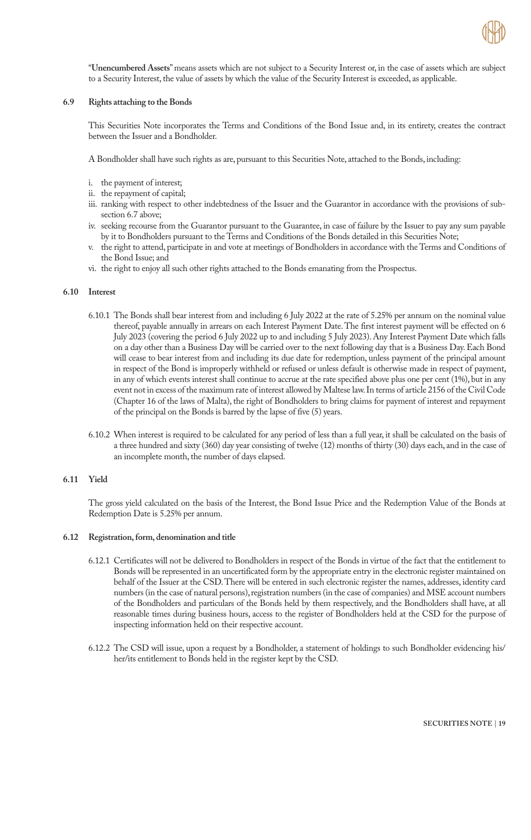

"**Unencumbered Assets**" means assets which are not subject to a Security Interest or, in the case of assets which are subject to a Security Interest, the value of assets by which the value of the Security Interest is exceeded, as applicable.

### **6.9 Rights attaching to the Bonds**

This Securities Note incorporates the Terms and Conditions of the Bond Issue and, in its entirety, creates the contract between the Issuer and a Bondholder.

A Bondholder shall have such rights as are, pursuant to this Securities Note, attached to the Bonds, including:

- i. the payment of interest;
- ii. the repayment of capital;
- iii. ranking with respect to other indebtedness of the Issuer and the Guarantor in accordance with the provisions of subsection 6.7 above;
- iv. seeking recourse from the Guarantor pursuant to the Guarantee, in case of failure by the Issuer to pay any sum payable by it to Bondholders pursuant to the Terms and Conditions of the Bonds detailed in this Securities Note;
- v. the right to attend, participate in and vote at meetings of Bondholders in accordance with the Terms and Conditions of the Bond Issue; and
- vi. the right to enjoy all such other rights attached to the Bonds emanating from the Prospectus.

#### **6.10 Interest**

- 6.10.1 The Bonds shall bear interest from and including 6 July 2022 at the rate of 5.25% per annum on the nominal value thereof, payable annually in arrears on each Interest Payment Date. The first interest payment will be effected on 6 July 2023 (covering the period 6 July 2022 up to and including 5 July 2023). Any Interest Payment Date which falls on a day other than a Business Day will be carried over to the next following day that is a Business Day. Each Bond will cease to bear interest from and including its due date for redemption, unless payment of the principal amount in respect of the Bond is improperly withheld or refused or unless default is otherwise made in respect of payment, in any of which events interest shall continue to accrue at the rate specified above plus one per cent (1%), but in any event not in excess of the maximum rate of interest allowed by Maltese law. In terms of article 2156 of the Civil Code (Chapter 16 of the laws of Malta), the right of Bondholders to bring claims for payment of interest and repayment of the principal on the Bonds is barred by the lapse of five (5) years.
- 6.10.2 When interest is required to be calculated for any period of less than a full year, it shall be calculated on the basis of a three hundred and sixty (360) day year consisting of twelve (12) months of thirty (30) days each, and in the case of an incomplete month, the number of days elapsed.

#### **6.11 Yield**

The gross yield calculated on the basis of the Interest, the Bond Issue Price and the Redemption Value of the Bonds at Redemption Date is 5.25% per annum.

#### **6.12 Registration, form, denomination and title**

- 6.12.1 Certificates will not be delivered to Bondholders in respect of the Bonds in virtue of the fact that the entitlement to Bonds will be represented in an uncertificated form by the appropriate entry in the electronic register maintained on behalf of the Issuer at the CSD. There will be entered in such electronic register the names, addresses, identity card numbers (in the case of natural persons), registration numbers (in the case of companies) and MSE account numbers of the Bondholders and particulars of the Bonds held by them respectively, and the Bondholders shall have, at all reasonable times during business hours, access to the register of Bondholders held at the CSD for the purpose of inspecting information held on their respective account.
- 6.12.2 The CSD will issue, upon a request by a Bondholder, a statement of holdings to such Bondholder evidencing his/ her/its entitlement to Bonds held in the register kept by the CSD.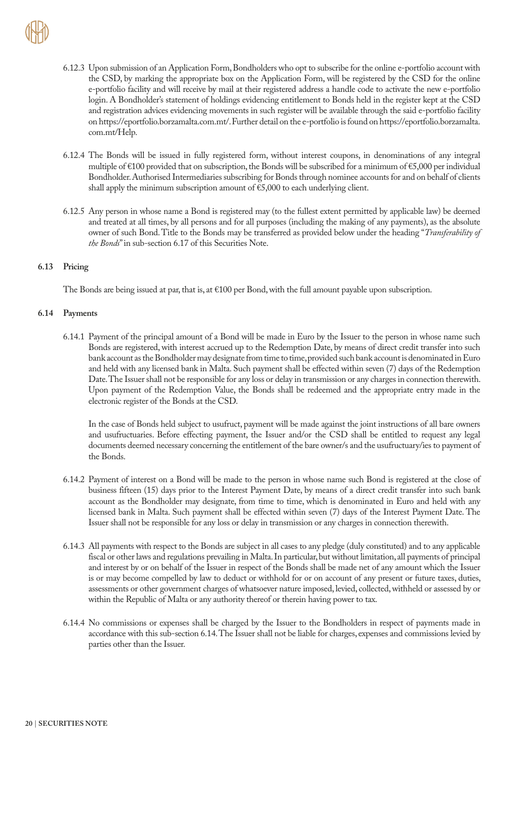- 6.12.3 Upon submission of an Application Form, Bondholders who opt to subscribe for the online e-portfolio account with the CSD, by marking the appropriate box on the Application Form, will be registered by the CSD for the online e-portfolio facility and will receive by mail at their registered address a handle code to activate the new e-portfolio login. A Bondholder's statement of holdings evidencing entitlement to Bonds held in the register kept at the CSD and registration advices evidencing movements in such register will be available through the said e-portfolio facility on https://eportfolio.borzamalta.com.mt/. Further detail on the e-portfolio is found on https://eportfolio.borzamalta. com.mt/Help.
- 6.12.4 The Bonds will be issued in fully registered form, without interest coupons, in denominations of any integral multiple of €100 provided that on subscription, the Bonds will be subscribed for a minimum of €5,000 per individual Bondholder. Authorised Intermediaries subscribing for Bonds through nominee accounts for and on behalf of clients shall apply the minimum subscription amount of €5,000 to each underlying client.
- 6.12.5 Any person in whose name a Bond is registered may (to the fullest extent permitted by applicable law) be deemed and treated at all times, by all persons and for all purposes (including the making of any payments), as the absolute owner of such Bond. Title to the Bonds may be transferred as provided below under the heading "*Transferability of the Bonds*" in sub-section 6.17 of this Securities Note.

### **6.13 Pricing**

The Bonds are being issued at par, that is, at €100 per Bond, with the full amount payable upon subscription.

### **6.14 Payments**

6.14.1 Payment of the principal amount of a Bond will be made in Euro by the Issuer to the person in whose name such Bonds are registered, with interest accrued up to the Redemption Date, by means of direct credit transfer into such bank account as the Bondholder may designate from time to time, provided such bank account is denominated in Euro and held with any licensed bank in Malta. Such payment shall be effected within seven (7) days of the Redemption Date. The Issuer shall not be responsible for any loss or delay in transmission or any charges in connection therewith. Upon payment of the Redemption Value, the Bonds shall be redeemed and the appropriate entry made in the electronic register of the Bonds at the CSD.

In the case of Bonds held subject to usufruct, payment will be made against the joint instructions of all bare owners and usufructuaries. Before effecting payment, the Issuer and/or the CSD shall be entitled to request any legal documents deemed necessary concerning the entitlement of the bare owner/s and the usufructuary/ies to payment of the Bonds.

- 6.14.2 Payment of interest on a Bond will be made to the person in whose name such Bond is registered at the close of business fifteen (15) days prior to the Interest Payment Date, by means of a direct credit transfer into such bank account as the Bondholder may designate, from time to time, which is denominated in Euro and held with any licensed bank in Malta. Such payment shall be effected within seven (7) days of the Interest Payment Date. The Issuer shall not be responsible for any loss or delay in transmission or any charges in connection therewith.
- 6.14.3 All payments with respect to the Bonds are subject in all cases to any pledge (duly constituted) and to any applicable fiscal or other laws and regulations prevailing in Malta. In particular, but without limitation, all payments of principal and interest by or on behalf of the Issuer in respect of the Bonds shall be made net of any amount which the Issuer is or may become compelled by law to deduct or withhold for or on account of any present or future taxes, duties, assessments or other government charges of whatsoever nature imposed, levied, collected, withheld or assessed by or within the Republic of Malta or any authority thereof or therein having power to tax.
- 6.14.4 No commissions or expenses shall be charged by the Issuer to the Bondholders in respect of payments made in accordance with this sub-section 6.14. The Issuer shall not be liable for charges, expenses and commissions levied by parties other than the Issuer.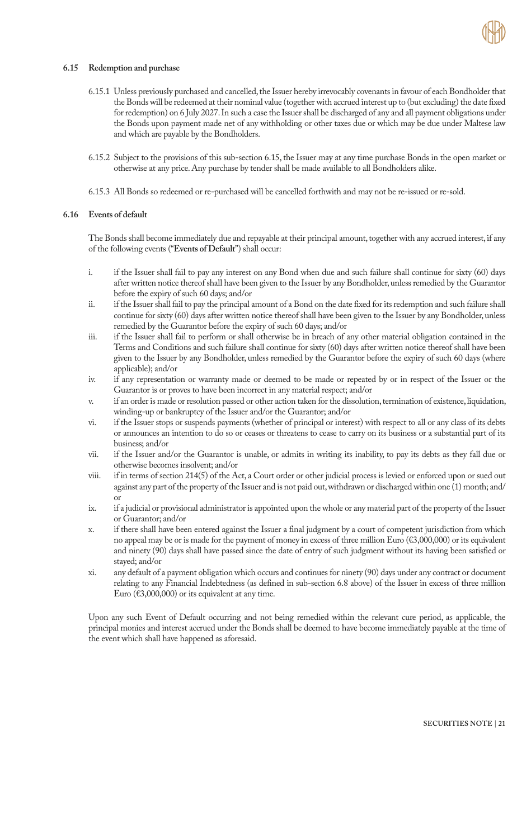

### **6.15 Redemption and purchase**

- 6.15.1 Unless previously purchased and cancelled, the Issuer hereby irrevocably covenants in favour of each Bondholder that the Bonds will be redeemed at their nominal value (together with accrued interest up to (but excluding) the date fixed for redemption) on 6 July 2027. In such a case the Issuer shall be discharged of any and all payment obligations under the Bonds upon payment made net of any withholding or other taxes due or which may be due under Maltese law and which are payable by the Bondholders.
- 6.15.2 Subject to the provisions of this sub-section 6.15, the Issuer may at any time purchase Bonds in the open market or otherwise at any price. Any purchase by tender shall be made available to all Bondholders alike.
- 6.15.3 All Bonds so redeemed or re-purchased will be cancelled forthwith and may not be re-issued or re-sold.

#### **6.16 Events of default**

The Bonds shall become immediately due and repayable at their principal amount, together with any accrued interest, if any of the following events ("**Events of Default**") shall occur:

- i. if the Issuer shall fail to pay any interest on any Bond when due and such failure shall continue for sixty (60) days after written notice thereof shall have been given to the Issuer by any Bondholder, unless remedied by the Guarantor before the expiry of such 60 days; and/or
- ii. if the Issuer shall fail to pay the principal amount of a Bond on the date fixed for its redemption and such failure shall continue for sixty (60) days after written notice thereof shall have been given to the Issuer by any Bondholder, unless remedied by the Guarantor before the expiry of such 60 days; and/or
- iii. if the Issuer shall fail to perform or shall otherwise be in breach of any other material obligation contained in the Terms and Conditions and such failure shall continue for sixty (60) days after written notice thereof shall have been given to the Issuer by any Bondholder, unless remedied by the Guarantor before the expiry of such 60 days (where applicable); and/or
- iv. if any representation or warranty made or deemed to be made or repeated by or in respect of the Issuer or the Guarantor is or proves to have been incorrect in any material respect; and/or
- v. if an order is made or resolution passed or other action taken for the dissolution, termination of existence, liquidation, winding-up or bankruptcy of the Issuer and/or the Guarantor; and/or
- vi. if the Issuer stops or suspends payments (whether of principal or interest) with respect to all or any class of its debts or announces an intention to do so or ceases or threatens to cease to carry on its business or a substantial part of its business; and/or
- vii. if the Issuer and/or the Guarantor is unable, or admits in writing its inability, to pay its debts as they fall due or otherwise becomes insolvent; and/or
- viii. if in terms of section 214(5) of the Act, a Court order or other judicial process is levied or enforced upon or sued out against any part of the property of the Issuer and is not paid out, withdrawn or discharged within one (1) month; and/ or
- ix. if a judicial or provisional administrator is appointed upon the whole or any material part of the property of the Issuer or Guarantor; and/or
- x. if there shall have been entered against the Issuer a final judgment by a court of competent jurisdiction from which no appeal may be or is made for the payment of money in excess of three million Euro (€3,000,000) or its equivalent and ninety (90) days shall have passed since the date of entry of such judgment without its having been satisfied or stayed; and/or
- xi. any default of a payment obligation which occurs and continues for ninety (90) days under any contract or document relating to any Financial Indebtedness (as defined in sub-section 6.8 above) of the Issuer in excess of three million Euro ( $\epsilon$ 3,000,000) or its equivalent at any time.

Upon any such Event of Default occurring and not being remedied within the relevant cure period, as applicable, the principal monies and interest accrued under the Bonds shall be deemed to have become immediately payable at the time of the event which shall have happened as aforesaid.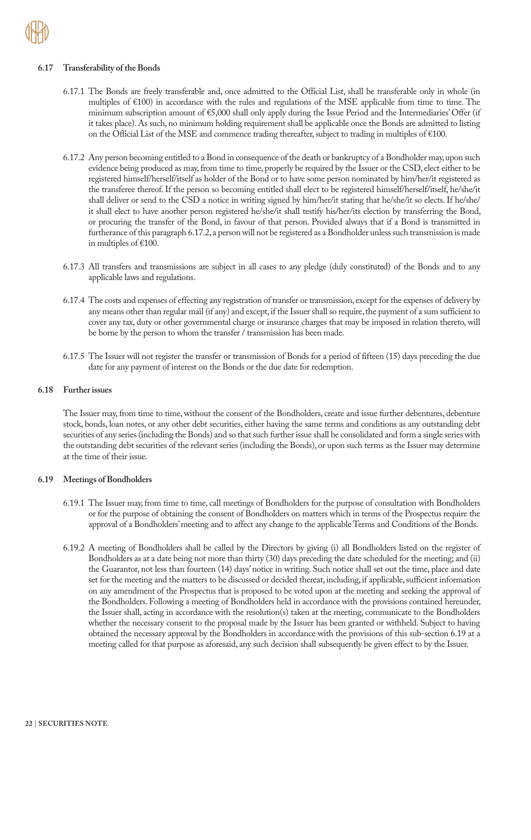

#### **6.17 Transferability of the Bonds**

- 6.17.1 The Bonds are freely transferable and, once admitted to the Official List, shall be transferable only in whole (in multiples of €100) in accordance with the rules and regulations of the MSE applicable from time to time. The minimum subscription amount of €5,000 shall only apply during the Issue Period and the Intermediaries' Offer (if it takes place). As such, no minimum holding requirement shall be applicable once the Bonds are admitted to listing on the Official List of the MSE and commence trading thereafter, subject to trading in multiples of €100.
- 6.17.2 Any person becoming entitled to a Bond in consequence of the death or bankruptcy of a Bondholder may, upon such evidence being produced as may, from time to time, properly be required by the Issuer or the CSD, elect either to be registered himself/herself/itself as holder of the Bond or to have some person nominated by him/her/it registered as the transferee thereof. If the person so becoming entitled shall elect to be registered himself/herself/itself, he/she/it shall deliver or send to the CSD a notice in writing signed by him/her/it stating that he/she/it so elects. If he/she/ it shall elect to have another person registered he/she/it shall testify his/her/its election by transferring the Bond, or procuring the transfer of the Bond, in favour of that person. Provided always that if a Bond is transmitted in furtherance of this paragraph 6.17.2, a person will not be registered as a Bondholder unless such transmission is made in multiples of €100.
- 6.17.3 All transfers and transmissions are subject in all cases to any pledge (duly constituted) of the Bonds and to any applicable laws and regulations.
- 6.17.4 The costs and expenses of effecting any registration of transfer or transmission, except for the expenses of delivery by any means other than regular mail (if any) and except, if the Issuer shall so require, the payment of a sum sufficient to cover any tax, duty or other governmental charge or insurance charges that may be imposed in relation thereto, will be borne by the person to whom the transfer / transmission has been made.
- 6.17.5 The Issuer will not register the transfer or transmission of Bonds for a period of fifteen (15) days preceding the due date for any payment of interest on the Bonds or the due date for redemption.

#### **6.18 Further issues**

The Issuer may, from time to time, without the consent of the Bondholders, create and issue further debentures, debenture stock, bonds, loan notes, or any other debt securities, either having the same terms and conditions as any outstanding debt securities of any series (including the Bonds) and so that such further issue shall be consolidated and form a single series with the outstanding debt securities of the relevant series (including the Bonds), or upon such terms as the Issuer may determine at the time of their issue.

#### **6.19 Meetings of Bondholders**

- 6.19.1 The Issuer may, from time to time, call meetings of Bondholders for the purpose of consultation with Bondholders or for the purpose of obtaining the consent of Bondholders on matters which in terms of the Prospectus require the approval of a Bondholders' meeting and to affect any change to the applicable Terms and Conditions of the Bonds.
- 6.19.2 A meeting of Bondholders shall be called by the Directors by giving (i) all Bondholders listed on the register of Bondholders as at a date being not more than thirty (30) days preceding the date scheduled for the meeting; and (ii) the Guarantor, not less than fourteen (14) days' notice in writing. Such notice shall set out the time, place and date set for the meeting and the matters to be discussed or decided thereat, including, if applicable, sufficient information on any amendment of the Prospectus that is proposed to be voted upon at the meeting and seeking the approval of the Bondholders. Following a meeting of Bondholders held in accordance with the provisions contained hereunder, the Issuer shall, acting in accordance with the resolution(s) taken at the meeting, communicate to the Bondholders whether the necessary consent to the proposal made by the Issuer has been granted or withheld. Subject to having obtained the necessary approval by the Bondholders in accordance with the provisions of this sub-section 6.19 at a meeting called for that purpose as aforesaid, any such decision shall subsequently be given effect to by the Issuer.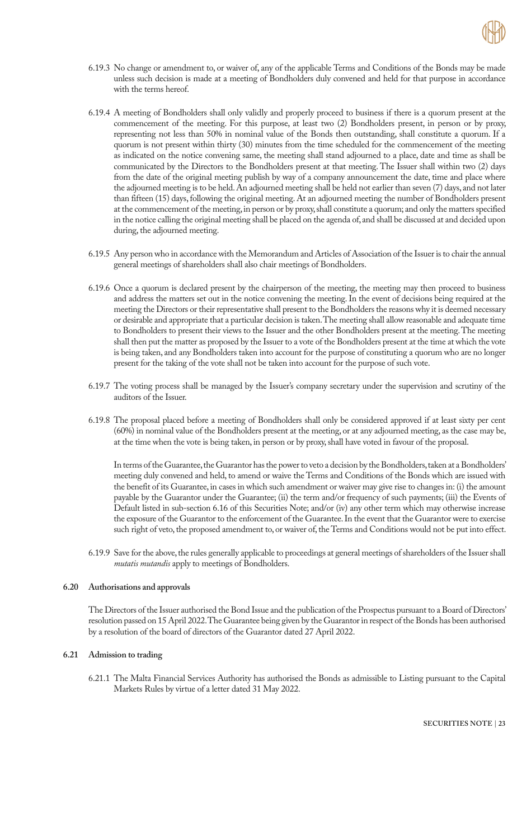

- 6.19.3 No change or amendment to, or waiver of, any of the applicable Terms and Conditions of the Bonds may be made unless such decision is made at a meeting of Bondholders duly convened and held for that purpose in accordance with the terms hereof.
- 6.19.4 A meeting of Bondholders shall only validly and properly proceed to business if there is a quorum present at the commencement of the meeting. For this purpose, at least two (2) Bondholders present, in person or by proxy, representing not less than 50% in nominal value of the Bonds then outstanding, shall constitute a quorum. If a quorum is not present within thirty (30) minutes from the time scheduled for the commencement of the meeting as indicated on the notice convening same, the meeting shall stand adjourned to a place, date and time as shall be communicated by the Directors to the Bondholders present at that meeting. The Issuer shall within two (2) days from the date of the original meeting publish by way of a company announcement the date, time and place where the adjourned meeting is to be held. An adjourned meeting shall be held not earlier than seven (7) days, and not later than fifteen (15) days, following the original meeting. At an adjourned meeting the number of Bondholders present at the commencement of the meeting, in person or by proxy, shall constitute a quorum; and only the matters specified in the notice calling the original meeting shall be placed on the agenda of, and shall be discussed at and decided upon during, the adjourned meeting.
- 6.19.5 Any person who in accordance with the Memorandum and Articles of Association of the Issuer is to chair the annual general meetings of shareholders shall also chair meetings of Bondholders.
- 6.19.6 Once a quorum is declared present by the chairperson of the meeting, the meeting may then proceed to business and address the matters set out in the notice convening the meeting. In the event of decisions being required at the meeting the Directors or their representative shall present to the Bondholders the reasons why it is deemed necessary or desirable and appropriate that a particular decision is taken. The meeting shall allow reasonable and adequate time to Bondholders to present their views to the Issuer and the other Bondholders present at the meeting. The meeting shall then put the matter as proposed by the Issuer to a vote of the Bondholders present at the time at which the vote is being taken, and any Bondholders taken into account for the purpose of constituting a quorum who are no longer present for the taking of the vote shall not be taken into account for the purpose of such vote.
- 6.19.7 The voting process shall be managed by the Issuer's company secretary under the supervision and scrutiny of the auditors of the Issuer.
- 6.19.8 The proposal placed before a meeting of Bondholders shall only be considered approved if at least sixty per cent (60%) in nominal value of the Bondholders present at the meeting, or at any adjourned meeting, as the case may be, at the time when the vote is being taken, in person or by proxy, shall have voted in favour of the proposal.

In terms of the Guarantee, the Guarantor has the power to veto a decision by the Bondholders, taken at a Bondholders' meeting duly convened and held, to amend or waive the Terms and Conditions of the Bonds which are issued with the benefit of its Guarantee, in cases in which such amendment or waiver may give rise to changes in: (i) the amount payable by the Guarantor under the Guarantee; (ii) the term and/or frequency of such payments; (iii) the Events of Default listed in sub-section 6.16 of this Securities Note; and/or (iv) any other term which may otherwise increase the exposure of the Guarantor to the enforcement of the Guarantee. In the event that the Guarantor were to exercise such right of veto, the proposed amendment to, or waiver of, the Terms and Conditions would not be put into effect.

6.19.9 Save for the above, the rules generally applicable to proceedings at general meetings of shareholders of the Issuer shall *mutatis mutandis* apply to meetings of Bondholders.

#### **6.20 Authorisations and approvals**

The Directors of the Issuer authorised the Bond Issue and the publication of the Prospectus pursuant to a Board of Directors' resolution passed on 15 April 2022. The Guarantee being given by the Guarantor in respect of the Bonds has been authorised by a resolution of the board of directors of the Guarantor dated 27 April 2022.

#### **6.21 Admission to trading**

6.21.1 The Malta Financial Services Authority has authorised the Bonds as admissible to Listing pursuant to the Capital Markets Rules by virtue of a letter dated 31 May 2022.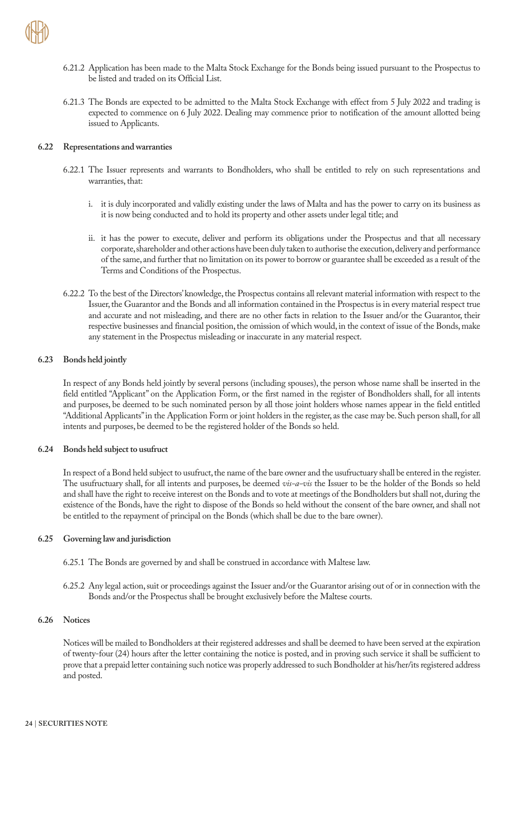- 6.21.2 Application has been made to the Malta Stock Exchange for the Bonds being issued pursuant to the Prospectus to be listed and traded on its Official List.
- 6.21.3 The Bonds are expected to be admitted to the Malta Stock Exchange with effect from 5 July 2022 and trading is expected to commence on 6 July 2022. Dealing may commence prior to notification of the amount allotted being issued to Applicants.

#### **6.22 Representations and warranties**

- 6.22.1 The Issuer represents and warrants to Bondholders, who shall be entitled to rely on such representations and warranties, that:
	- i. it is duly incorporated and validly existing under the laws of Malta and has the power to carry on its business as it is now being conducted and to hold its property and other assets under legal title; and
	- ii. it has the power to execute, deliver and perform its obligations under the Prospectus and that all necessary corporate, shareholder and other actions have been duly taken to authorise the execution, delivery and performance of the same, and further that no limitation on its power to borrow or guarantee shall be exceeded as a result of the Terms and Conditions of the Prospectus.
- 6.22.2 To the best of the Directors' knowledge, the Prospectus contains all relevant material information with respect to the Issuer, the Guarantor and the Bonds and all information contained in the Prospectus is in every material respect true and accurate and not misleading, and there are no other facts in relation to the Issuer and/or the Guarantor, their respective businesses and financial position, the omission of which would, in the context of issue of the Bonds, make any statement in the Prospectus misleading or inaccurate in any material respect.

### **6.23 Bonds held jointly**

In respect of any Bonds held jointly by several persons (including spouses), the person whose name shall be inserted in the field entitled "Applicant" on the Application Form, or the first named in the register of Bondholders shall, for all intents and purposes, be deemed to be such nominated person by all those joint holders whose names appear in the field entitled "Additional Applicants" in the Application Form or joint holders in the register, as the case may be. Such person shall, for all intents and purposes, be deemed to be the registered holder of the Bonds so held.

#### **6.24 Bonds held subject to usufruct**

In respect of a Bond held subject to usufruct, the name of the bare owner and the usufructuary shall be entered in the register. The usufructuary shall, for all intents and purposes, be deemed *vis-a-vis* the Issuer to be the holder of the Bonds so held and shall have the right to receive interest on the Bonds and to vote at meetings of the Bondholders but shall not, during the existence of the Bonds, have the right to dispose of the Bonds so held without the consent of the bare owner, and shall not be entitled to the repayment of principal on the Bonds (which shall be due to the bare owner).

#### **6.25 Governing law and jurisdiction**

- 6.25.1 The Bonds are governed by and shall be construed in accordance with Maltese law.
- 6.25.2 Any legal action, suit or proceedings against the Issuer and/or the Guarantor arising out of or in connection with the Bonds and/or the Prospectus shall be brought exclusively before the Maltese courts.

#### **6.26 Notices**

Notices will be mailed to Bondholders at their registered addresses and shall be deemed to have been served at the expiration of twenty-four (24) hours after the letter containing the notice is posted, and in proving such service it shall be sufficient to prove that a prepaid letter containing such notice was properly addressed to such Bondholder at his/her/its registered address and posted.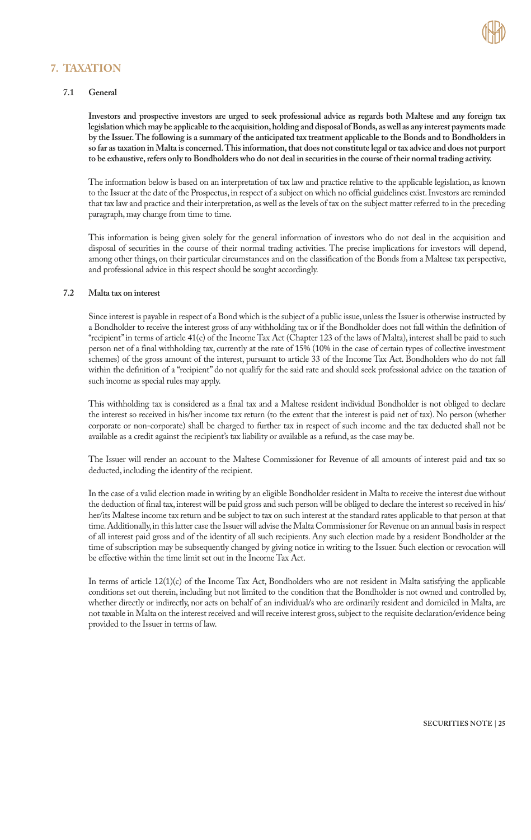

### **7. TAXATION**

### **7.1 General**

**Investors and prospective investors are urged to seek professional advice as regards both Maltese and any foreign tax legislation which may be applicable to the acquisition, holding and disposal of Bonds, as well as any interest payments made by the Issuer. The following is a summary of the anticipated tax treatment applicable to the Bonds and to Bondholders in so far as taxation in Malta is concerned. This information, that does not constitute legal or tax advice and does not purport to be exhaustive, refers only to Bondholders who do not deal in securities in the course of their normal trading activity.**

The information below is based on an interpretation of tax law and practice relative to the applicable legislation, as known to the Issuer at the date of the Prospectus, in respect of a subject on which no official guidelines exist. Investors are reminded that tax law and practice and their interpretation, as well as the levels of tax on the subject matter referred to in the preceding paragraph, may change from time to time.

This information is being given solely for the general information of investors who do not deal in the acquisition and disposal of securities in the course of their normal trading activities. The precise implications for investors will depend, among other things, on their particular circumstances and on the classification of the Bonds from a Maltese tax perspective, and professional advice in this respect should be sought accordingly.

#### **7.2 Malta tax on interest**

Since interest is payable in respect of a Bond which is the subject of a public issue, unless the Issuer is otherwise instructed by a Bondholder to receive the interest gross of any withholding tax or if the Bondholder does not fall within the definition of "recipient" in terms of article 41(c) of the Income Tax Act (Chapter 123 of the laws of Malta), interest shall be paid to such person net of a final withholding tax, currently at the rate of 15% (10% in the case of certain types of collective investment schemes) of the gross amount of the interest, pursuant to article 33 of the Income Tax Act. Bondholders who do not fall within the definition of a "recipient" do not qualify for the said rate and should seek professional advice on the taxation of such income as special rules may apply.

This withholding tax is considered as a final tax and a Maltese resident individual Bondholder is not obliged to declare the interest so received in his/her income tax return (to the extent that the interest is paid net of tax). No person (whether corporate or non-corporate) shall be charged to further tax in respect of such income and the tax deducted shall not be available as a credit against the recipient's tax liability or available as a refund, as the case may be.

The Issuer will render an account to the Maltese Commissioner for Revenue of all amounts of interest paid and tax so deducted, including the identity of the recipient.

In the case of a valid election made in writing by an eligible Bondholder resident in Malta to receive the interest due without the deduction of final tax, interest will be paid gross and such person will be obliged to declare the interest so received in his/ her/its Maltese income tax return and be subject to tax on such interest at the standard rates applicable to that person at that time. Additionally, in this latter case the Issuer will advise the Malta Commissioner for Revenue on an annual basis in respect of all interest paid gross and of the identity of all such recipients. Any such election made by a resident Bondholder at the time of subscription may be subsequently changed by giving notice in writing to the Issuer. Such election or revocation will be effective within the time limit set out in the Income Tax Act.

In terms of article 12(1)(c) of the Income Tax Act, Bondholders who are not resident in Malta satisfying the applicable conditions set out therein, including but not limited to the condition that the Bondholder is not owned and controlled by, whether directly or indirectly, nor acts on behalf of an individual/s who are ordinarily resident and domiciled in Malta, are not taxable in Malta on the interest received and will receive interest gross, subject to the requisite declaration/evidence being provided to the Issuer in terms of law.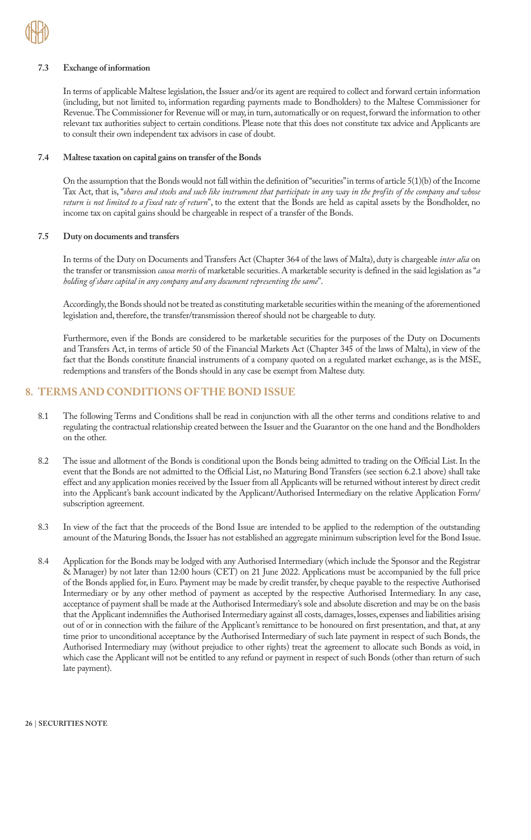### **7.3 Exchange of information**

In terms of applicable Maltese legislation, the Issuer and/or its agent are required to collect and forward certain information (including, but not limited to, information regarding payments made to Bondholders) to the Maltese Commissioner for Revenue. The Commissioner for Revenue will or may, in turn, automatically or on request, forward the information to other relevant tax authorities subject to certain conditions. Please note that this does not constitute tax advice and Applicants are to consult their own independent tax advisors in case of doubt.

#### **7.4 Maltese taxation on capital gains on transfer of the Bonds**

On the assumption that the Bonds would not fall within the definition of "securities" in terms of article 5(1)(b) of the Income Tax Act, that is, "*shares and stocks and such like instrument that participate in any way in the profits of the company and whose return is not limited to a fixed rate of return*", to the extent that the Bonds are held as capital assets by the Bondholder, no income tax on capital gains should be chargeable in respect of a transfer of the Bonds.

#### **7.5 Duty on documents and transfers**

In terms of the Duty on Documents and Transfers Act (Chapter 364 of the laws of Malta), duty is chargeable *inter alia* on the transfer or transmission *causa mortis* of marketable securities. A marketable security is defined in the said legislation as "*a holding of share capital in any company and any document representing the same*".

Accordingly, the Bonds should not be treated as constituting marketable securities within the meaning of the aforementioned legislation and, therefore, the transfer/transmission thereof should not be chargeable to duty.

Furthermore, even if the Bonds are considered to be marketable securities for the purposes of the Duty on Documents and Transfers Act, in terms of article 50 of the Financial Markets Act (Chapter 345 of the laws of Malta), in view of the fact that the Bonds constitute financial instruments of a company quoted on a regulated market exchange, as is the MSE, redemptions and transfers of the Bonds should in any case be exempt from Maltese duty.

### **8. TERMS AND CONDITIONS OF THE BOND ISSUE**

- 8.1 The following Terms and Conditions shall be read in conjunction with all the other terms and conditions relative to and regulating the contractual relationship created between the Issuer and the Guarantor on the one hand and the Bondholders on the other.
- 8.2 The issue and allotment of the Bonds is conditional upon the Bonds being admitted to trading on the Official List. In the event that the Bonds are not admitted to the Official List, no Maturing Bond Transfers (see section 6.2.1 above) shall take effect and any application monies received by the Issuer from all Applicants will be returned without interest by direct credit into the Applicant's bank account indicated by the Applicant/Authorised Intermediary on the relative Application Form/ subscription agreement.
- 8.3 In view of the fact that the proceeds of the Bond Issue are intended to be applied to the redemption of the outstanding amount of the Maturing Bonds, the Issuer has not established an aggregate minimum subscription level for the Bond Issue.
- 8.4 Application for the Bonds may be lodged with any Authorised Intermediary (which include the Sponsor and the Registrar & Manager) by not later than 12:00 hours (CET) on 21 June 2022. Applications must be accompanied by the full price of the Bonds applied for, in Euro. Payment may be made by credit transfer, by cheque payable to the respective Authorised Intermediary or by any other method of payment as accepted by the respective Authorised Intermediary. In any case, acceptance of payment shall be made at the Authorised Intermediary's sole and absolute discretion and may be on the basis that the Applicant indemnifies the Authorised Intermediary against all costs, damages, losses, expenses and liabilities arising out of or in connection with the failure of the Applicant's remittance to be honoured on first presentation, and that, at any time prior to unconditional acceptance by the Authorised Intermediary of such late payment in respect of such Bonds, the Authorised Intermediary may (without prejudice to other rights) treat the agreement to allocate such Bonds as void, in which case the Applicant will not be entitled to any refund or payment in respect of such Bonds (other than return of such late payment).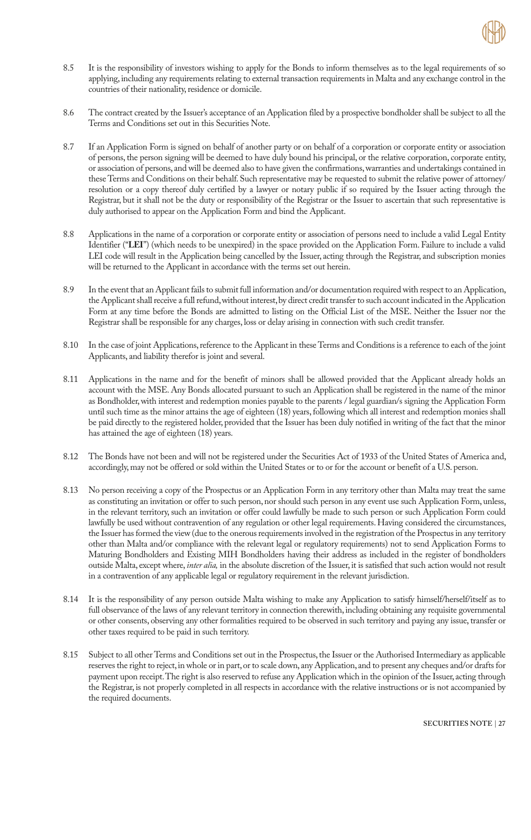

- 8.5 It is the responsibility of investors wishing to apply for the Bonds to inform themselves as to the legal requirements of so applying, including any requirements relating to external transaction requirements in Malta and any exchange control in the countries of their nationality, residence or domicile.
- 8.6 The contract created by the Issuer's acceptance of an Application filed by a prospective bondholder shall be subject to all the Terms and Conditions set out in this Securities Note.
- 8.7 If an Application Form is signed on behalf of another party or on behalf of a corporation or corporate entity or association of persons, the person signing will be deemed to have duly bound his principal, or the relative corporation, corporate entity, or association of persons, and will be deemed also to have given the confirmations, warranties and undertakings contained in these Terms and Conditions on their behalf. Such representative may be requested to submit the relative power of attorney/ resolution or a copy thereof duly certified by a lawyer or notary public if so required by the Issuer acting through the Registrar, but it shall not be the duty or responsibility of the Registrar or the Issuer to ascertain that such representative is duly authorised to appear on the Application Form and bind the Applicant.
- 8.8 Applications in the name of a corporation or corporate entity or association of persons need to include a valid Legal Entity Identifier ("**LEI**") (which needs to be unexpired) in the space provided on the Application Form. Failure to include a valid LEI code will result in the Application being cancelled by the Issuer, acting through the Registrar, and subscription monies will be returned to the Applicant in accordance with the terms set out herein.
- 8.9 In the event that an Applicant fails to submit full information and/or documentation required with respect to an Application, the Applicant shall receive a full refund, without interest, by direct credit transfer to such account indicated in the Application Form at any time before the Bonds are admitted to listing on the Official List of the MSE. Neither the Issuer nor the Registrar shall be responsible for any charges, loss or delay arising in connection with such credit transfer.
- 8.10 In the case of joint Applications, reference to the Applicant in these Terms and Conditions is a reference to each of the joint Applicants, and liability therefor is joint and several.
- 8.11 Applications in the name and for the benefit of minors shall be allowed provided that the Applicant already holds an account with the MSE. Any Bonds allocated pursuant to such an Application shall be registered in the name of the minor as Bondholder, with interest and redemption monies payable to the parents / legal guardian/s signing the Application Form until such time as the minor attains the age of eighteen (18) years, following which all interest and redemption monies shall be paid directly to the registered holder, provided that the Issuer has been duly notified in writing of the fact that the minor has attained the age of eighteen (18) years.
- 8.12 The Bonds have not been and will not be registered under the Securities Act of 1933 of the United States of America and, accordingly, may not be offered or sold within the United States or to or for the account or benefit of a U.S. person.
- 8.13 No person receiving a copy of the Prospectus or an Application Form in any territory other than Malta may treat the same as constituting an invitation or offer to such person, nor should such person in any event use such Application Form, unless, in the relevant territory, such an invitation or offer could lawfully be made to such person or such Application Form could lawfully be used without contravention of any regulation or other legal requirements. Having considered the circumstances, the Issuer has formed the view (due to the onerous requirements involved in the registration of the Prospectus in any territory other than Malta and/or compliance with the relevant legal or regulatory requirements) not to send Application Forms to Maturing Bondholders and Existing MIH Bondholders having their address as included in the register of bondholders outside Malta, except where, *inter alia,* in the absolute discretion of the Issuer, it is satisfied that such action would not result in a contravention of any applicable legal or regulatory requirement in the relevant jurisdiction.
- 8.14 It is the responsibility of any person outside Malta wishing to make any Application to satisfy himself/herself/itself as to full observance of the laws of any relevant territory in connection therewith, including obtaining any requisite governmental or other consents, observing any other formalities required to be observed in such territory and paying any issue, transfer or other taxes required to be paid in such territory.
- 8.15 Subject to all other Terms and Conditions set out in the Prospectus, the Issuer or the Authorised Intermediary as applicable reserves the right to reject, in whole or in part, or to scale down, any Application, and to present any cheques and/or drafts for payment upon receipt. The right is also reserved to refuse any Application which in the opinion of the Issuer, acting through the Registrar, is not properly completed in all respects in accordance with the relative instructions or is not accompanied by the required documents.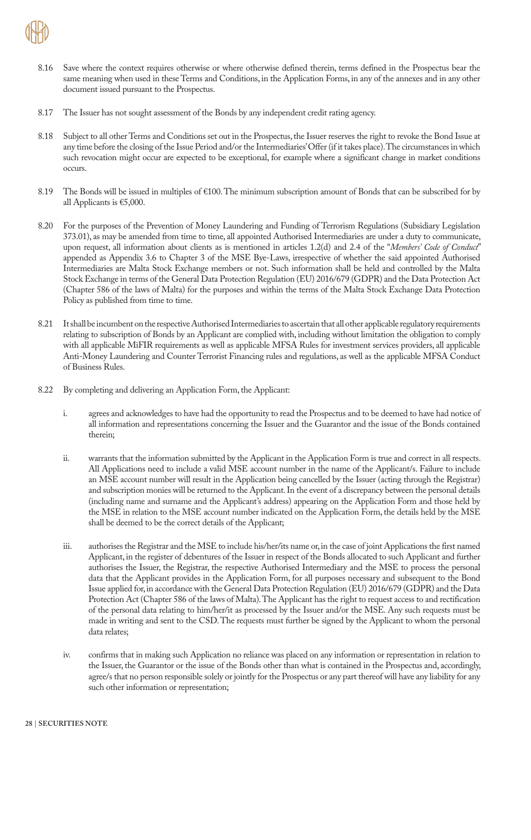

- 8.16 Save where the context requires otherwise or where otherwise defined therein, terms defined in the Prospectus bear the same meaning when used in these Terms and Conditions, in the Application Forms, in any of the annexes and in any other document issued pursuant to the Prospectus.
- 8.17 The Issuer has not sought assessment of the Bonds by any independent credit rating agency.
- 8.18 Subject to all other Terms and Conditions set out in the Prospectus, the Issuer reserves the right to revoke the Bond Issue at any time before the closing of the Issue Period and/or the Intermediaries' Offer (if it takes place). The circumstances in which such revocation might occur are expected to be exceptional, for example where a significant change in market conditions occurs.
- 8.19 The Bonds will be issued in multiples of €100. The minimum subscription amount of Bonds that can be subscribed for by all Applicants is €5,000.
- 8.20 For the purposes of the Prevention of Money Laundering and Funding of Terrorism Regulations (Subsidiary Legislation 373.01), as may be amended from time to time, all appointed Authorised Intermediaries are under a duty to communicate, upon request, all information about clients as is mentioned in articles 1.2(d) and 2.4 of the "*Members' Code of Conduct*" appended as Appendix 3.6 to Chapter 3 of the MSE Bye-Laws, irrespective of whether the said appointed Authorised Intermediaries are Malta Stock Exchange members or not. Such information shall be held and controlled by the Malta Stock Exchange in terms of the General Data Protection Regulation (EU) 2016/679 (GDPR) and the Data Protection Act (Chapter 586 of the laws of Malta) for the purposes and within the terms of the Malta Stock Exchange Data Protection Policy as published from time to time.
- 8.21 It shall be incumbent on the respective Authorised Intermediaries to ascertain that all other applicable regulatory requirements relating to subscription of Bonds by an Applicant are complied with, including without limitation the obligation to comply with all applicable MiFIR requirements as well as applicable MFSA Rules for investment services providers, all applicable Anti-Money Laundering and Counter Terrorist Financing rules and regulations, as well as the applicable MFSA Conduct of Business Rules.
- 8.22 By completing and delivering an Application Form, the Applicant:
	- i. agrees and acknowledges to have had the opportunity to read the Prospectus and to be deemed to have had notice of all information and representations concerning the Issuer and the Guarantor and the issue of the Bonds contained therein;
	- ii. warrants that the information submitted by the Applicant in the Application Form is true and correct in all respects. All Applications need to include a valid MSE account number in the name of the Applicant/s. Failure to include an MSE account number will result in the Application being cancelled by the Issuer (acting through the Registrar) and subscription monies will be returned to the Applicant. In the event of a discrepancy between the personal details (including name and surname and the Applicant's address) appearing on the Application Form and those held by the MSE in relation to the MSE account number indicated on the Application Form, the details held by the MSE shall be deemed to be the correct details of the Applicant;
	- iii. authorises the Registrar and the MSE to include his/her/its name or, in the case of joint Applications the first named Applicant, in the register of debentures of the Issuer in respect of the Bonds allocated to such Applicant and further authorises the Issuer, the Registrar, the respective Authorised Intermediary and the MSE to process the personal data that the Applicant provides in the Application Form, for all purposes necessary and subsequent to the Bond Issue applied for, in accordance with the General Data Protection Regulation (EU) 2016/679 (GDPR) and the Data Protection Act (Chapter 586 of the laws of Malta). The Applicant has the right to request access to and rectification of the personal data relating to him/her/it as processed by the Issuer and/or the MSE. Any such requests must be made in writing and sent to the CSD. The requests must further be signed by the Applicant to whom the personal data relates;
	- iv. confirms that in making such Application no reliance was placed on any information or representation in relation to the Issuer, the Guarantor or the issue of the Bonds other than what is contained in the Prospectus and, accordingly, agree/s that no person responsible solely or jointly for the Prospectus or any part thereof will have any liability for any such other information or representation;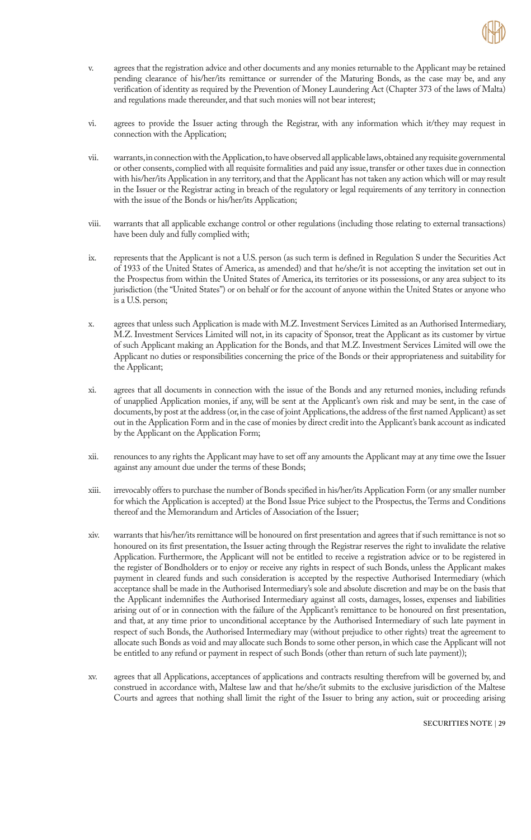

- v. agrees that the registration advice and other documents and any monies returnable to the Applicant may be retained pending clearance of his/her/its remittance or surrender of the Maturing Bonds, as the case may be, and any verification of identity as required by the Prevention of Money Laundering Act (Chapter 373 of the laws of Malta) and regulations made thereunder, and that such monies will not bear interest;
- vi. agrees to provide the Issuer acting through the Registrar, with any information which it/they may request in connection with the Application;
- vii. warrants, in connection with the Application, to have observed all applicable laws, obtained any requisite governmental or other consents, complied with all requisite formalities and paid any issue, transfer or other taxes due in connection with his/her/its Application in any territory, and that the Applicant has not taken any action which will or may result in the Issuer or the Registrar acting in breach of the regulatory or legal requirements of any territory in connection with the issue of the Bonds or his/her/its Application;
- viii. warrants that all applicable exchange control or other regulations (including those relating to external transactions) have been duly and fully complied with;
- ix. represents that the Applicant is not a U.S. person (as such term is defined in Regulation S under the Securities Act of 1933 of the United States of America, as amended) and that he/she/it is not accepting the invitation set out in the Prospectus from within the United States of America, its territories or its possessions, or any area subject to its jurisdiction (the "United States") or on behalf or for the account of anyone within the United States or anyone who is a U.S. person;
- x. agrees that unless such Application is made with M.Z. Investment Services Limited as an Authorised Intermediary, M.Z. Investment Services Limited will not, in its capacity of Sponsor, treat the Applicant as its customer by virtue of such Applicant making an Application for the Bonds, and that M.Z. Investment Services Limited will owe the Applicant no duties or responsibilities concerning the price of the Bonds or their appropriateness and suitability for the Applicant;
- xi. agrees that all documents in connection with the issue of the Bonds and any returned monies, including refunds of unapplied Application monies, if any, will be sent at the Applicant's own risk and may be sent, in the case of documents, by post at the address (or, in the case of joint Applications, the address of the first named Applicant) as set out in the Application Form and in the case of monies by direct credit into the Applicant's bank account as indicated by the Applicant on the Application Form;
- xii. renounces to any rights the Applicant may have to set off any amounts the Applicant may at any time owe the Issuer against any amount due under the terms of these Bonds;
- xiii. irrevocably offers to purchase the number of Bonds specified in his/her/its Application Form (or any smaller number for which the Application is accepted) at the Bond Issue Price subject to the Prospectus, the Terms and Conditions thereof and the Memorandum and Articles of Association of the Issuer;
- xiv. warrants that his/her/its remittance will be honoured on first presentation and agrees that if such remittance is not so honoured on its first presentation, the Issuer acting through the Registrar reserves the right to invalidate the relative Application. Furthermore, the Applicant will not be entitled to receive a registration advice or to be registered in the register of Bondholders or to enjoy or receive any rights in respect of such Bonds, unless the Applicant makes payment in cleared funds and such consideration is accepted by the respective Authorised Intermediary (which acceptance shall be made in the Authorised Intermediary's sole and absolute discretion and may be on the basis that the Applicant indemnifies the Authorised Intermediary against all costs, damages, losses, expenses and liabilities arising out of or in connection with the failure of the Applicant's remittance to be honoured on first presentation, and that, at any time prior to unconditional acceptance by the Authorised Intermediary of such late payment in respect of such Bonds, the Authorised Intermediary may (without prejudice to other rights) treat the agreement to allocate such Bonds as void and may allocate such Bonds to some other person, in which case the Applicant will not be entitled to any refund or payment in respect of such Bonds (other than return of such late payment));
- xv. agrees that all Applications, acceptances of applications and contracts resulting therefrom will be governed by, and construed in accordance with, Maltese law and that he/she/it submits to the exclusive jurisdiction of the Maltese Courts and agrees that nothing shall limit the right of the Issuer to bring any action, suit or proceeding arising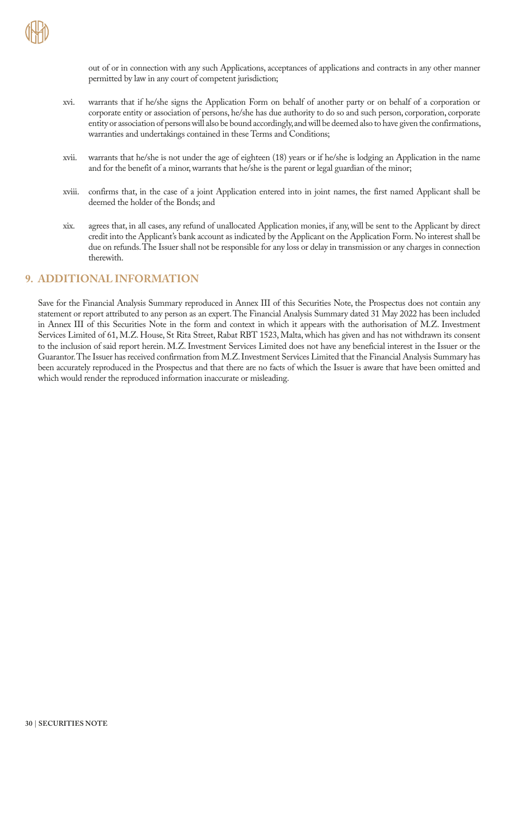out of or in connection with any such Applications, acceptances of applications and contracts in any other manner permitted by law in any court of competent jurisdiction;

- xvi. warrants that if he/she signs the Application Form on behalf of another party or on behalf of a corporation or corporate entity or association of persons, he/she has due authority to do so and such person, corporation, corporate entity or association of persons will also be bound accordingly, and will be deemed also to have given the confirmations, warranties and undertakings contained in these Terms and Conditions;
- xvii. warrants that he/she is not under the age of eighteen (18) years or if he/she is lodging an Application in the name and for the benefit of a minor, warrants that he/she is the parent or legal guardian of the minor;
- xviii. confirms that, in the case of a joint Application entered into in joint names, the first named Applicant shall be deemed the holder of the Bonds; and
- xix. agrees that, in all cases, any refund of unallocated Application monies, if any, will be sent to the Applicant by direct credit into the Applicant's bank account as indicated by the Applicant on the Application Form. No interest shall be due on refunds. The Issuer shall not be responsible for any loss or delay in transmission or any charges in connection therewith.

### **9. ADDITIONAL INFORMATION**

Save for the Financial Analysis Summary reproduced in Annex III of this Securities Note, the Prospectus does not contain any statement or report attributed to any person as an expert. The Financial Analysis Summary dated 31 May 2022 has been included in Annex III of this Securities Note in the form and context in which it appears with the authorisation of M.Z. Investment Services Limited of 61, M.Z. House, St Rita Street, Rabat RBT 1523, Malta, which has given and has not withdrawn its consent to the inclusion of said report herein. M.Z. Investment Services Limited does not have any beneficial interest in the Issuer or the Guarantor. The Issuer has received confirmation from M.Z. Investment Services Limited that the Financial Analysis Summary has been accurately reproduced in the Prospectus and that there are no facts of which the Issuer is aware that have been omitted and which would render the reproduced information inaccurate or misleading.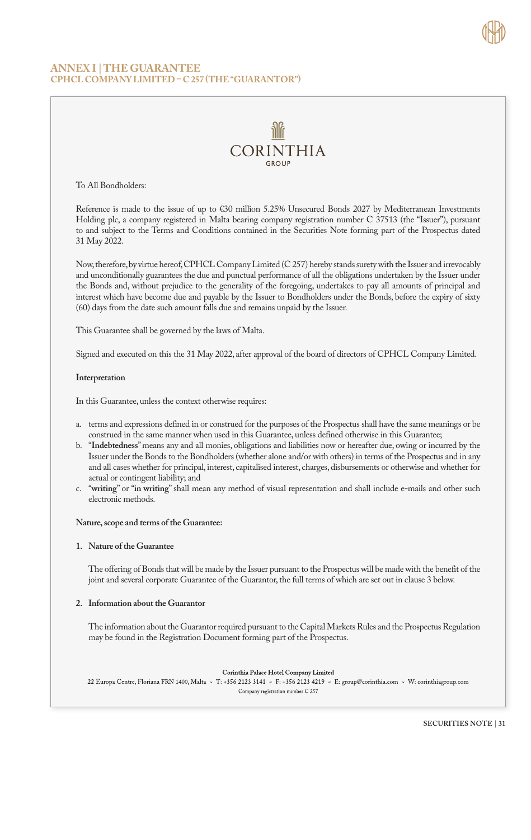### **ANNEX I | THE GUARANTEE CPHCL COMPANY LIMITED – C 257 (THE "GUARANTOR")**



To All Bondholders:

Reference is made to the issue of up to €30 million 5.25% Unsecured Bonds 2027 by Mediterranean Investments Holding plc, a company registered in Malta bearing company registration number C 37513 (the "Issuer"), pursuant to and subject to the Terms and Conditions contained in the Securities Note forming part of the Prospectus dated 31 May 2022.

Now, therefore, by virtue hereof, CPHCL Company Limited (C 257) hereby stands surety with the Issuer and irrevocably and unconditionally guarantees the due and punctual performance of all the obligations undertaken by the Issuer under the Bonds and, without prejudice to the generality of the foregoing, undertakes to pay all amounts of principal and interest which have become due and payable by the Issuer to Bondholders under the Bonds, before the expiry of sixty (60) days from the date such amount falls due and remains unpaid by the Issuer.

This Guarantee shall be governed by the laws of Malta.

Signed and executed on this the 31 May 2022, after approval of the board of directors of CPHCL Company Limited.

#### **Interpretation**

In this Guarantee, unless the context otherwise requires:

- a. terms and expressions defined in or construed for the purposes of the Prospectus shall have the same meanings or be construed in the same manner when used in this Guarantee, unless defined otherwise in this Guarantee;
- b. "**Indebtedness**" means any and all monies, obligations and liabilities now or hereafter due, owing or incurred by the Issuer under the Bonds to the Bondholders (whether alone and/or with others) in terms of the Prospectus and in any and all cases whether for principal, interest, capitalised interest, charges, disbursements or otherwise and whether for actual or contingent liability; and
- c. "**writing**" or "**in writing**" shall mean any method of visual representation and shall include e-mails and other such electronic methods.

#### **Nature, scope and terms of the Guarantee:**

#### **1. Nature of the Guarantee**

The offering of Bonds that will be made by the Issuer pursuant to the Prospectus will be made with the benefit of the joint and several corporate Guarantee of the Guarantor, the full terms of which are set out in clause 3 below.

#### **2. Information about the Guarantor**

The information about the Guarantor required pursuant to the Capital Markets Rules and the Prospectus Regulation may be found in the Registration Document forming part of the Prospectus.

Corinthia Palace Hotel Company Limited

22 Europa Centre, Floriana FRN 1400, Malta ~ T: +356 2123 3141 ~ F: +356 2123 4219 ~ E: group@corinthia.com ~ W: corinthiagroup.com Company registration number C 257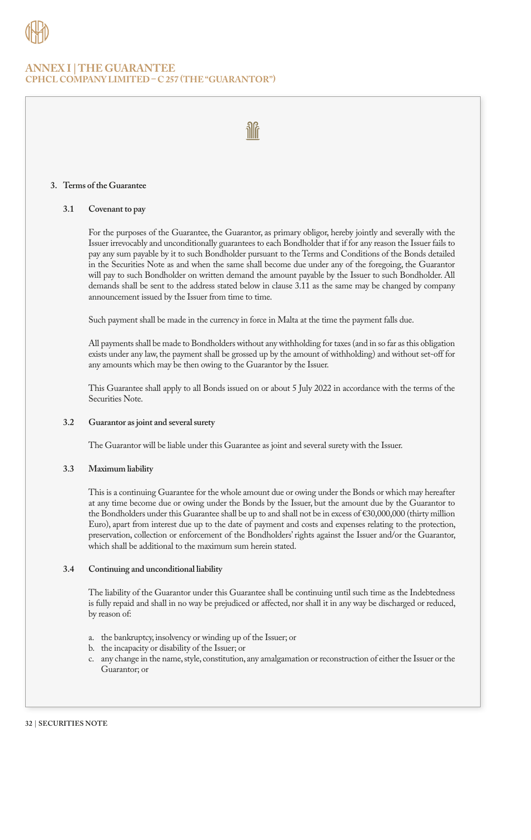

### **ANNEX I | THE GUARANTEE CPHCL COMPANY LIMITED – C 257 (THE "GUARANTOR")**

### **3. Terms of the Guarantee**

#### **3.1 Covenant to pay**

For the purposes of the Guarantee, the Guarantor, as primary obligor, hereby jointly and severally with the Issuer irrevocably and unconditionally guarantees to each Bondholder that if for any reason the Issuer fails to pay any sum payable by it to such Bondholder pursuant to the Terms and Conditions of the Bonds detailed in the Securities Note as and when the same shall become due under any of the foregoing, the Guarantor will pay to such Bondholder on written demand the amount payable by the Issuer to such Bondholder. All demands shall be sent to the address stated below in clause 3.11 as the same may be changed by company announcement issued by the Issuer from time to time.

Such payment shall be made in the currency in force in Malta at the time the payment falls due.

<u>Mf</u>

All payments shall be made to Bondholders without any withholding for taxes (and in so far as this obligation exists under any law, the payment shall be grossed up by the amount of withholding) and without set-off for any amounts which may be then owing to the Guarantor by the Issuer.

This Guarantee shall apply to all Bonds issued on or about 5 July 2022 in accordance with the terms of the Securities Note.

#### **3.2 Guarantor as joint and several surety**

The Guarantor will be liable under this Guarantee as joint and several surety with the Issuer.

#### **3.3 Maximum liability**

This is a continuing Guarantee for the whole amount due or owing under the Bonds or which may hereafter at any time become due or owing under the Bonds by the Issuer, but the amount due by the Guarantor to the Bondholders under this Guarantee shall be up to and shall not be in excess of €30,000,000 (thirty million Euro), apart from interest due up to the date of payment and costs and expenses relating to the protection, preservation, collection or enforcement of the Bondholders' rights against the Issuer and/or the Guarantor, which shall be additional to the maximum sum herein stated.

#### **3.4 Continuing and unconditional liability**

The liability of the Guarantor under this Guarantee shall be continuing until such time as the Indebtedness is fully repaid and shall in no way be prejudiced or affected, nor shall it in any way be discharged or reduced, by reason of:

- a. the bankruptcy, insolvency or winding up of the Issuer; or
- b. the incapacity or disability of the Issuer; or
- c. any change in the name, style, constitution, any amalgamation or reconstruction of either the Issuer or the Guarantor; or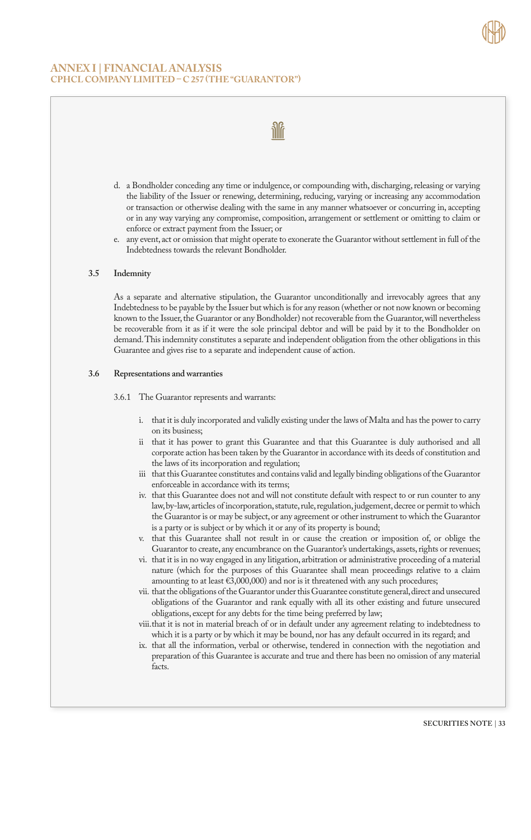

### **ANNEX I | FINANCIAL ANALYSIS CPHCL COMPANY LIMITED – C 257 (THE "GUARANTOR")**

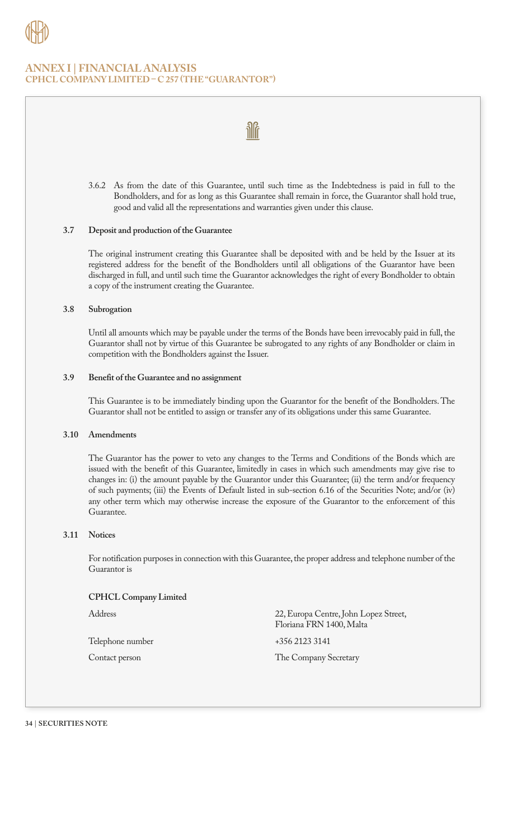

### **ANNEX I | FINANCIAL ANALYSIS CPHCL COMPANY LIMITED – C 257 (THE "GUARANTOR")**

3.6.2 As from the date of this Guarantee, until such time as the Indebtedness is paid in full to the Bondholders, and for as long as this Guarantee shall remain in force, the Guarantor shall hold true, good and valid all the representations and warranties given under this clause.

**il** 

#### **3.7 Deposit and production of the Guarantee**

The original instrument creating this Guarantee shall be deposited with and be held by the Issuer at its registered address for the benefit of the Bondholders until all obligations of the Guarantor have been discharged in full, and until such time the Guarantor acknowledges the right of every Bondholder to obtain a copy of the instrument creating the Guarantee.

#### **3.8 Subrogation**

Until all amounts which may be payable under the terms of the Bonds have been irrevocably paid in full, the Guarantor shall not by virtue of this Guarantee be subrogated to any rights of any Bondholder or claim in competition with the Bondholders against the Issuer.

#### **3.9 Benefit of the Guarantee and no assignment**

This Guarantee is to be immediately binding upon the Guarantor for the benefit of the Bondholders. The Guarantor shall not be entitled to assign or transfer any of its obligations under this same Guarantee.

#### **3.10 Amendments**

The Guarantor has the power to veto any changes to the Terms and Conditions of the Bonds which are issued with the benefit of this Guarantee, limitedly in cases in which such amendments may give rise to changes in: (i) the amount payable by the Guarantor under this Guarantee; (ii) the term and/or frequency of such payments; (iii) the Events of Default listed in sub-section 6.16 of the Securities Note; and/or (iv) any other term which may otherwise increase the exposure of the Guarantor to the enforcement of this Guarantee.

#### **3.11 Notices**

For notification purposes in connection with this Guarantee, the proper address and telephone number of the Guarantor is

#### **CPHCL Company Limited**

Telephone number +356 2123 3141

Address 22, Europa Centre, John Lopez Street, Floriana FRN 1400, Malta

Contact person The Company Secretary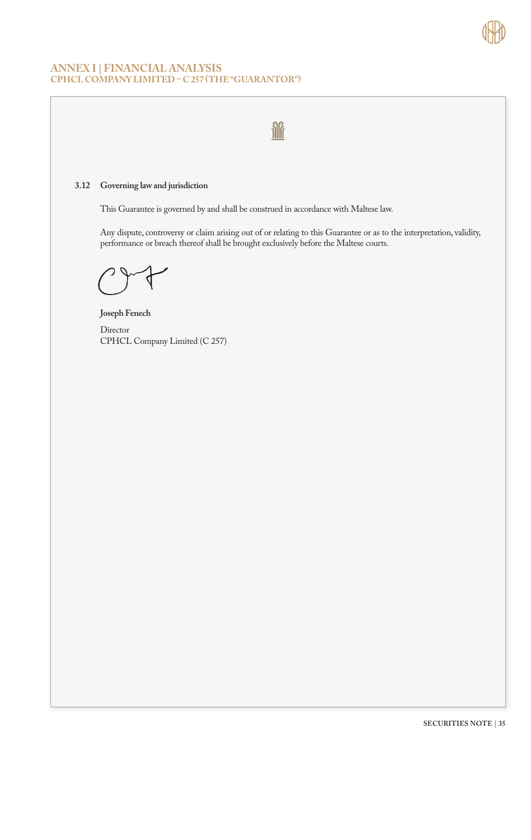

### **ANNEX I | FINANCIAL ANALYSIS CPHCL COMPANY LIMITED – C 257 (THE "GUARANTOR")**

## **3.12 Governing law and jurisdiction**

This Guarantee is governed by and shall be construed in accordance with Maltese law.

Any dispute, controversy or claim arising out of or relating to this Guarantee or as to the interpretation, validity, performance or breach thereof shall be brought exclusively before the Maltese courts.

**ilf** 

**Joseph Fenech Director** CPHCL Company Limited (C 257)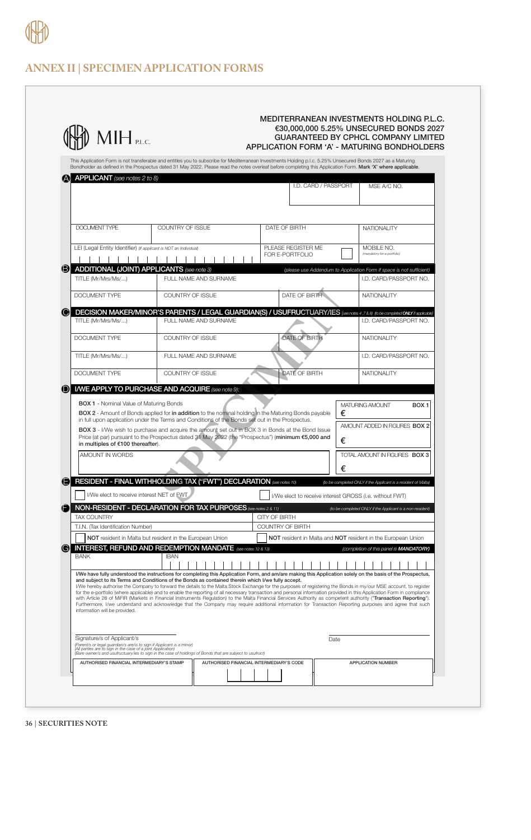

|                                                                                                                                                                     | This Application Form is not transferable and entitles you to subscribe for Mediterranean Investments Holding p.l.c. 5.25% Unsecured Bonds 2027 as a Maturing<br>Bondholder as defined in the Prospectus dated 31 May 2022. Please read the notes overleaf before completing this Application Form. Mark 'X' where applicable.                                                                                                                                                                                                                                                                                                                                                                                                                                                       |                                                         |      |                                                                                            |
|---------------------------------------------------------------------------------------------------------------------------------------------------------------------|--------------------------------------------------------------------------------------------------------------------------------------------------------------------------------------------------------------------------------------------------------------------------------------------------------------------------------------------------------------------------------------------------------------------------------------------------------------------------------------------------------------------------------------------------------------------------------------------------------------------------------------------------------------------------------------------------------------------------------------------------------------------------------------|---------------------------------------------------------|------|--------------------------------------------------------------------------------------------|
| $(A)$ APPLICANT (see notes 2 to 8)                                                                                                                                  |                                                                                                                                                                                                                                                                                                                                                                                                                                                                                                                                                                                                                                                                                                                                                                                      | I.D. CARD / PASSPORT                                    |      | MSE A/C NO.                                                                                |
|                                                                                                                                                                     |                                                                                                                                                                                                                                                                                                                                                                                                                                                                                                                                                                                                                                                                                                                                                                                      |                                                         |      |                                                                                            |
|                                                                                                                                                                     |                                                                                                                                                                                                                                                                                                                                                                                                                                                                                                                                                                                                                                                                                                                                                                                      |                                                         |      |                                                                                            |
| DOCUMENT TYPE                                                                                                                                                       | COUNTRY OF ISSUE                                                                                                                                                                                                                                                                                                                                                                                                                                                                                                                                                                                                                                                                                                                                                                     | DATE OF BIRTH                                           |      | <b>NATIONALITY</b>                                                                         |
| LEI (Legal Entity Identifier) (If applicant is NOT an Individual)                                                                                                   |                                                                                                                                                                                                                                                                                                                                                                                                                                                                                                                                                                                                                                                                                                                                                                                      | PLEASE REGISTER ME<br>FOR E-PORTFOLIO                   |      | MOBILE NO.<br>(mandatory for e-portfolio)                                                  |
|                                                                                                                                                                     | <b>B</b> ADDITIONAL (JOINT) APPLICANTS (see note 3)                                                                                                                                                                                                                                                                                                                                                                                                                                                                                                                                                                                                                                                                                                                                  |                                                         |      | (please use Addendum to Application Form if space is not sufficient)                       |
| TITLE (Mr/Mrs/Ms/)                                                                                                                                                  | FULL NAME AND SURNAME                                                                                                                                                                                                                                                                                                                                                                                                                                                                                                                                                                                                                                                                                                                                                                |                                                         |      | I.D. CARD/PASSPORT NO.                                                                     |
| DOCUMENT TYPE                                                                                                                                                       | COUNTRY OF ISSUE                                                                                                                                                                                                                                                                                                                                                                                                                                                                                                                                                                                                                                                                                                                                                                     | DATE OF BIRTH                                           |      | NATIONALITY                                                                                |
|                                                                                                                                                                     | DECISION MAKER/MINOR'S PARENTS / LEGAL GUARDIAN(S) / USUFRUCTUARY/IES (see notes 4,788) (to be completed ONLY repolated)                                                                                                                                                                                                                                                                                                                                                                                                                                                                                                                                                                                                                                                             |                                                         |      |                                                                                            |
| TITLE (Mr/Mrs/Ms/)                                                                                                                                                  | FULL NAME AND SURNAME                                                                                                                                                                                                                                                                                                                                                                                                                                                                                                                                                                                                                                                                                                                                                                |                                                         |      | I.D. CARD/PASSPORT NO.                                                                     |
| DOCUMENT TYPE                                                                                                                                                       | COUNTRY OF ISSUE                                                                                                                                                                                                                                                                                                                                                                                                                                                                                                                                                                                                                                                                                                                                                                     | DATE OF BIRTH                                           |      | <b>NATIONALITY</b>                                                                         |
| TITLE (Mr/Mrs/Ms/)                                                                                                                                                  | FULL NAME AND SURNAME                                                                                                                                                                                                                                                                                                                                                                                                                                                                                                                                                                                                                                                                                                                                                                |                                                         |      | I.D. CARD/PASSPORT NO.                                                                     |
| DOCUMENT TYPE                                                                                                                                                       | COUNTRY OF ISSUE                                                                                                                                                                                                                                                                                                                                                                                                                                                                                                                                                                                                                                                                                                                                                                     | DATE OF BIRTH                                           |      |                                                                                            |
| <b>BOX 1 - Nominal Value of Maturing Bonds</b>                                                                                                                      | <b>I/WE APPLY TO PURCHASE AND ACQUIRE</b> (see note 9):<br><b>BOX 2</b> - Amount of Bonds applied for in addition to the nominal holding in the Maturing Bonds payable<br>in full upon application under the Terms and Conditions of the Bonds set out in the Prospectus.<br>BOX 3 - I/We wish to purchase and acquire the amount set out in BOX 3 in Bonds at the Bond Issue                                                                                                                                                                                                                                                                                                                                                                                                        |                                                         | €    | <b>NATIONALITY</b><br>MATURING AMOUNT<br>BOX <sub>1</sub><br>AMOUNT ADDED IN FIGURES BOX 2 |
| in multiples of €100 thereafter).<br>AMOUNT IN WORDS                                                                                                                | Price (at par) pursuant to the Prospectus dated 31 May 2022 (the "Prospectus") (minimum €5,000 and                                                                                                                                                                                                                                                                                                                                                                                                                                                                                                                                                                                                                                                                                   |                                                         | €    | TOTAL AMOUNT IN FIGURES BOX 3                                                              |
|                                                                                                                                                                     |                                                                                                                                                                                                                                                                                                                                                                                                                                                                                                                                                                                                                                                                                                                                                                                      |                                                         | €    |                                                                                            |
|                                                                                                                                                                     | E RESIDENT - FINAL WITHHOLDING TAX ("FWT") DECLARATION (See notes 10)                                                                                                                                                                                                                                                                                                                                                                                                                                                                                                                                                                                                                                                                                                                |                                                         |      | (to be completed ONLY if the Applicant is a resident of Malta)                             |
| I/We elect to receive interest NET of EWT                                                                                                                           |                                                                                                                                                                                                                                                                                                                                                                                                                                                                                                                                                                                                                                                                                                                                                                                      | I/We elect to receive interest GROSS (i.e. without FWT) |      |                                                                                            |
| <b>TAX COUNTRY</b>                                                                                                                                                  | [D NON-RESIDENT - DECLARATION FOR TAX PURPOSES (see notes 2 & 11)                                                                                                                                                                                                                                                                                                                                                                                                                                                                                                                                                                                                                                                                                                                    | CITY OF BIRTH                                           |      | (to be completed ONLY if the Applicant is a non-resident)                                  |
| T.I.N. (Tax Identification Number)                                                                                                                                  |                                                                                                                                                                                                                                                                                                                                                                                                                                                                                                                                                                                                                                                                                                                                                                                      | COUNTRY OF BIRTH                                        |      |                                                                                            |
|                                                                                                                                                                     | NOT resident in Malta but resident in the European Union                                                                                                                                                                                                                                                                                                                                                                                                                                                                                                                                                                                                                                                                                                                             |                                                         |      | NOT resident in Malta and NOT resident in the European Union                               |
| <b>BANK</b>                                                                                                                                                         | <b>INTEREST, REFUND AND REDEMPTION MANDATE</b> (see notes 12 & 13)<br><b>IBAN</b>                                                                                                                                                                                                                                                                                                                                                                                                                                                                                                                                                                                                                                                                                                    |                                                         |      | (completion of this panel is MANDATORY)                                                    |
|                                                                                                                                                                     | I/We have fully understood the instructions for completing this Application Form, and am/are making this Application solely on the basis of the Prospectus,                                                                                                                                                                                                                                                                                                                                                                                                                                                                                                                                                                                                                          |                                                         |      |                                                                                            |
| information will be provided.                                                                                                                                       | and subject to its Terms and Conditions of the Bonds as contained therein which I/we fully accept.<br>I/We hereby authorise the Company to forward the details to the Malta Stock Exchange for the purposes of registering the Bonds in my/our MSE account, to register<br>for the e-portfolio (where applicable) and to enable the reporting of all necessary transaction and personal information provided in this Application Form in compliance<br>with Article 26 of MiFIR (Markets in Financial Instruments Regulation) to the Malta Financial Services Authority as competent authority ("Transaction Reporting").<br>Furthermore, I/we understand and acknowledge that the Company may require additional information for Transaction Reporting purposes and agree that such |                                                         |      |                                                                                            |
|                                                                                                                                                                     |                                                                                                                                                                                                                                                                                                                                                                                                                                                                                                                                                                                                                                                                                                                                                                                      |                                                         |      |                                                                                            |
| Signature/s of Applicant/s<br>(Parent/s or legal guardian/s are/is to sign if Applicant is a minor)<br>(All parties are to sign in the case of a joint Application) | (Bare owner/s and usufructuary/ies to sign in the case of holdings of Bonds that are subject to usufruct)                                                                                                                                                                                                                                                                                                                                                                                                                                                                                                                                                                                                                                                                            |                                                         | Date |                                                                                            |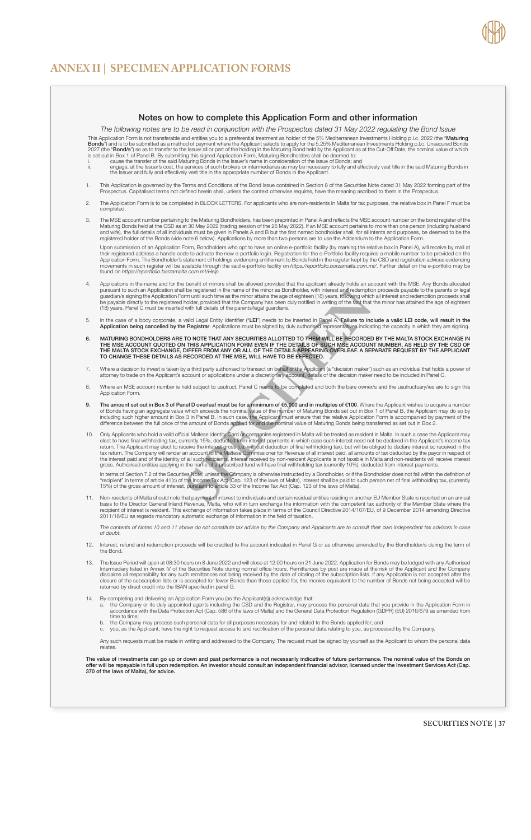

### Notes on how to complete this Application Form and other information

*The following notes are to be read in conjunction with the Prospectus dated 31 May 2022 regulating the Bond Issue*

This Application Form is not transferable and entitles you to a preferential treatment as holder of the 5% Mediterranean Investments Holding p.l.c. 2022 (the "**Maturing Bonds**") and is to be submitted as a method of paymen

- 
- 1. This Application is governed by the Terms and Conditions of the Bond Issue contained in Section 8 of the Securities Note dated 31 May 2022 forming part of the Prospectus. Capitalised terms not defined herein shall, unless the context otherwise requires, have the meaning ascribed to them in the Prospectus.
- 2. The Application Form is to be completed in BLOCK LETTERS. For applicants who are non-residents In Malta for tax purposes, the relative box in Panel F must be completed.
- 3. The MSE account number pertaining to the Maturing Bondholders, has been preprinted in Panel A and reflects the MSE account number on the bond register of the<br>Maturing Bonds held at the CSD as at 30 May 2022 (trading ses

Upon submission of an Application Form, Bondholders who opt to have an online e-portfolio facility (by marking the relative box in Panel A), will receive by mail at<br>their registered address a handle code to activate the ne

- 4. Applications in the name and for the benefit of minors shall be allowed provided that the applicant already holds an account with the MSE. Any Bonds allocated pursuant to such an Application shall be registered in the name of the minor as Bondholder, with interest and redemption proceeds payable to the parents or legal<br>guardian/s signing the Application Form until such time as t
- 5. In the case of a body corporate, a valid Legal Entity Identifier ("LEI") needs to be inserted in Panel A. Failure to include a valid LEI code, will result in the Registrar. Applications must be signed by duly authorised
- 6. MATURING BONDHOLDERS ARE TO NOTE THAT ANY SECURITIES ALLOTTED TO THEM WILL BE RECORDED BY THE MALTA STOCK EXCHANGE IN<br>THE MALTA STOCK EXCHANGE, DIFFIS APPLICATION FORM EVEN IF THE DETAILS OF SUCH MSE ACCOUNT NUMBER, AS
- 7. Where a decision to invest is taken by a third party authorised to transact on behalf of the Applicant (a "decision maker") such as an individual that holds a power of<br>attorney to trade on the Applicant's account or app
- 8. Where an MSE account number is held subject to usufruct, Panel C needs to be completed and both the bare owner/s and the usufructuary/ies are to sign this Application Form.
- 9. The amount set out in Box 3 of Panel D overleaf must be for a minimum of €5,000 and in multiples of €100. Where the Applicant wishes to acquire a number<br>of Bonds having an aggregate value which exceeds the nominal value
- 10. Only Applicants who hold a valid official Maltese Identity Card or companies registered in Malta will be treated as resident in Malta. In such a case the Applicant may elect to have final withholding tax, currently 15% If be registered in the name of the minior as Bondholder, with interest and redemption<br>
wrn until such time as the minor attains the age of eighteen (18) years, following which<br>
holder, provided that the Company has been d

In terms of Section 7.2 of the Securities Note, unless the Company is otherwise instructed by a Bondholder, or if the Bondholder does not fall within the definition of<br>"recipient" in terms of article 41(c) of the Income Ta

11. Non-residents of Malta should note that payment of interest to individuals and certain residual entities residing in another EU Member State is reported on an annual<br>basis to the Director General Inland Revenue, Malta,

*The contents of Notes 10 and 11 above do not constitute tax advice by the Company and Applicants are to consult their own independent tax advisors in case of doubt.*

- 12. Interest, refund and redemption proceeds will be credited to the account indicated in Panel G or as otherwise amended by the Bondholder/s during the term of the Bond.
- 13. The Issue Period will open at 08:30 hours on 8 June 2022 and will close at 12:00 hours on 21 June 2022. Application for Bonds may be lodged with any Authorised Intermediary listed in Annex IV of the Securities Note dur
- 
- a. By completing and delivering an Application Form you (as the Applicant(s)) acknowledge that:<br>a. the Company or its duly appointed agents including the CSD and the Registrar, may process the personal data that you provid time to time;
	- b. the Company may process such personal data for all purposes necessary for and related to the Bonds applied for; and<br>c. you, as the Applicant, have the right to request access to and rectification of the personal data re

Any such requests must be made in writing and addressed to the Company. The request must be signed by yourself as the Applicant to whom the personal data relates.

The value of investments can go up or down and past performance is not necessarily indicative of future performance. The nominal value of the Bonds on<br>offer will be repayable in full upon redemption. An investor should con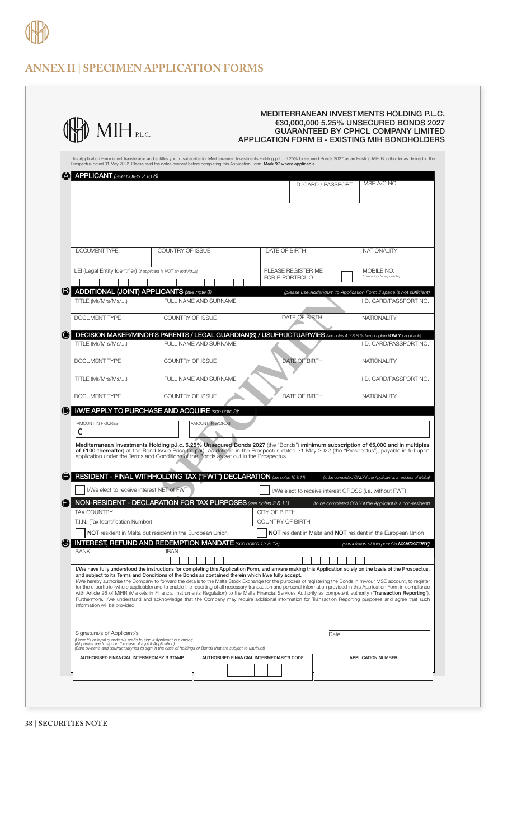

| (A) <b>APPLICANT</b> (see notes 2 to 8)                      | This Application Form is not transferable and entitles you to subscribe for Mediterranean Investments Holding p.l.c. 5.25% Unsecured Bonds 2027 as an Existing MIH Bondholder as defined in the<br>Prospectus dated 31 May 2022. Please read the notes overleaf before completing this Application Form. Mark 'X' where applicable.                                                                                                                                                                                                                                                                                                                                                                                                                                                                                                                                                                                                                 |                                                                                         |                                                                                                |
|--------------------------------------------------------------|-----------------------------------------------------------------------------------------------------------------------------------------------------------------------------------------------------------------------------------------------------------------------------------------------------------------------------------------------------------------------------------------------------------------------------------------------------------------------------------------------------------------------------------------------------------------------------------------------------------------------------------------------------------------------------------------------------------------------------------------------------------------------------------------------------------------------------------------------------------------------------------------------------------------------------------------------------|-----------------------------------------------------------------------------------------|------------------------------------------------------------------------------------------------|
|                                                              |                                                                                                                                                                                                                                                                                                                                                                                                                                                                                                                                                                                                                                                                                                                                                                                                                                                                                                                                                     | I.D. CARD / PASSPORT                                                                    | MSE A/C NO.                                                                                    |
|                                                              |                                                                                                                                                                                                                                                                                                                                                                                                                                                                                                                                                                                                                                                                                                                                                                                                                                                                                                                                                     |                                                                                         |                                                                                                |
| DOCUMENT TYPE                                                | COUNTRY OF ISSUE                                                                                                                                                                                                                                                                                                                                                                                                                                                                                                                                                                                                                                                                                                                                                                                                                                                                                                                                    | DATE OF BIRTH                                                                           | NATIONALITY                                                                                    |
|                                                              | LEI (Legal Entity Identifier) (If applicant is NOT an Individual)                                                                                                                                                                                                                                                                                                                                                                                                                                                                                                                                                                                                                                                                                                                                                                                                                                                                                   | PLEASE REGISTER ME                                                                      | MOBILE NO.                                                                                     |
|                                                              |                                                                                                                                                                                                                                                                                                                                                                                                                                                                                                                                                                                                                                                                                                                                                                                                                                                                                                                                                     | FOR E-PORTFOLIO                                                                         | (mandatory for e-portfolio)                                                                    |
| TITLE (Mr/Mrs/Ms/)                                           | <b>B</b> ADDITIONAL (JOINT) APPLICANTS (see note 3)<br>FULL NAME AND SURNAME                                                                                                                                                                                                                                                                                                                                                                                                                                                                                                                                                                                                                                                                                                                                                                                                                                                                        |                                                                                         | (please use Addendum to Application Form if space is not sufficient)<br>I.D. CARD/PASSPORT NO. |
| <b>DOCUMENT TYPE</b>                                         | COUNTRY OF ISSUE                                                                                                                                                                                                                                                                                                                                                                                                                                                                                                                                                                                                                                                                                                                                                                                                                                                                                                                                    | DATE OF BIRTH                                                                           | <b>NATIONALITY</b>                                                                             |
| 0                                                            | <b>DECISION MAKER/MINOR'S PARENTS / LEGAL GUARDIAN(S) / USUFRUCTUARY/IES</b> (see notes 4, 7 & 8) (to be completed ONLY if applicable)                                                                                                                                                                                                                                                                                                                                                                                                                                                                                                                                                                                                                                                                                                                                                                                                              |                                                                                         |                                                                                                |
| TITLE (Mr/Mrs/Ms/)                                           | FULL NAME AND SURNAME                                                                                                                                                                                                                                                                                                                                                                                                                                                                                                                                                                                                                                                                                                                                                                                                                                                                                                                               |                                                                                         | I.D. CARD/PASSPORT NO.                                                                         |
| DOCUMENT TYPE                                                | COUNTRY OF ISSUE                                                                                                                                                                                                                                                                                                                                                                                                                                                                                                                                                                                                                                                                                                                                                                                                                                                                                                                                    | <b>DATE OF BIRTH</b>                                                                    | <b>NATIONALITY</b>                                                                             |
| TITLE (Mr/Mrs/Ms/)                                           | FULL NAME AND SURNAME                                                                                                                                                                                                                                                                                                                                                                                                                                                                                                                                                                                                                                                                                                                                                                                                                                                                                                                               |                                                                                         | I.D. CARD/PASSPORT NO.                                                                         |
| DOCUMENT TYPE                                                | COUNTRY OF ISSUE                                                                                                                                                                                                                                                                                                                                                                                                                                                                                                                                                                                                                                                                                                                                                                                                                                                                                                                                    | DATE OF BIRTH                                                                           | <b>NATIONALITY</b>                                                                             |
| AMOUNT IN FIGURES<br>€                                       | AMOUNT IN WORDS<br>Mediterranean Investments Holding p.l.c. 5.25% Unsecured Bonds 2027 (the "Bonds") (minimum subscription of €5,000 and in multiples<br>of €100 thereafter) at the Bond Issue Price (at par), as defined in the Prospectus dated 31 May 2022 (the "Prospectus"), payable in full upon<br>application under the Terms and Conditions of the Bonds as set out in the Prospectus.                                                                                                                                                                                                                                                                                                                                                                                                                                                                                                                                                     |                                                                                         |                                                                                                |
|                                                              | <b>E</b> RESIDENT - FINAL WITHHOLDING TAX ("FWT") DECLARATION see notes 10 & 11)                                                                                                                                                                                                                                                                                                                                                                                                                                                                                                                                                                                                                                                                                                                                                                                                                                                                    |                                                                                         | (to be completed ONLY if the Applicant is a resident of Malta)                                 |
|                                                              | I/We elect to receive interest NET of FWT                                                                                                                                                                                                                                                                                                                                                                                                                                                                                                                                                                                                                                                                                                                                                                                                                                                                                                           | I/We elect to receive interest GROSS (i.e. without FWT)                                 |                                                                                                |
|                                                              | NON-RESIDENT - DECLARATION FOR TAX PURPOSES (see notes 2 & 11)                                                                                                                                                                                                                                                                                                                                                                                                                                                                                                                                                                                                                                                                                                                                                                                                                                                                                      |                                                                                         | (to be completed ONLY if the Applicant is a non-resident)                                      |
| <b>TAX COUNTRY</b>                                           |                                                                                                                                                                                                                                                                                                                                                                                                                                                                                                                                                                                                                                                                                                                                                                                                                                                                                                                                                     | <b>CITY OF BIRTH</b>                                                                    |                                                                                                |
| T.I.N. (Tax Identification Number)                           |                                                                                                                                                                                                                                                                                                                                                                                                                                                                                                                                                                                                                                                                                                                                                                                                                                                                                                                                                     | <b>COUNTRY OF BIRTH</b><br>NOT resident in Malta and NOT resident in the European Union |                                                                                                |
|                                                              | NOT resident in Malta but resident in the European Union<br><b>G INTEREST, REFUND AND REDEMPTION MANDATE</b> (see notes 12 & 13)                                                                                                                                                                                                                                                                                                                                                                                                                                                                                                                                                                                                                                                                                                                                                                                                                    |                                                                                         | (completion of this panel is MANDATORY)                                                        |
| <b>BANK</b>                                                  | <b>IBAN</b>                                                                                                                                                                                                                                                                                                                                                                                                                                                                                                                                                                                                                                                                                                                                                                                                                                                                                                                                         |                                                                                         |                                                                                                |
| information will be provided.                                | I/We have fully understood the instructions for completing this Application Form, and am/are making this Application solely on the basis of the Prospectus,<br>and subject to its Terms and Conditions of the Bonds as contained therein which I/we fully accept.<br>I/We hereby authorise the Company to forward the details to the Malta Stock Exchange for the purposes of registering the Bonds in my/our MSE account, to register<br>for the e-portfolio (where applicable) and to enable the reporting of all necessary transaction and personal information provided in this Application Form in compliance<br>with Article 26 of MiFIR (Markets in Financial Instruments Regulation) to the Malta Financial Services Authority as competent authority ("Transaction Reporting").<br>Furthermore, I/we understand and acknowledge that the Company may require additional information for Transaction Reporting purposes and agree that such |                                                                                         |                                                                                                |
| Signature/s of Applicant/s                                   | (Parent/s or legal guardian/s are/is to sign if Applicant is a minor)                                                                                                                                                                                                                                                                                                                                                                                                                                                                                                                                                                                                                                                                                                                                                                                                                                                                               | Date                                                                                    |                                                                                                |
| (All parties are to sign in the case of a joint Application) | (Bare owner/s and usufructuary/ies to sign in the case of holdings of Bonds that are subject to usufruct)                                                                                                                                                                                                                                                                                                                                                                                                                                                                                                                                                                                                                                                                                                                                                                                                                                           |                                                                                         |                                                                                                |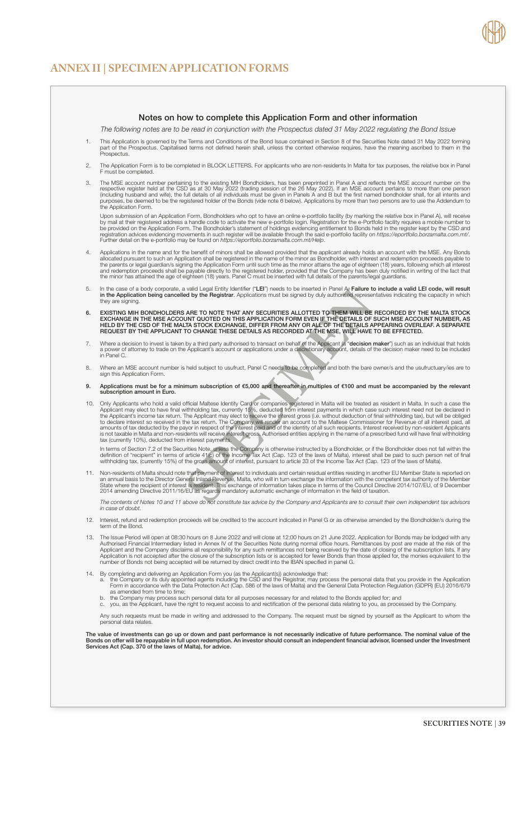

#### Notes on how to complete this Application Form and other information

*The following notes are to be read in conjunction with the Prospectus dated 31 May 2022 regulating the Bond Issue*

- 1. This Application is governed by the Terms and Conditions of the Bond Issue contained in Section 8 of the Securities Note dated 31 May 2022 forming<br>part of the Prospectus. Capitalised terms not defined herein shall, unle
- 2. The Application Form is to be completed in BLOCK LETTERS. For applicants who are non-residents In Malta for tax purposes, the relative box in Panel F must be completed.
- 3. The MSE account number pertaining to the existing MIH Bondholders, has been preprinted in Panel A and reflects the MSE account number on the respective register held at the CSD as at 30 May 2022 (trading bushand and wif purposes, be deeme<br>the Application Form.

Upon submission of an Application Form, Bondholders who opt to have an online e-portfolio facility (by marking the relative box in Panel A), will receive<br>by mail at their registered address a handle code to activate the ne

- 4. Applications in the name and for the benefit of minors shall be allowed provided that the applicant already holds an account with the MSE. Any Bonds allocated pursuant to such an Application shall be registered in the name of the minor as Bondholder, with interest and redemption proceeds payable to the parents or legal guardian/s signing the Application Form until such time as the minor attains the age of eighteen (18) years, following which all interest<br>and redemption proceeds shall be payable directly to the regist
- for the case of a body corporate, a valid Legal Entity Identifier ("LEI") needs to be inserted in Panel A. Failure to include a valid LEI code, will result conde, will result in the Application being cancelled by the Regis they are signing.
- 6. EXISTING MIH BONDHOLDERS ARE TO NOTE THAT ANY SECURITIES ALLOTTED TO THEM WILL BE RECORDED BY THE MALTA STOCK<br>EXCHANGE IN THE MSE ACCOUNT QUOTED ON THIS APPLICATION FORM EVEN IF THE DETAILS OF SUCH MSE ACCOUNT NUMBER, A
- 7. Where a decision to invest is taken by a third party authorised to transact on behalf of the Applicant (a "decision maker") such as an individual that holds<br>a power of attorney to trade on the Applicant's account or app
- 8. Where an MSE account number is held subject to usufruct, Panel C needs to be completed and both the bare owner/s and the usufructuary/ies are to sign this Application Form.
- 9. Applications must be for a minimum subscription of €5,000 and thereafter in multiples of €100 and must be accompanied by the relevant subscription amount in Euro.
- 10. Only Applicants who hold a valid official Maltese Identity Card or companies registered in Malta will be treated as resident in Malta. In such a case the Applicant may elect to have final witholding tax, currently 15%, Wall Legal entity loadfullence (TEF) needs to be inseried in Panel Ay **Fallure to**<br> **SHOT ON THE SETALLOTED TO THEM WILL BEEN AND MOVEM THE SETALLS ARE TO NOTE THAT ANY SECURITIES ALLOTTED TO THEM WILL BETAILS OF THE DETAI**

In terms of Section 7.2 of the Securities Note, unless the Company is otherwise instructed by a Bondholder, or if the Bondholder does not fall within the<br>definition of "recipient" in terms of article 41(c) of the Income Ta

11. Non-residents of Malta should note that payment of interest to individuals and certain residual entities residing in another EU Member State is reported on<br>an annual basis to the Director General Inland Revenue, Malta,

*The contents of Notes 10 and 11 above do not constitute tax advice by the Company and Applicants are to consult their own independent tax advisors in case of doubt.*

- 12. Interest, refund and redemption proceeds will be credited to the account indicated in Panel G or as otherwise amended by the Bondholder/s during the term of the Bond.
- 13. The Issue Period will open at 08:30 hours on 8 June 2022 and will close at 12:00 hours on 21 June 2022. Application for Bonds may be lodged with any Authorised Financial Intermediary listed in Annex IV of the Securities Note during normal office hours. Remittances by post are made at the risk of the<br>Applicant and the Company disclaims all responsibility for any such re
- 
- 14. By completing and delivering an Application Form you (as the Applicant(s)) acknowledge that:<br>a. the Company or its duly appointed agents including the CSD and the Registrar, may process the personal data that you provi as amended from time to time;
	- b. the Company may process such personal data for all purposes necessary for and related to the Bonds applied for; and<br>c. you, as the Applicant, have the right to request access to and rectification of the personal data re

Any such requests must be made in writing and addressed to the Company. The request must be signed by yourself as the Applicant to whom the personal data relate.

The value of investments can go up or down and past performance is not necessarily indicative of future performance. The nominal value of the<br>Bonds on offer will be repayable in full upon redemption. An investor should con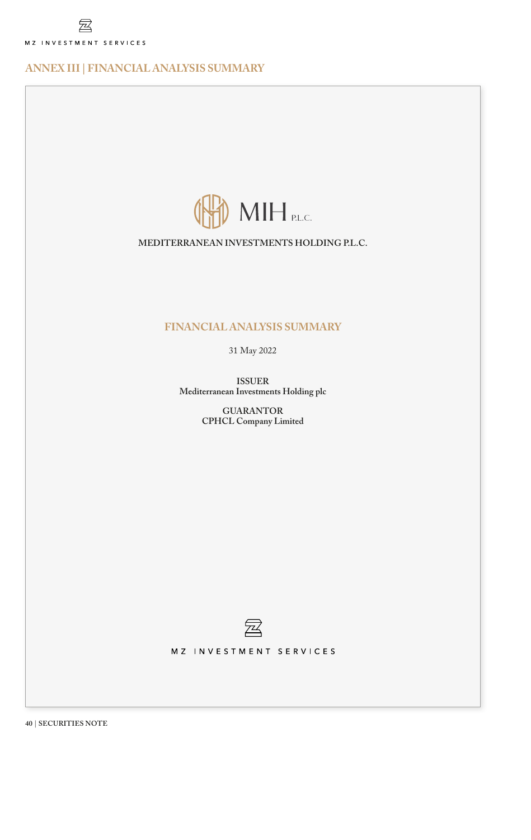## **ANNEX III | FINANCIAL ANALYSIS SUMMARY**



**MEDITERRANEAN INVESTMENTS HOLDING P.L.C.**

## **FINANCIAL ANALYSIS SUMMARY**

31 May 2022

**ISSUER Mediterranean Investments Holding plc**

> **GUARANTOR CPHCL Company Limited**



MZ INVESTMENT SERVICES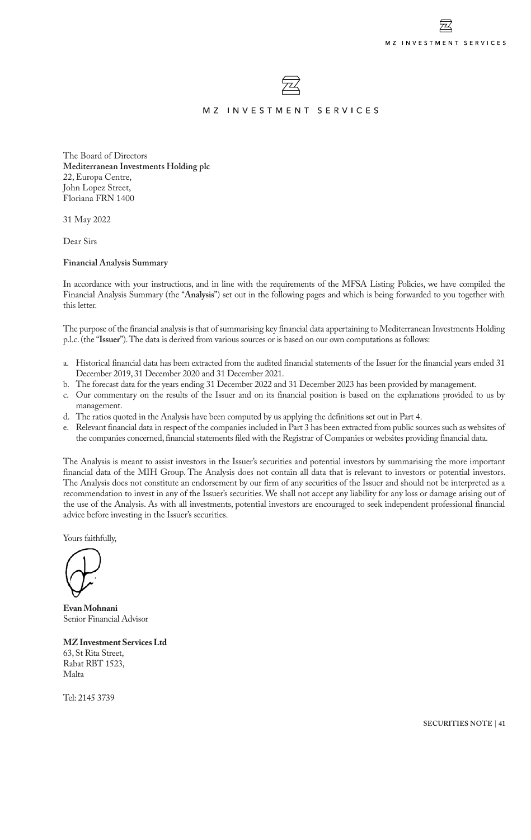

### MZ INVESTMENT SERVICES

The Board of Directors **Mediterranean Investments Holding plc** 22, Europa Centre, John Lopez Street, Floriana FRN 1400

31 May 2022

Dear Sirs

### **Financial Analysis Summary**

In accordance with your instructions, and in line with the requirements of the MFSA Listing Policies, we have compiled the Financial Analysis Summary (the "**Analysis**") set out in the following pages and which is being forwarded to you together with this letter.

The purpose of the financial analysis is that of summarising key financial data appertaining to Mediterranean Investments Holding p.l.c. (the "**Issuer**"). The data is derived from various sources or is based on our own computations as follows:

- a. Historical financial data has been extracted from the audited financial statements of the Issuer for the financial years ended 31 December 2019, 31 December 2020 and 31 December 2021.
- b. The forecast data for the years ending 31 December 2022 and 31 December 2023 has been provided by management.
- c. Our commentary on the results of the Issuer and on its financial position is based on the explanations provided to us by management.
- d. The ratios quoted in the Analysis have been computed by us applying the definitions set out in Part 4.
- e. Relevant financial data in respect of the companies included in Part 3 has been extracted from public sources such as websites of the companies concerned, financial statements filed with the Registrar of Companies or websites providing financial data.

The Analysis is meant to assist investors in the Issuer's securities and potential investors by summarising the more important financial data of the MIH Group. The Analysis does not contain all data that is relevant to investors or potential investors. The Analysis does not constitute an endorsement by our firm of any securities of the Issuer and should not be interpreted as a recommendation to invest in any of the Issuer's securities. We shall not accept any liability for any loss or damage arising out of the use of the Analysis. As with all investments, potential investors are encouraged to seek independent professional financial advice before investing in the Issuer's securities.

Yours faithfully,



**Evan Mohnani** Senior Financial Advisor

**MZ Investment Services Ltd** 63, St Rita Street, Rabat RBT 1523, Malta

Tel: 2145 3739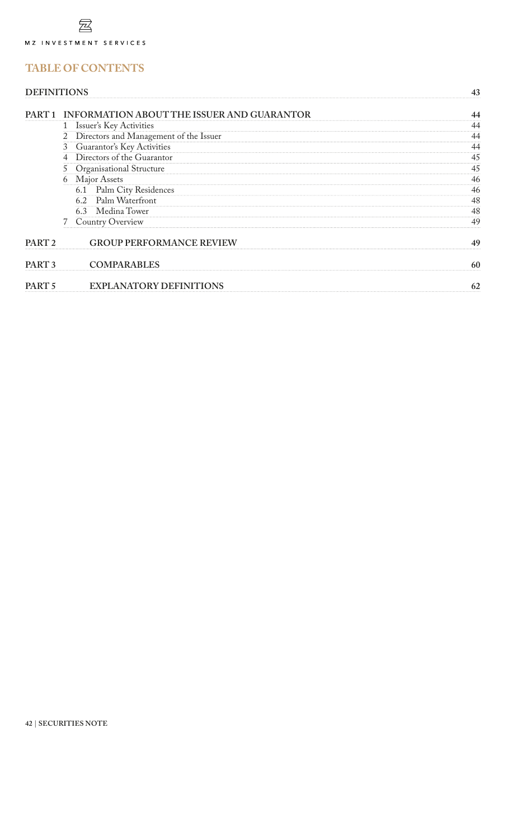## **TABLE OF CONTENTS**

## **DEFINITIONS 43**

| PART <sub>1</sub>   |                                        | INFORMATION ABOUT THE ISSUER AND GUARANTOR | 44 |  |
|---------------------|----------------------------------------|--------------------------------------------|----|--|
|                     |                                        | Issuer's Key Activities                    | 44 |  |
|                     | Directors and Management of the Issuer |                                            |    |  |
|                     | Guarantor's Key Activities             |                                            |    |  |
|                     |                                        | Directors of the Guarantor                 | 45 |  |
|                     | 5                                      | Organisational Structure                   | 45 |  |
|                     | 6                                      | Major Assets                               | 46 |  |
|                     |                                        | 6.1 Palm City Residences                   | 46 |  |
| 6.2 Palm Waterfront |                                        |                                            | 48 |  |
|                     |                                        | 6.3 Medina Tower                           | 48 |  |
|                     |                                        | Country Overview                           | 49 |  |
| PART <sub>2</sub>   |                                        | <b>GROUP PERFORMANCE REVIEW</b>            | 49 |  |
| PART <sub>3</sub>   |                                        | <b>COMPARABLES</b>                         | 60 |  |
| PART <sub>5</sub>   |                                        | <b>EXPLANATORY DEFINITIONS</b>             | 62 |  |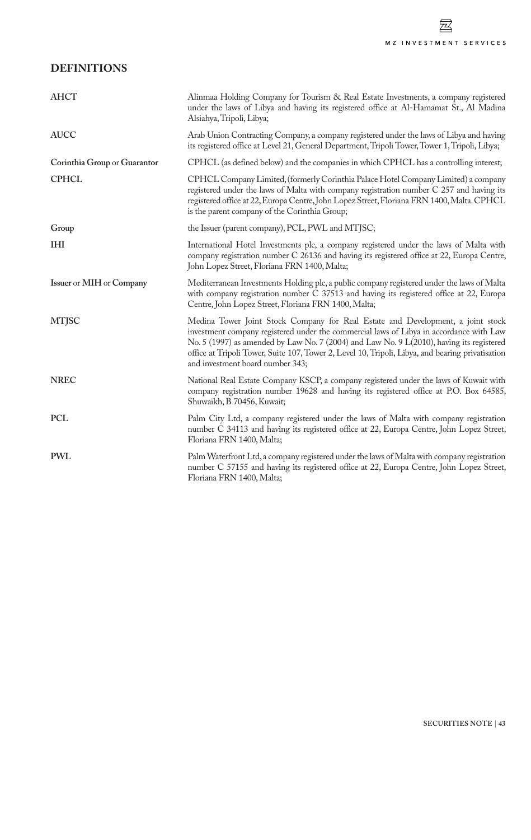

## **DEFINITIONS**

| <b>AHCT</b>                  | Alinmaa Holding Company for Tourism & Real Estate Investments, a company registered<br>under the laws of Libya and having its registered office at Al-Hamamat St., Al Madina<br>Alsiahya, Tripoli, Libya;                                                                                                                                                                                                      |
|------------------------------|----------------------------------------------------------------------------------------------------------------------------------------------------------------------------------------------------------------------------------------------------------------------------------------------------------------------------------------------------------------------------------------------------------------|
| <b>AUCC</b>                  | Arab Union Contracting Company, a company registered under the laws of Libya and having<br>its registered office at Level 21, General Department, Tripoli Tower, Tower 1, Tripoli, Libya;                                                                                                                                                                                                                      |
| Corinthia Group or Guarantor | CPHCL (as defined below) and the companies in which CPHCL has a controlling interest;                                                                                                                                                                                                                                                                                                                          |
| <b>CPHCL</b>                 | CPHCL Company Limited, (formerly Corinthia Palace Hotel Company Limited) a company<br>registered under the laws of Malta with company registration number C 257 and having its<br>registered office at 22, Europa Centre, John Lopez Street, Floriana FRN 1400, Malta. CPHCL<br>is the parent company of the Corinthia Group;                                                                                  |
| Group                        | the Issuer (parent company), PCL, PWL and MTJSC;                                                                                                                                                                                                                                                                                                                                                               |
| <b>IHI</b>                   | International Hotel Investments plc, a company registered under the laws of Malta with<br>company registration number C 26136 and having its registered office at 22, Europa Centre,<br>John Lopez Street, Floriana FRN 1400, Malta;                                                                                                                                                                           |
| Issuer or MIH or Company     | Mediterranean Investments Holding plc, a public company registered under the laws of Malta<br>with company registration number C 37513 and having its registered office at 22, Europa<br>Centre, John Lopez Street, Floriana FRN 1400, Malta;                                                                                                                                                                  |
| <b>MTJSC</b>                 | Medina Tower Joint Stock Company for Real Estate and Development, a joint stock<br>investment company registered under the commercial laws of Libya in accordance with Law<br>No. 5 (1997) as amended by Law No. 7 (2004) and Law No. 9 L(2010), having its registered<br>office at Tripoli Tower, Suite 107, Tower 2, Level 10, Tripoli, Libya, and bearing privatisation<br>and investment board number 343; |
| <b>NREC</b>                  | National Real Estate Company KSCP, a company registered under the laws of Kuwait with<br>company registration number 19628 and having its registered office at P.O. Box 64585,<br>Shuwaikh, B 70456, Kuwait;                                                                                                                                                                                                   |
| <b>PCL</b>                   | Palm City Ltd, a company registered under the laws of Malta with company registration<br>number C 34113 and having its registered office at 22, Europa Centre, John Lopez Street,<br>Floriana FRN 1400, Malta;                                                                                                                                                                                                 |
| <b>PWL</b>                   | Palm Waterfront Ltd, a company registered under the laws of Malta with company registration<br>number C 57155 and having its registered office at 22, Europa Centre, John Lopez Street,<br>Floriana FRN 1400, Malta;                                                                                                                                                                                           |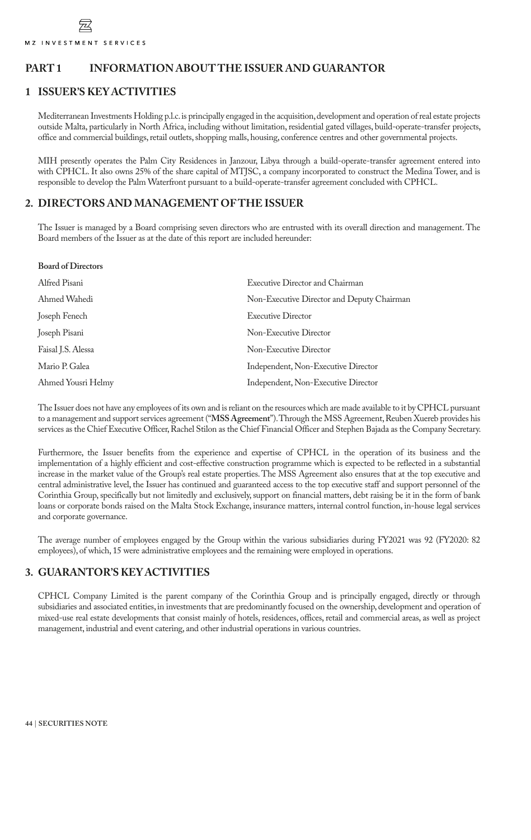## **PART 1 INFORMATION ABOUT THE ISSUER AND GUARANTOR**

## **1 ISSUER'S KEY ACTIVITIES**

Mediterranean Investments Holding p.l.c. is principally engaged in the acquisition, development and operation of real estate projects outside Malta, particularly in North Africa, including without limitation, residential gated villages, build-operate-transfer projects, office and commercial buildings, retail outlets, shopping malls, housing, conference centres and other governmental projects.

MIH presently operates the Palm City Residences in Janzour, Libya through a build-operate-transfer agreement entered into with CPHCL. It also owns 25% of the share capital of MTJSC, a company incorporated to construct the Medina Tower, and is responsible to develop the Palm Waterfront pursuant to a build-operate-transfer agreement concluded with CPHCL.

## **2. DIRECTORS AND MANAGEMENT OF THE ISSUER**

The Issuer is managed by a Board comprising seven directors who are entrusted with its overall direction and management. The Board members of the Issuer as at the date of this report are included hereunder:

| <b>Board of Directors</b> |                                            |
|---------------------------|--------------------------------------------|
| Alfred Pisani             | Executive Director and Chairman            |
| Ahmed Wahedi              | Non-Executive Director and Deputy Chairman |
| Joseph Fenech             | <b>Executive Director</b>                  |
| Joseph Pisani             | Non-Executive Director                     |
| Faisal J.S. Alessa        | Non-Executive Director                     |
| Mario P. Galea            | Independent, Non-Executive Director        |
| Ahmed Yousri Helmy        | Independent, Non-Executive Director        |

The Issuer does not have any employees of its own and is reliant on the resources which are made available to it by CPHCL pursuant to a management and support services agreement ("**MSS Agreement**"). Through the MSS Agreement, Reuben Xuereb provides his services as the Chief Executive Officer, Rachel Stilon as the Chief Financial Officer and Stephen Bajada as the Company Secretary.

Furthermore, the Issuer benefits from the experience and expertise of CPHCL in the operation of its business and the implementation of a highly efficient and cost-effective construction programme which is expected to be reflected in a substantial increase in the market value of the Group's real estate properties. The MSS Agreement also ensures that at the top executive and central administrative level, the Issuer has continued and guaranteed access to the top executive staff and support personnel of the Corinthia Group, specifically but not limitedly and exclusively, support on financial matters, debt raising be it in the form of bank loans or corporate bonds raised on the Malta Stock Exchange, insurance matters, internal control function, in-house legal services and corporate governance.

The average number of employees engaged by the Group within the various subsidiaries during FY2021 was 92 (FY2020: 82 employees), of which, 15 were administrative employees and the remaining were employed in operations.

## **3. GUARANTOR'S KEY ACTIVITIES**

CPHCL Company Limited is the parent company of the Corinthia Group and is principally engaged, directly or through subsidiaries and associated entities, in investments that are predominantly focused on the ownership, development and operation of mixed-use real estate developments that consist mainly of hotels, residences, offices, retail and commercial areas, as well as project management, industrial and event catering, and other industrial operations in various countries.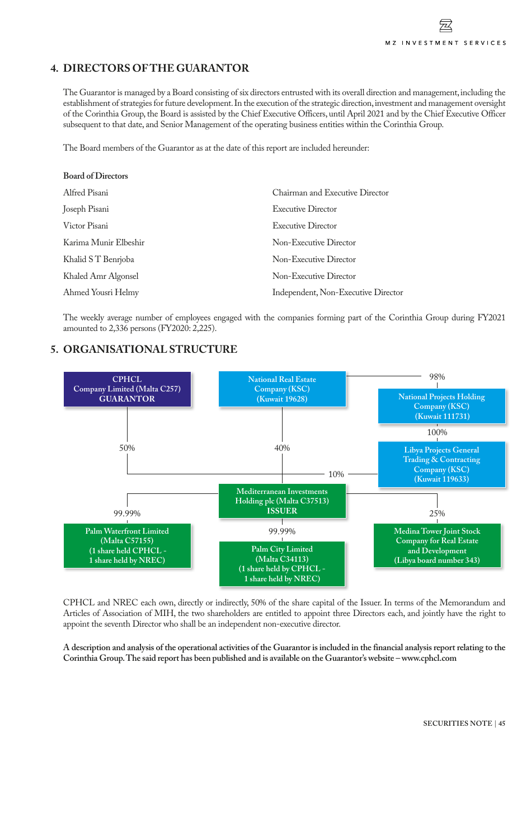## **4. DIRECTORS OF THE GUARANTOR**

The Guarantor is managed by a Board consisting of six directors entrusted with its overall direction and management, including the establishment of strategies for future development. In the execution of the strategic direction, investment and management oversight of the Corinthia Group, the Board is assisted by the Chief Executive Officers, until April 2021 and by the Chief Executive Officer subsequent to that date, and Senior Management of the operating business entities within the Corinthia Group.

The Board members of the Guarantor as at the date of this report are included hereunder:

| <b>Board of Directors</b> |                                     |
|---------------------------|-------------------------------------|
| Alfred Pisani             | Chairman and Executive Director     |
| Joseph Pisani             | <b>Executive Director</b>           |
| Victor Pisani             | <b>Executive Director</b>           |
| Karima Munir Elbeshir     | Non-Executive Director              |
| Khalid ST Benrjoba        | Non-Executive Director              |
| Khaled Amr Algonsel       | Non-Executive Director              |
| Ahmed Yousri Helmy        | Independent, Non-Executive Director |

The weekly average number of employees engaged with the companies forming part of the Corinthia Group during FY2021 amounted to 2,336 persons (FY2020: 2,225).

## **5. ORGANISATIONAL STRUCTURE**



CPHCL and NREC each own, directly or indirectly, 50% of the share capital of the Issuer. In terms of the Memorandum and Articles of Association of MIH, the two shareholders are entitled to appoint three Directors each, and jointly have the right to appoint the seventh Director who shall be an independent non-executive director.

**A description and analysis of the operational activities of the Guarantor is included in the financial analysis report relating to the Corinthia Group. The said report has been published and is available on the Guarantor's website – www.cphcl.com**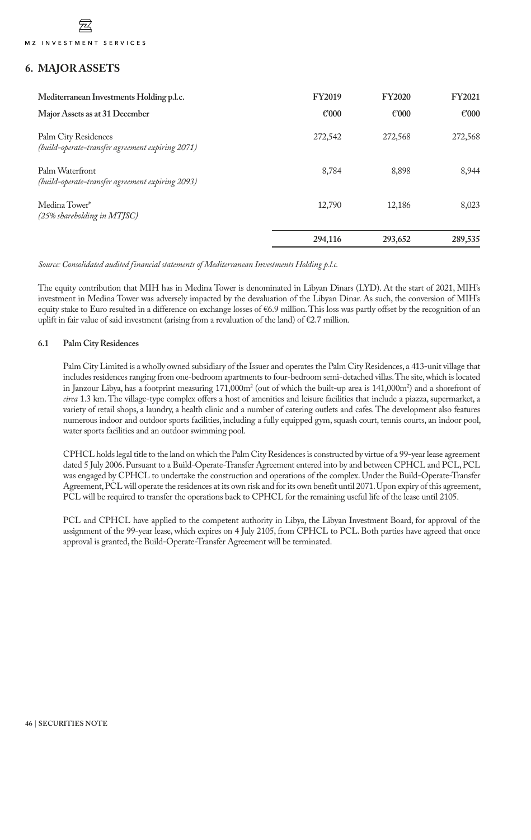## **6. MAJOR ASSETS**

| Mediterranean Investments Holding p.l.c.                                 | <b>FY2019</b> | <b>FY2020</b> | <b>FY2021</b> |
|--------------------------------------------------------------------------|---------------|---------------|---------------|
| Major Assets as at 31 December                                           | € $000$       | €'000         | €'000         |
| Palm City Residences<br>(build-operate-transfer agreement expiring 2071) | 272,542       | 272,568       | 272,568       |
| Palm Waterfront<br>(build-operate-transfer agreement expiring 2093)      | 8,784         | 8,898         | 8,944         |
| Medina Tower*<br>(25% shareholding in MTJSC)                             | 12,790        | 12,186        | 8,023         |
|                                                                          | 294,116       | 293,652       | 289,535       |

*Source: Consolidated audited financial statements of Mediterranean Investments Holding p.l.c.*

The equity contribution that MIH has in Medina Tower is denominated in Libyan Dinars (LYD). At the start of 2021, MIH's investment in Medina Tower was adversely impacted by the devaluation of the Libyan Dinar. As such, the conversion of MIH's equity stake to Euro resulted in a difference on exchange losses of €6.9 million. This loss was partly offset by the recognition of an uplift in fair value of said investment (arising from a revaluation of the land) of €2.7 million.

### **6.1 Palm City Residences**

Palm City Limited is a wholly owned subsidiary of the Issuer and operates the Palm City Residences, a 413-unit village that includes residences ranging from one-bedroom apartments to four-bedroom semi-detached villas. The site, which is located in Janzour Libya, has a footprint measuring 171,000m<sup>2</sup> (out of which the built-up area is 141,000m<sup>2</sup>) and a shorefront of *circa* 1.3 km. The village-type complex offers a host of amenities and leisure facilities that include a piazza, supermarket, a variety of retail shops, a laundry, a health clinic and a number of catering outlets and cafes. The development also features numerous indoor and outdoor sports facilities, including a fully equipped gym, squash court, tennis courts, an indoor pool, water sports facilities and an outdoor swimming pool.

CPHCL holds legal title to the land on which the Palm City Residences is constructed by virtue of a 99-year lease agreement dated 5 July 2006. Pursuant to a Build-Operate-Transfer Agreement entered into by and between CPHCL and PCL, PCL was engaged by CPHCL to undertake the construction and operations of the complex. Under the Build-Operate-Transfer Agreement, PCL will operate the residences at its own risk and for its own benefit until 2071. Upon expiry of this agreement, PCL will be required to transfer the operations back to CPHCL for the remaining useful life of the lease until 2105.

PCL and CPHCL have applied to the competent authority in Libya, the Libyan Investment Board, for approval of the assignment of the 99-year lease, which expires on 4 July 2105, from CPHCL to PCL. Both parties have agreed that once approval is granted, the Build-Operate-Transfer Agreement will be terminated.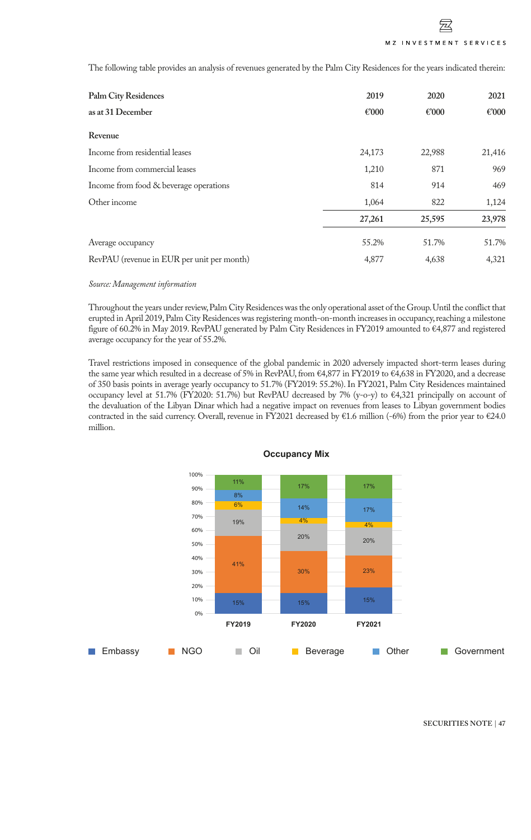The following table provides an analysis of revenues generated by the Palm City Residences for the years indicated therein:

| <b>Palm City Residences</b><br>as at 31 December | 2019<br>€'000 | 2020<br>€'000 | 2021<br>€'000 |
|--------------------------------------------------|---------------|---------------|---------------|
|                                                  |               |               |               |
| Revenue                                          |               |               |               |
| Income from residential leases                   | 24,173        | 22,988        | 21,416        |
| Income from commercial leases                    | 1,210         | 871           | 969           |
| Income from food & beverage operations           | 814           | 914           | 469           |
| Other income                                     | 1,064         | 822           | 1,124         |
|                                                  | 27,261        | 25,595        | 23,978        |
| Average occupancy                                | 55.2%         | 51.7%         | 51.7%         |
| RevPAU (revenue in EUR per unit per month)       | 4,877         | 4,638         | 4,321         |

*Source: Management information*

Throughout the years under review, Palm City Residences was the only operational asset of the Group. Until the conflict that erupted in April 2019, Palm City Residences was registering month-on-month increases in occupancy, reaching a milestone figure of 60.2% in May 2019. RevPAU generated by Palm City Residences in FY2019 amounted to €4,877 and registered average occupancy for the year of 55.2%.

Travel restrictions imposed in consequence of the global pandemic in 2020 adversely impacted short-term leases during the same year which resulted in a decrease of 5% in RevPAU, from €4,877 in FY2019 to €4,638 in FY2020, and a decrease of 350 basis points in average yearly occupancy to 51.7% (FY2019: 55.2%). In FY2021, Palm City Residences maintained occupancy level at 51.7% (FY2020: 51.7%) but RevPAU decreased by 7% (y-o-y) to €4,321 principally on account of the devaluation of the Libyan Dinar which had a negative impact on revenues from leases to Libyan government bodies contracted in the said currency. Overall, revenue in FY2021 decreased by €1.6 million (-6%) from the prior year to €24.0 million.



**Occupancy Mix**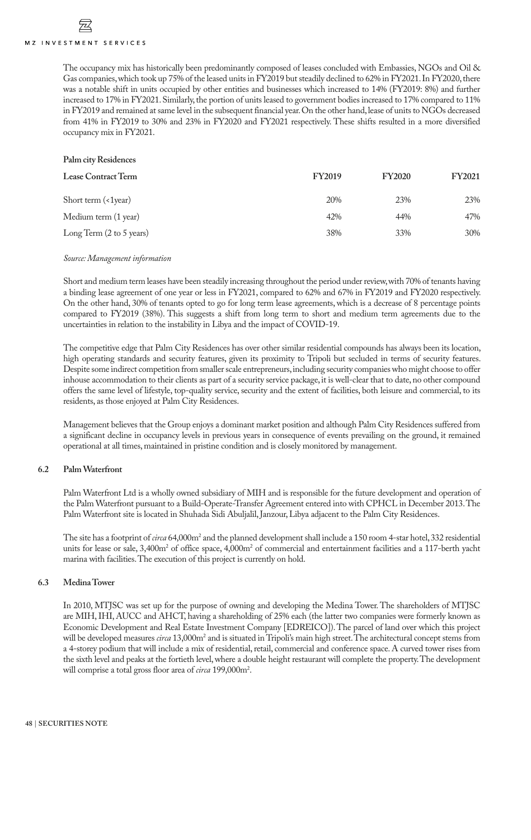The occupancy mix has historically been predominantly composed of leases concluded with Embassies, NGOs and Oil & Gas companies, which took up 75% of the leased units in FY2019 but steadily declined to 62% in FY2021. In FY2020, there was a notable shift in units occupied by other entities and businesses which increased to 14% (FY2019: 8%) and further increased to 17% in FY2021. Similarly, the portion of units leased to government bodies increased to 17% compared to 11% in FY2019 and remained at same level in the subsequent financial year. On the other hand, lease of units to NGOs decreased from 41% in FY2019 to 30% and 23% in FY2020 and FY2021 respectively. These shifts resulted in a more diversified occupancy mix in FY2021.

### **Palm city Residences**

| Lease Contract Term       | <b>FY2019</b> | <b>FY2020</b> | <b>FY2021</b> |
|---------------------------|---------------|---------------|---------------|
| Short term $($ -1 $year)$ | 20%           | 23%           | 23%           |
| Medium term (1 year)      | 42%           | 44%           | 47%           |
| Long Term (2 to 5 years)  | 38%           | 33%           | 30%           |

### *Source: Management information*

Short and medium term leases have been steadily increasing throughout the period under review, with 70% of tenants having a binding lease agreement of one year or less in FY2021, compared to 62% and 67% in FY2019 and FY2020 respectively. On the other hand, 30% of tenants opted to go for long term lease agreements, which is a decrease of 8 percentage points compared to FY2019 (38%). This suggests a shift from long term to short and medium term agreements due to the uncertainties in relation to the instability in Libya and the impact of COVID-19.

The competitive edge that Palm City Residences has over other similar residential compounds has always been its location, high operating standards and security features, given its proximity to Tripoli but secluded in terms of security features. Despite some indirect competition from smaller scale entrepreneurs, including security companies who might choose to offer inhouse accommodation to their clients as part of a security service package, it is well-clear that to date, no other compound offers the same level of lifestyle, top-quality service, security and the extent of facilities, both leisure and commercial, to its residents, as those enjoyed at Palm City Residences.

Management believes that the Group enjoys a dominant market position and although Palm City Residences suffered from a significant decline in occupancy levels in previous years in consequence of events prevailing on the ground, it remained operational at all times, maintained in pristine condition and is closely monitored by management.

## **6.2 Palm Waterfront**

Palm Waterfront Ltd is a wholly owned subsidiary of MIH and is responsible for the future development and operation of the Palm Waterfront pursuant to a Build-Operate-Transfer Agreement entered into with CPHCL in December 2013. The Palm Waterfront site is located in Shuhada Sidi Abuljalil, Janzour, Libya adjacent to the Palm City Residences.

The site has a footprint of *circa* 64,000m<sup>2</sup> and the planned development shall include a 150 room 4-star hotel, 332 residential units for lease or sale, 3,400m<sup>2</sup> of office space, 4,000m<sup>2</sup> of commercial and entertainment facilities and a 117-berth yacht marina with facilities. The execution of this project is currently on hold.

## **6.3 Medina Tower**

In 2010, MTJSC was set up for the purpose of owning and developing the Medina Tower. The shareholders of MTJSC are MIH, IHI, AUCC and AHCT, having a shareholding of 25% each (the latter two companies were formerly known as Economic Development and Real Estate Investment Company [EDREICO]). The parcel of land over which this project will be developed measures *circa* 13,000m<sup>2</sup> and is situated in Tripoli's main high street. The architectural concept stems from a 4-storey podium that will include a mix of residential, retail, commercial and conference space. A curved tower rises from the sixth level and peaks at the fortieth level, where a double height restaurant will complete the property. The development will comprise a total gross floor area of *circa* 199,000m2 .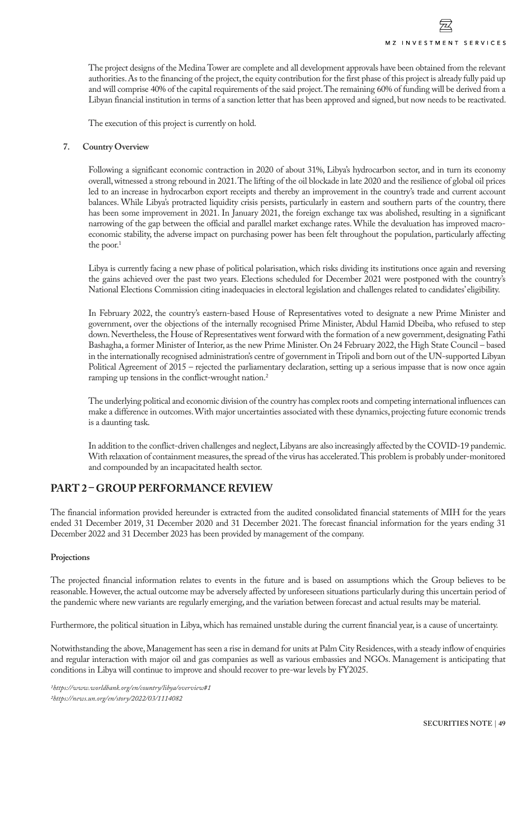The project designs of the Medina Tower are complete and all development approvals have been obtained from the relevant authorities. As to the financing of the project, the equity contribution for the first phase of this project is already fully paid up and will comprise 40% of the capital requirements of the said project. The remaining 60% of funding will be derived from a Libyan financial institution in terms of a sanction letter that has been approved and signed, but now needs to be reactivated.

The execution of this project is currently on hold.

#### **7. Country Overview**

Following a significant economic contraction in 2020 of about 31%, Libya's hydrocarbon sector, and in turn its economy overall, witnessed a strong rebound in 2021. The lifting of the oil blockade in late 2020 and the resilience of global oil prices led to an increase in hydrocarbon export receipts and thereby an improvement in the country's trade and current account balances. While Libya's protracted liquidity crisis persists, particularly in eastern and southern parts of the country, there has been some improvement in 2021. In January 2021, the foreign exchange tax was abolished, resulting in a significant narrowing of the gap between the official and parallel market exchange rates. While the devaluation has improved macroeconomic stability, the adverse impact on purchasing power has been felt throughout the population, particularly affecting the poor.<sup>1</sup>

Libya is currently facing a new phase of political polarisation, which risks dividing its institutions once again and reversing the gains achieved over the past two years. Elections scheduled for December 2021 were postponed with the country's National Elections Commission citing inadequacies in electoral legislation and challenges related to candidates' eligibility.

In February 2022, the country's eastern-based House of Representatives voted to designate a new Prime Minister and government, over the objections of the internally recognised Prime Minister, Abdul Hamid Dbeiba, who refused to step down. Nevertheless, the House of Representatives went forward with the formation of a new government, designating Fathi Bashagha, a former Minister of Interior, as the new Prime Minister. On 24 February 2022, the High State Council – based in the internationally recognised administration's centre of government in Tripoli and born out of the UN-supported Libyan Political Agreement of 2015 – rejected the parliamentary declaration, setting up a serious impasse that is now once again ramping up tensions in the conflict-wrought nation.<sup>2</sup>

The underlying political and economic division of the country has complex roots and competing international influences can make a difference in outcomes. With major uncertainties associated with these dynamics, projecting future economic trends is a daunting task.

In addition to the conflict-driven challenges and neglect, Libyans are also increasingly affected by the COVID-19 pandemic. With relaxation of containment measures, the spread of the virus has accelerated. This problem is probably under-monitored and compounded by an incapacitated health sector.

## **PART 2 – GROUP PERFORMANCE REVIEW**

The financial information provided hereunder is extracted from the audited consolidated financial statements of MIH for the years ended 31 December 2019, 31 December 2020 and 31 December 2021. The forecast financial information for the years ending 31 December 2022 and 31 December 2023 has been provided by management of the company.

#### **Projections**

The projected financial information relates to events in the future and is based on assumptions which the Group believes to be reasonable. However, the actual outcome may be adversely affected by unforeseen situations particularly during this uncertain period of the pandemic where new variants are regularly emerging, and the variation between forecast and actual results may be material.

Furthermore, the political situation in Libya, which has remained unstable during the current financial year, is a cause of uncertainty.

Notwithstanding the above, Management has seen a rise in demand for units at Palm City Residences, with a steady inflow of enquiries and regular interaction with major oil and gas companies as well as various embassies and NGOs. Management is anticipating that conditions in Libya will continue to improve and should recover to pre-war levels by FY2025.

*1https://www.worldbank.org/en/country/libya/overview#1 2https://news.un.org/en/story/2022/03/1114082*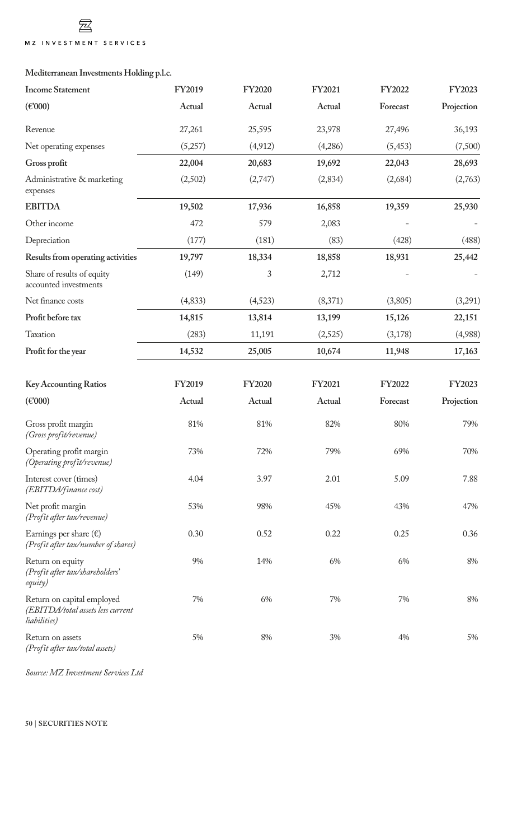# **Mediterranean Investments Holding p.l.c.**

**Z** MZ INVESTMENT SERVICES

| <b>Income Statement</b>                                                         | FY2019   | <b>FY2020</b> | FY2021   | FY2022   | FY2023     |
|---------------------------------------------------------------------------------|----------|---------------|----------|----------|------------|
| $(\text{\textsterling}000)$                                                     | Actual   | Actual        | Actual   | Forecast | Projection |
| Revenue                                                                         | 27,261   | 25,595        | 23,978   | 27,496   | 36,193     |
| Net operating expenses                                                          | (5,257)  | (4, 912)      | (4,286)  | (5, 453) | (7,500)    |
| Gross profit                                                                    | 22,004   | 20,683        | 19,692   | 22,043   | 28,693     |
| Administrative & marketing<br>expenses                                          | (2,502)  | (2,747)       | (2, 834) | (2,684)  | (2,763)    |
| <b>EBITDA</b>                                                                   | 19,502   | 17,936        | 16,858   | 19,359   | 25,930     |
| Other income                                                                    | 472      | 579           | 2,083    |          |            |
| Depreciation                                                                    | (177)    | (181)         | (83)     | (428)    | (488)      |
| Results from operating activities                                               | 19,797   | 18,334        | 18,858   | 18,931   | 25,442     |
| Share of results of equity<br>accounted investments                             | (149)    | 3             | 2,712    |          |            |
| Net finance costs                                                               | (4, 833) | (4,523)       | (8,371)  | (3,805)  | (3,291)    |
| Profit before tax                                                               | 14,815   | 13,814        | 13,199   | 15,126   | 22,151     |
| Taxation                                                                        | (283)    | 11,191        | (2,525)  | (3,178)  | (4,988)    |
| Profit for the year                                                             | 14,532   | 25,005        | 10,674   | 11,948   | 17,163     |
| <b>Key Accounting Ratios</b>                                                    | FY2019   | <b>FY2020</b> | FY2021   | FY2022   | FY2023     |
| $(\text{\textsterling}000)$                                                     | Actual   | Actual        | Actual   | Forecast | Projection |
| Gross profit margin<br>(Gross profit/revenue)                                   | 81%      | 81%           | 82%      | 80%      | 79%        |
| Operating profit margin<br>(Operating profit/revenue)                           | 73%      | 72%           | 79%      | 69%      | 70%        |
| Interest cover (times)<br>(EBITDA/finance cost)                                 | 4.04     | 3.97          | 2.01     | 5.09     | 7.88       |
| Net profit margin<br>(Profit after tax/revenue)                                 | 53%      | 98%           | 45%      | 43%      | 47%        |
| Earnings per share $(\epsilon)$<br>(Profit after tax/number of shares)          | 0.30     | 0.52          | 0.22     | 0.25     | 0.36       |
| Return on equity<br>(Profit after tax/shareholders'<br>equity)                  | 9%       | 14%           | 6%       | 6%       | 8%         |
| Return on capital employed<br>(EBITDA/total assets less current<br>liabilities) | 7%       | 6%            | $7\%$    | 7%       | 8%         |
| Return on assets<br>(Profit after tax/total assets)                             | 5%       | $8\%$         | 3%       | 4%       | 5%         |

*Source: MZ Investment Services Ltd*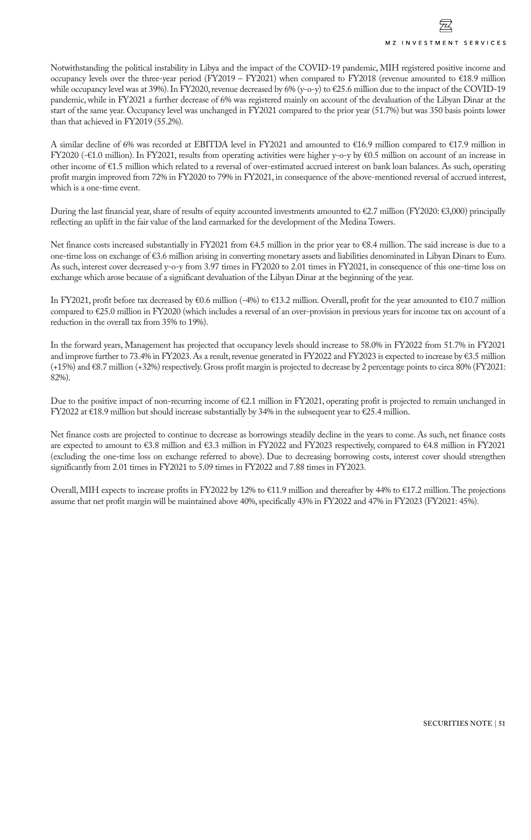Notwithstanding the political instability in Libya and the impact of the COVID-19 pandemic, MIH registered positive income and occupancy levels over the three-year period (FY2019 – FY2021) when compared to FY2018 (revenue amounted to €18.9 million while occupancy level was at 39%). In FY2020, revenue decreased by 6% (y-o-y) to €25.6 million due to the impact of the COVID-19 pandemic, while in FY2021 a further decrease of 6% was registered mainly on account of the devaluation of the Libyan Dinar at the start of the same year. Occupancy level was unchanged in FY2021 compared to the prior year (51.7%) but was 350 basis points lower than that achieved in FY2019 (55.2%).

A similar decline of 6% was recorded at EBITDA level in FY2021 and amounted to €16.9 million compared to €17.9 million in FY2020 (-€1.0 million). In FY2021, results from operating activities were higher y-o-y by €0.5 million on account of an increase in other income of €1.5 million which related to a reversal of over-estimated accrued interest on bank loan balances. As such, operating profit margin improved from 72% in FY2020 to 79% in FY2021, in consequence of the above-mentioned reversal of accrued interest, which is a one-time event.

During the last financial year, share of results of equity accounted investments amounted to €2.7 million (FY2020: €3,000) principally reflecting an uplift in the fair value of the land earmarked for the development of the Medina Towers.

Net finance costs increased substantially in FY2021 from €4.5 million in the prior year to €8.4 million. The said increase is due to a one-time loss on exchange of €3.6 million arising in converting monetary assets and liabilities denominated in Libyan Dinars to Euro. As such, interest cover decreased y-o-y from 3.97 times in FY2020 to 2.01 times in FY2021, in consequence of this one-time loss on exchange which arose because of a significant devaluation of the Libyan Dinar at the beginning of the year.

In FY2021, profit before tax decreased by €0.6 million (-4%) to €13.2 million. Overall, profit for the year amounted to €10.7 million compared to €25.0 million in FY2020 (which includes a reversal of an over-provision in previous years for income tax on account of a reduction in the overall tax from 35% to 19%).

In the forward years, Management has projected that occupancy levels should increase to 58.0% in FY2022 from 51.7% in FY2021 and improve further to 73.4% in FY2023. As a result, revenue generated in FY2022 and FY2023 is expected to increase by €3.5 million (+15%) and €8.7 million (+32%) respectively. Gross profit margin is projected to decrease by 2 percentage points to circa 80% (FY2021: 82%).

Due to the positive impact of non-recurring income of €2.1 million in FY2021, operating profit is projected to remain unchanged in FY2022 at €18.9 million but should increase substantially by 34% in the subsequent year to €25.4 million.

Net finance costs are projected to continue to decrease as borrowings steadily decline in the years to come. As such, net finance costs are expected to amount to €3.8 million and €3.3 million in FY2022 and FY2023 respectively, compared to €4.8 million in FY2021 (excluding the one-time loss on exchange referred to above). Due to decreasing borrowing costs, interest cover should strengthen significantly from 2.01 times in FY2021 to 5.09 times in FY2022 and 7.88 times in FY2023.

Overall, MIH expects to increase profits in FY2022 by 12% to €11.9 million and thereafter by 44% to €17.2 million. The projections assume that net profit margin will be maintained above 40%, specifically 43% in FY2022 and 47% in FY2023 (FY2021: 45%).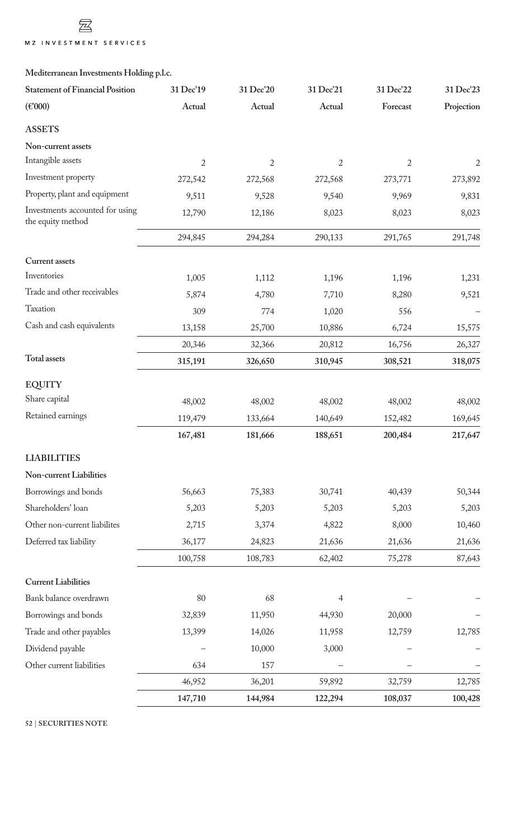**Z** MZ INVESTMENT SERVICES

| <b>Statement of Financial Position</b>               | 31 Dec'19      | 31 Dec'20      | 31 Dec'21 | 31 Dec'22      | 31 Dec'23      |
|------------------------------------------------------|----------------|----------------|-----------|----------------|----------------|
| $(\text{\textsterling}000)$                          | Actual         | Actual         | Actual    | Forecast       | Projection     |
| <b>ASSETS</b>                                        |                |                |           |                |                |
| Non-current assets                                   |                |                |           |                |                |
| Intangible assets                                    | $\overline{2}$ | $\overline{2}$ | 2         | $\overline{2}$ | $\overline{c}$ |
| Investment property                                  | 272,542        | 272,568        | 272,568   | 273,771        | 273,892        |
| Property, plant and equipment                        | 9,511          | 9,528          | 9,540     | 9,969          | 9,831          |
| Investments accounted for using<br>the equity method | 12,790         | 12,186         | 8,023     | 8,023          | 8,023          |
|                                                      | 294,845        | 294,284        | 290,133   | 291,765        | 291,748        |
| <b>Current assets</b>                                |                |                |           |                |                |
| Inventories                                          | 1,005          | 1,112          | 1,196     | 1,196          | 1,231          |
| Trade and other receivables                          | 5,874          | 4,780          | 7,710     | 8,280          | 9,521          |
| Taxation                                             | 309            | 774            | 1,020     | 556            |                |
| Cash and cash equivalents                            | 13,158         | 25,700         | 10,886    | 6,724          | 15,575         |
|                                                      | 20,346         | 32,366         | 20,812    | 16,756         | 26,327         |
| Total assets                                         | 315,191        | 326,650        | 310,945   | 308,521        | 318,075        |
| <b>EQUITY</b>                                        |                |                |           |                |                |
| Share capital                                        | 48,002         | 48,002         | 48,002    | 48,002         | 48,002         |
| Retained earnings                                    | 119,479        | 133,664        | 140,649   | 152,482        | 169,645        |
|                                                      | 167,481        | 181,666        | 188,651   | 200,484        | 217,647        |
| <b>LIABILITIES</b>                                   |                |                |           |                |                |
| Non-current Liabilities                              |                |                |           |                |                |
| Borrowings and bonds                                 | 56,663         | 75,383         | 30,741    | 40,439         | 50,344         |
| Shareholders' loan                                   | 5,203          | 5,203          | 5,203     | 5,203          | 5,203          |
| Other non-current liabilites                         | 2,715          | 3,374          | 4,822     | 8,000          | 10,460         |
| Deferred tax liability                               | 36,177         | 24,823         | 21,636    | 21,636         | 21,636         |
|                                                      | 100,758        | 108,783        | 62,402    | 75,278         | 87,643         |
| <b>Current Liabilities</b>                           |                |                |           |                |                |
| Bank balance overdrawn                               | 80             | 68             | 4         |                |                |
| Borrowings and bonds                                 | 32,839         | 11,950         | 44,930    | 20,000         |                |
| Trade and other payables                             | 13,399         | 14,026         | 11,958    | 12,759         | 12,785         |
| Dividend payable                                     |                | 10,000         | 3,000     |                |                |
| Other current liabilities                            | 634            | 157            |           |                |                |
|                                                      | 46,952         | 36,201         | 59,892    | 32,759         | 12,785         |

 **147,710 144,984 122,294 108,037 100,428**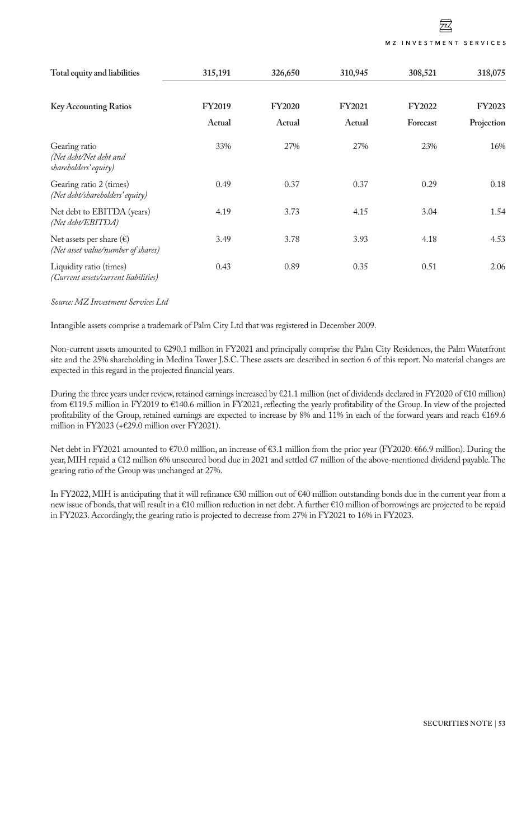| Total equity and liabilities                                            | 315,191                 | 326,650                 | 310,945                 | 308,521                   | 318,075                     |
|-------------------------------------------------------------------------|-------------------------|-------------------------|-------------------------|---------------------------|-----------------------------|
| <b>Key Accounting Ratios</b>                                            | <b>FY2019</b><br>Actual | <b>FY2020</b><br>Actual | <b>FY2021</b><br>Actual | <b>FY2022</b><br>Forecast | <b>FY2023</b><br>Projection |
|                                                                         |                         |                         |                         |                           |                             |
| Gearing ratio<br>(Net debt/Net debt and<br>shareholders' equity)        | 33%                     | 27%                     | 27%                     | 23%                       | 16%                         |
| Gearing ratio 2 (times)<br>(Net debt/shareholders' equity)              | 0.49                    | 0.37                    | 0.37                    | 0.29                      | 0.18                        |
| Net debt to EBITDA (years)<br>(Net debt/EBITDA)                         | 4.19                    | 3.73                    | 4.15                    | 3.04                      | 1.54                        |
| Net assets per share $(\epsilon)$<br>(Net asset value/number of shares) | 3.49                    | 3.78                    | 3.93                    | 4.18                      | 4.53                        |
| Liquidity ratio (times)<br>(Current assets/current liabilities)         | 0.43                    | 0.89                    | 0.35                    | 0.51                      | 2.06                        |

#### *Source: MZ Investment Services Ltd*

Intangible assets comprise a trademark of Palm City Ltd that was registered in December 2009.

Non-current assets amounted to €290.1 million in FY2021 and principally comprise the Palm City Residences, the Palm Waterfront site and the 25% shareholding in Medina Tower J.S.C. These assets are described in section 6 of this report. No material changes are expected in this regard in the projected financial years.

During the three years under review, retained earnings increased by €21.1 million (net of dividends declared in FY2020 of €10 million) from €119.5 million in FY2019 to €140.6 million in FY2021, reflecting the yearly profitability of the Group. In view of the projected profitability of the Group, retained earnings are expected to increase by 8% and 11% in each of the forward years and reach €169.6 million in FY2023 (+€29.0 million over FY2021).

Net debt in FY2021 amounted to €70.0 million, an increase of €3.1 million from the prior year (FY2020: €66.9 million). During the year, MIH repaid a €12 million 6% unsecured bond due in 2021 and settled €7 million of the above-mentioned dividend payable. The gearing ratio of the Group was unchanged at 27%.

In FY2022, MIH is anticipating that it will refinance €30 million out of €40 million outstanding bonds due in the current year from a new issue of bonds, that will result in a €10 million reduction in net debt. A further €10 million of borrowings are projected to be repaid in FY2023. Accordingly, the gearing ratio is projected to decrease from 27% in FY2021 to 16% in FY2023.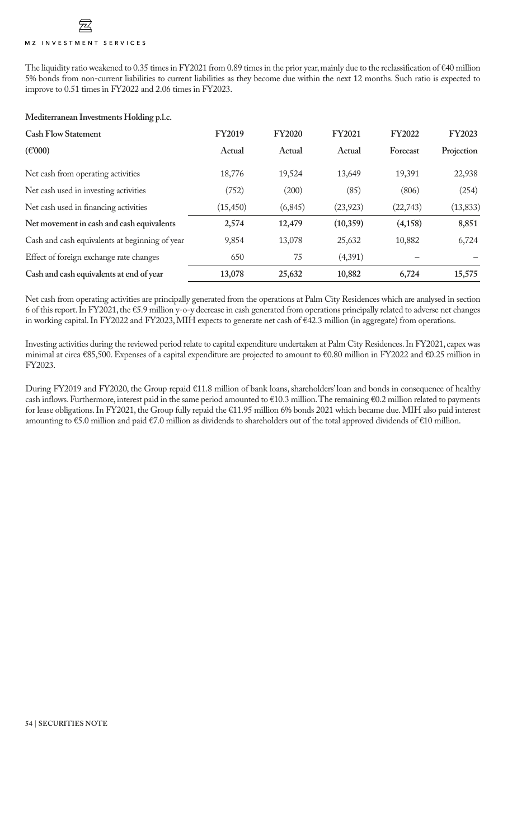## 丞 MZ INVESTMENT SERVICES

The liquidity ratio weakened to 0.35 times in FY2021 from 0.89 times in the prior year, mainly due to the reclassification of €40 million 5% bonds from non-current liabilities to current liabilities as they become due within the next 12 months. Such ratio is expected to improve to 0.51 times in FY2022 and 2.06 times in FY2023.

#### **Mediterranean Investments Holding p.l.c.**

| <b>Cash Flow Statement</b>                     | <b>FY2019</b> | <b>FY2020</b> | <b>FY2021</b> | <b>FY2022</b> | <b>FY2023</b> |
|------------------------------------------------|---------------|---------------|---------------|---------------|---------------|
| $(\text{\textsterling}000)$                    | Actual        | Actual        | Actual        | Forecast      | Projection    |
| Net cash from operating activities             | 18,776        | 19,524        | 13,649        | 19,391        | 22,938        |
| Net cash used in investing activities          | (752)         | (200)         | (85)          | (806)         | (254)         |
| Net cash used in financing activities          | (15, 450)     | (6, 845)      | (23, 923)     | (22, 743)     | (13, 833)     |
| Net movement in cash and cash equivalents      | 2,574         | 12,479        | (10, 359)     | (4, 158)      | 8,851         |
| Cash and cash equivalents at beginning of year | 9,854         | 13,078        | 25,632        | 10,882        | 6,724         |
| Effect of foreign exchange rate changes        | 650           | 75            | (4,391)       |               |               |
| Cash and cash equivalents at end of year       | 13,078        | 25,632        | 10,882        | 6,724         | 15,575        |

Net cash from operating activities are principally generated from the operations at Palm City Residences which are analysed in section 6 of this report. In FY2021, the €5.9 million y-o-y decrease in cash generated from operations principally related to adverse net changes in working capital. In FY2022 and FY2023, MIH expects to generate net cash of €42.3 million (in aggregate) from operations.

Investing activities during the reviewed period relate to capital expenditure undertaken at Palm City Residences. In FY2021, capex was minimal at circa €85,500. Expenses of a capital expenditure are projected to amount to €0.80 million in FY2022 and €0.25 million in FY2023.

During FY2019 and FY2020, the Group repaid €11.8 million of bank loans, shareholders' loan and bonds in consequence of healthy cash inflows. Furthermore, interest paid in the same period amounted to €10.3 million. The remaining €0.2 million related to payments for lease obligations. In FY2021, the Group fully repaid the €11.95 million 6% bonds 2021 which became due. MIH also paid interest amounting to €5.0 million and paid €7.0 million as dividends to shareholders out of the total approved dividends of €10 million.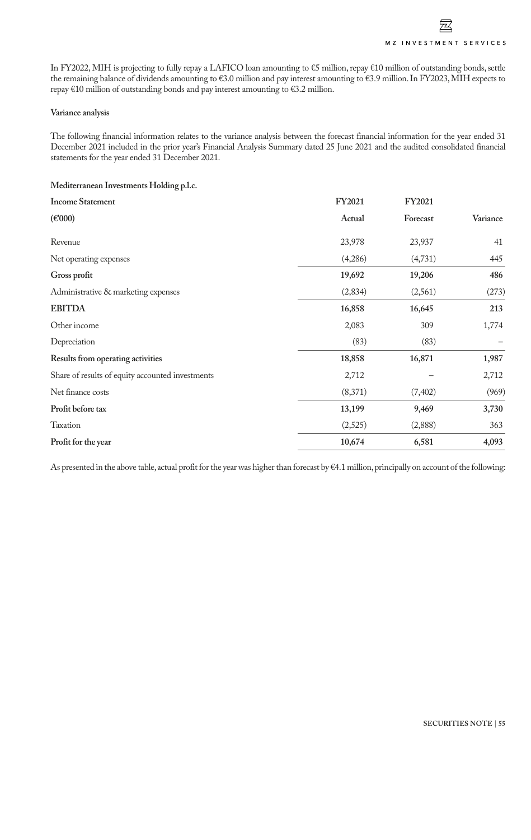In FY2022, MIH is projecting to fully repay a LAFICO loan amounting to €5 million, repay €10 million of outstanding bonds, settle the remaining balance of dividends amounting to €3.0 million and pay interest amounting to €3.9 million. In FY2023, MIH expects to repay €10 million of outstanding bonds and pay interest amounting to €3.2 million.

#### **Variance analysis**

The following financial information relates to the variance analysis between the forecast financial information for the year ended 31 December 2021 included in the prior year's Financial Analysis Summary dated 25 June 2021 and the audited consolidated financial statements for the year ended 31 December 2021.

### **Mediterranean Investments Holding p.l.c.**

| <b>Income Statement</b>                          | FY2021  | FY2021   |          |
|--------------------------------------------------|---------|----------|----------|
| $(\text{\textsterling}000)$                      | Actual  | Forecast | Variance |
| Revenue                                          | 23,978  | 23,937   | 41       |
| Net operating expenses                           | (4,286) | (4,731)  | 445      |
| Gross profit                                     | 19,692  | 19,206   | 486      |
| Administrative & marketing expenses              | (2,834) | (2,561)  | (273)    |
| <b>EBITDA</b>                                    | 16,858  | 16,645   | 213      |
| Other income                                     | 2,083   | 309      | 1,774    |
| Depreciation                                     | (83)    | (83)     |          |
| Results from operating activities                | 18,858  | 16,871   | 1,987    |
| Share of results of equity accounted investments | 2,712   |          | 2,712    |
| Net finance costs                                | (8,371) | (7,402)  | (969)    |
| Profit before tax                                | 13,199  | 9,469    | 3,730    |
| Taxation                                         | (2,525) | (2,888)  | 363      |
| Profit for the year                              | 10,674  | 6,581    | 4,093    |

As presented in the above table, actual profit for the year was higher than forecast by €4.1 million, principally on account of the following: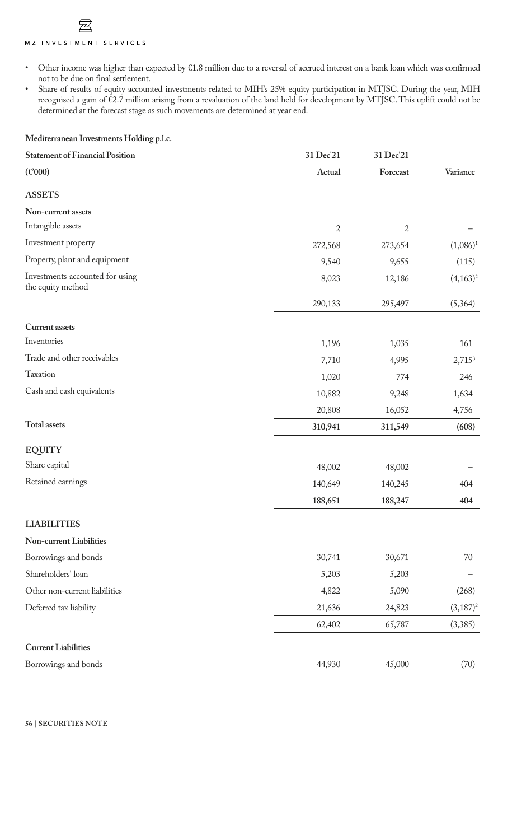## 宻 MZ INVESTMENT SERVICES

- Other income was higher than expected by €1.8 million due to a reversal of accrued interest on a bank loan which was confirmed not to be due on final settlement.
- Share of results of equity accounted investments related to MIH's 25% equity participation in MTJSC. During the year, MIH recognised a gain of €2.7 million arising from a revaluation of the land held for development by MTJSC. This uplift could not be determined at the forecast stage as such movements are determined at year end.

### **Mediterranean Investments Holding p.l.c.**

| <b>Statement of Financial Position</b>               | 31 Dec'21      | 31 Dec'21      |             |
|------------------------------------------------------|----------------|----------------|-------------|
| $(\text{\textsterling}000)$                          | Actual         | Forecast       | Variance    |
| <b>ASSETS</b>                                        |                |                |             |
| Non-current assets                                   |                |                |             |
| Intangible assets                                    | $\overline{2}$ | $\overline{2}$ |             |
| Investment property                                  | 272,568        | 273,654        | $(1,086)^1$ |
| Property, plant and equipment                        | 9,540          | 9,655          | (115)       |
| Investments accounted for using<br>the equity method | 8,023          | 12,186         | $(4,163)^2$ |
|                                                      | 290,133        | 295,497        | (5,364)     |
| <b>Current assets</b>                                |                |                |             |
| Inventories                                          | 1,196          | 1,035          | 161         |
| Trade and other receivables                          | 7,710          | 4,995          | $2,715^3$   |
| Taxation                                             | 1,020          | 774            | 246         |
| Cash and cash equivalents                            | 10,882         | 9,248          | 1,634       |
|                                                      | 20,808         | 16,052         | 4,756       |
| Total assets                                         | 310,941        | 311,549        | (608)       |
| <b>EQUITY</b>                                        |                |                |             |
| Share capital                                        | 48,002         | 48,002         |             |
| Retained earnings                                    | 140,649        | 140,245        | 404         |
|                                                      | 188,651        | 188,247        | 404         |
| <b>LIABILITIES</b>                                   |                |                |             |
| Non-current Liabilities                              |                |                |             |
| Borrowings and bonds                                 | 30,741         | 30,671         | 70          |
| Shareholders' loan                                   | 5,203          | 5,203          |             |
| Other non-current liabilities                        | 4,822          | 5,090          | (268)       |
| Deferred tax liability                               | 21,636         | 24,823         | $(3,187)^2$ |
|                                                      | 62,402         | 65,787         | (3,385)     |
| <b>Current Liabilities</b>                           |                |                |             |
| Borrowings and bonds                                 | 44,930         | 45,000         | (70)        |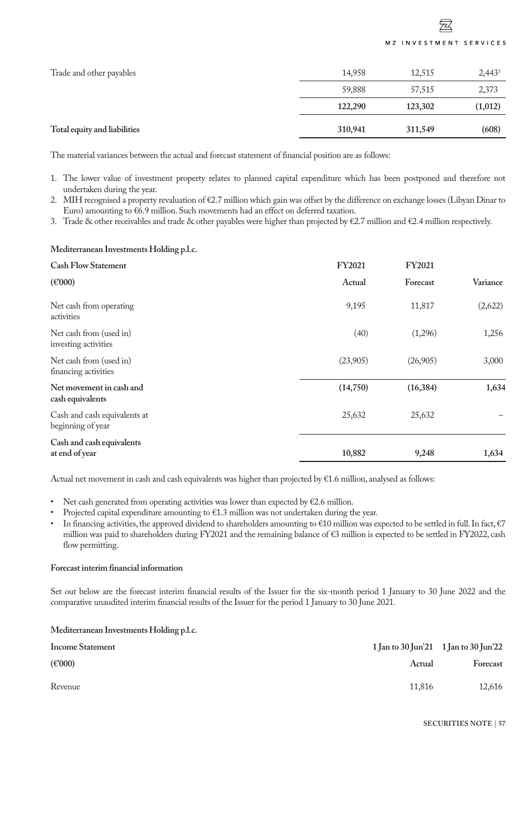| Trade and other payables     | 14,958  | 12,515  | $2,443^3$ |
|------------------------------|---------|---------|-----------|
|                              | 59,888  | 57,515  | 2,373     |
|                              | 122,290 | 123,302 | (1,012)   |
| Total equity and liabilities | 310,941 | 311,549 | (608)     |

The material variances between the actual and forecast statement of financial position are as follows:

- 1. The lower value of investment property relates to planned capital expenditure which has been postponed and therefore not undertaken during the year.
- 2. MIH recognised a property revaluation of €2.7 million which gain was offset by the difference on exchange losses (Libyan Dinar to Euro) amounting to €6.9 million. Such movements had an effect on deferred taxation.
- 3. Trade & other receivables and trade & other payables were higher than projected by  $\epsilon$ 2.7 million and  $\epsilon$ 2.4 million respectively.

### **Mediterranean Investments Holding p.l.c.**

| <b>Cash Flow Statement</b>                        | <b>FY2021</b> | <b>FY2021</b> |          |
|---------------------------------------------------|---------------|---------------|----------|
| $(\text{\textsterling}000)$                       | Actual        | Forecast      | Variance |
| Net cash from operating<br>activities             | 9,195         | 11,817        | (2,622)  |
| Net cash from (used in)<br>investing activities   | (40)          | (1,296)       | 1,256    |
| Net cash from (used in)<br>financing activities   | (23,905)      | (26,905)      | 3,000    |
| Net movement in cash and<br>cash equivalents      | (14,750)      | (16, 384)     | 1,634    |
| Cash and cash equivalents at<br>beginning of year | 25,632        | 25,632        |          |
| Cash and cash equivalents<br>at end of year       | 10,882        | 9,248         | 1,634    |

Actual net movement in cash and cash equivalents was higher than projected by €1.6 million, analysed as follows:

- Net cash generated from operating activities was lower than expected by  $E2.6$  million.
- Projected capital expenditure amounting to  $E1.3$  million was not undertaken during the year.
- In financing activities, the approved dividend to shareholders amounting to €10 million was expected to be settled in full. In fact, €7 million was paid to shareholders during FY2021 and the remaining balance of €3 million is expected to be settled in FY2022, cash flow permitting.

#### **Forecast interim financial information**

Set out below are the forecast interim financial results of the Issuer for the six-month period 1 January to 30 June 2022 and the comparative unaudited interim financial results of the Issuer for the period 1 January to 30 June 2021.

### **Mediterranean Investments Holding p.l.c.**

| <b>Income Statement</b>     | $1$ Jan to 30 Jun'21 $1$ Jan to 30 Jun'22 |          |
|-----------------------------|-------------------------------------------|----------|
| $(\text{\textsterling}000)$ | Actual                                    | Forecast |
| Revenue                     | 11,816                                    | 12,616   |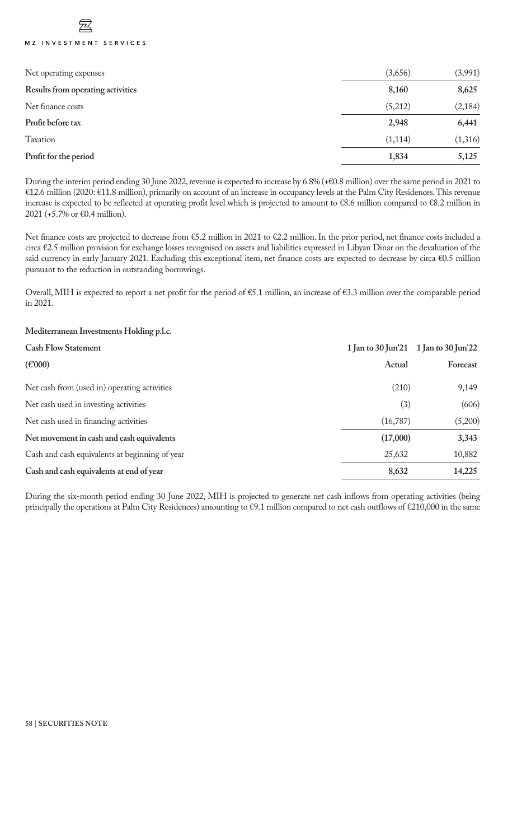## 丞 MZ INVESTMENT SERVICES

| Net operating expenses            | (3,656)  | (3,991)  |
|-----------------------------------|----------|----------|
| Results from operating activities | 8,160    | 8,625    |
| Net finance costs                 | (5,212)  | (2, 184) |
| Profit before tax                 | 2,948    | 6,441    |
| Taxation                          | (1, 114) | (1,316)  |
| Profit for the period             | 1,834    | 5,125    |

During the interim period ending 30 June 2022, revenue is expected to increase by 6.8% (+€0.8 million) over the same period in 2021 to €12.6 million (2020: €11.8 million), primarily on account of an increase in occupancy levels at the Palm City Residences. This revenue increase is expected to be reflected at operating profit level which is projected to amount to €8.6 million compared to €8.2 million in 2021 (+5.7% or €0.4 million).

Net finance costs are projected to decrease from €5.2 million in 2021 to €2.2 million. In the prior period, net finance costs included a circa €2.5 million provision for exchange losses recognised on assets and liabilities expressed in Libyan Dinar on the devaluation of the said currency in early January 2021. Excluding this exceptional item, net finance costs are expected to decrease by circa €0.5 million pursuant to the reduction in outstanding borrowings.

Overall, MIH is expected to report a net profit for the period of €5.1 million, an increase of €3.3 million over the comparable period in 2021.

### **Mediterranean Investments Holding p.l.c.**

| <b>Cash Flow Statement</b>                     |          | 1 Jan to 30 Jun'21 $1$ Jan to 30 Jun'22 |
|------------------------------------------------|----------|-----------------------------------------|
| $(\text{\textsterling}000)$                    | Actual   | Forecast                                |
| Net cash from (used in) operating activities   | (210)    | 9,149                                   |
| Net cash used in investing activities          | (3)      | (606)                                   |
| Net cash used in financing activities          | (16,787) | (5,200)                                 |
| Net movement in cash and cash equivalents      | (17,000) | 3,343                                   |
| Cash and cash equivalents at beginning of year | 25,632   | 10,882                                  |
| Cash and cash equivalents at end of year       | 8,632    | 14,225                                  |

During the six-month period ending 30 June 2022, MIH is projected to generate net cash inflows from operating activities (being principally the operations at Palm City Residences) amounting to €9.1 million compared to net cash outflows of €210,000 in the same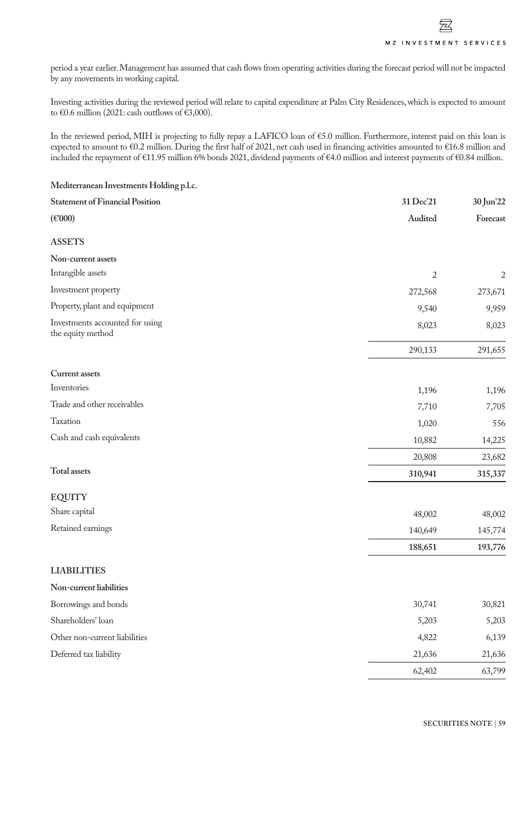period a year earlier. Management has assumed that cash flows from operating activities during the forecast period will not be impacted by any movements in working capital.

Investing activities during the reviewed period will relate to capital expenditure at Palm City Residences, which is expected to amount to €0.6 million (2021: cash outflows of €3,000).

In the reviewed period, MIH is projecting to fully repay a LAFICO loan of €5.0 million. Furthermore, interest paid on this loan is expected to amount to €0.2 million. During the first half of 2021, net cash used in financing activities amounted to €16.8 million and included the repayment of €11.95 million 6% bonds 2021, dividend payments of €4.0 million and interest payments of €0.84 million.

 $\overline{a}$ 

| Mediterranean Investments Holding p.l.c.             |                |                |
|------------------------------------------------------|----------------|----------------|
| <b>Statement of Financial Position</b>               | 31 Dec'21      | 30 Jun'22      |
| $(\text{\textsterling}000)$                          | Audited        | Forecast       |
| <b>ASSETS</b>                                        |                |                |
| Non-current assets                                   |                |                |
| Intangible assets                                    | $\overline{2}$ | $\mathfrak{2}$ |
| Investment property                                  | 272,568        | 273,671        |
| Property, plant and equipment                        | 9,540          | 9,959          |
| Investments accounted for using<br>the equity method | 8,023          | 8,023          |
|                                                      | 290,133        | 291,655        |
| <b>Current assets</b>                                |                |                |
| Inventories                                          | 1,196          | 1,196          |
| Trade and other receivables                          | 7,710          | 7,705          |
| Taxation                                             | 1,020          | 556            |
| Cash and cash equivalents                            | 10,882         | 14,225         |
|                                                      | 20,808         | 23,682         |
| <b>Total assets</b>                                  | 310,941        | 315,337        |
| <b>EQUITY</b>                                        |                |                |
| Share capital                                        | 48,002         | 48,002         |
| Retained earnings                                    | 140,649        | 145,774        |
|                                                      | 188,651        | 193,776        |
| <b>LIABILITIES</b>                                   |                |                |
| Non-current liabilities                              |                |                |
| Borrowings and bonds                                 | 30,741         | 30,821         |
| Shareholders' loan                                   | 5,203          | 5,203          |
| Other non-current liabilities                        | 4,822          | 6,139          |
| Deferred tax liability                               | 21,636         | 21,636         |
|                                                      | 62,402         | 63,799         |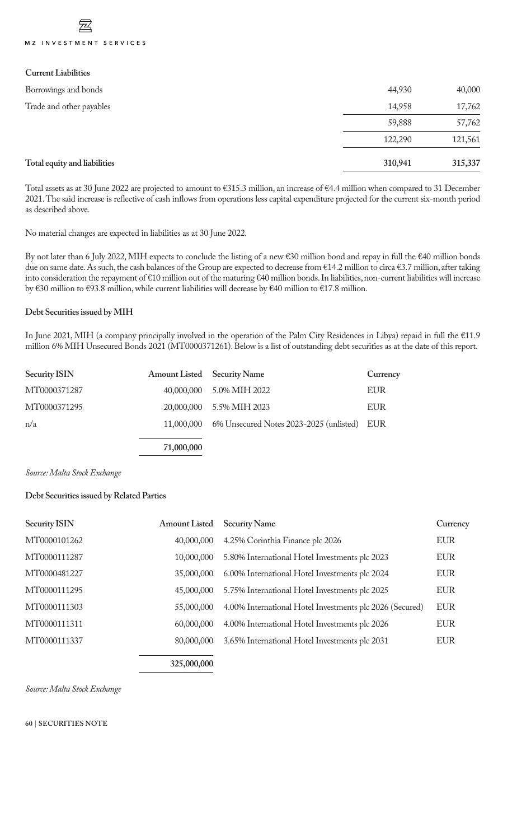## 宛 MZ INVESTMENT SERVICES

#### **Current Liabilities**

| Total equity and liabilities | 310,941 | 315,337 |
|------------------------------|---------|---------|
|                              | 122,290 | 121,561 |
|                              | 59,888  | 57,762  |
| Trade and other payables     | 14,958  | 17,762  |
| Borrowings and bonds         | 44,930  | 40,000  |
|                              |         |         |

Total assets as at 30 June 2022 are projected to amount to €315.3 million, an increase of €4.4 million when compared to 31 December 2021. The said increase is reflective of cash inflows from operations less capital expenditure projected for the current six-month period as described above.

No material changes are expected in liabilities as at 30 June 2022.

By not later than 6 July 2022, MIH expects to conclude the listing of a new €30 million bond and repay in full the €40 million bonds due on same date. As such, the cash balances of the Group are expected to decrease from €14.2 million to circa €3.7 million, after taking into consideration the repayment of €10 million out of the maturing €40 million bonds. In liabilities, non-current liabilities will increase by €30 million to €93.8 million, while current liabilities will decrease by €40 million to €17.8 million.

#### **Debt Securities issued by MIH**

In June 2021, MIH (a company principally involved in the operation of the Palm City Residences in Libya) repaid in full the €11.9 million 6% MIH Unsecured Bonds 2021 (MT0000371261). Below is a list of outstanding debt securities as at the date of this report.

| Security ISIN | Amount Listed Security Name |                                                        | Currency   |
|---------------|-----------------------------|--------------------------------------------------------|------------|
| MT0000371287  |                             | 40,000,000 5.0% MIH 2022                               | <b>EUR</b> |
| MT0000371295  |                             | 20,000,000 5.5% MIH 2023                               | <b>EUR</b> |
| n/a           |                             | 11,000,000 6% Unsecured Notes 2023-2025 (unlisted) EUR |            |
|               | 71,000,000                  |                                                        |            |

**325,000,000**

*Source: Malta Stock Exchange*

### **Debt Securities issued by Related Parties**

| Security ISIN | <b>Amount Listed</b> | <b>Security Name</b>                                     | Currency   |
|---------------|----------------------|----------------------------------------------------------|------------|
| MT0000101262  | 40,000,000           | 4.25% Corinthia Finance plc 2026                         | <b>EUR</b> |
| MT0000111287  | 10,000,000           | 5.80% International Hotel Investments plc 2023           | <b>EUR</b> |
| MT0000481227  | 35,000,000           | 6.00% International Hotel Investments plc 2024           | <b>EUR</b> |
| MT0000111295  | 45,000,000           | 5.75% International Hotel Investments plc 2025           | <b>EUR</b> |
| MT0000111303  | 55,000,000           | 4.00% International Hotel Investments plc 2026 (Secured) | <b>EUR</b> |
| MT0000111311  | 60,000,000           | 4.00% International Hotel Investments plc 2026           | <b>EUR</b> |
| MT0000111337  | 80,000,000           | 3.65% International Hotel Investments plc 2031           | <b>EUR</b> |
|               |                      |                                                          |            |

*Source: Malta Stock Exchange*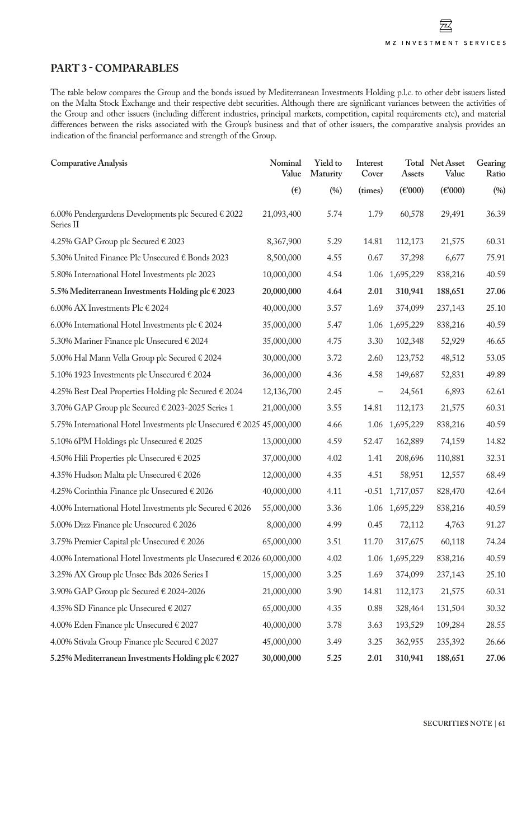## **PART 3 - COMPARABLES**

The table below compares the Group and the bonds issued by Mediterranean Investments Holding p.l.c. to other debt issuers listed on the Malta Stock Exchange and their respective debt securities. Although there are significant variances between the activities of the Group and other issuers (including different industries, principal markets, competition, capital requirements etc), and material differences between the risks associated with the Group's business and that of other issuers, the comparative analysis provides an indication of the financial performance and strength of the Group.

| <b>Comparative Analysis</b>                                           | Nominal<br>Value | <b>Yield to</b><br>Maturity | Interest<br>Cover | Assets                      | Total Net Asset<br>Value                 | Gearing<br>Ratio |
|-----------------------------------------------------------------------|------------------|-----------------------------|-------------------|-----------------------------|------------------------------------------|------------------|
|                                                                       | $(\epsilon)$     | (%)                         | (times)           | $(\text{\textsterling}000)$ | $(\text{\ensuremath{\mathfrak{C}}}'000)$ | (%)              |
| 6.00% Pendergardens Developments plc Secured $\in$ 2022<br>Series II  | 21,093,400       | 5.74                        | 1.79              | 60,578                      | 29,491                                   | 36.39            |
| 4.25% GAP Group plc Secured € 2023                                    | 8,367,900        | 5.29                        | 14.81             | 112,173                     | 21,575                                   | 60.31            |
| 5.30% United Finance Plc Unsecured € Bonds 2023                       | 8,500,000        | 4.55                        | 0.67              | 37,298                      | 6,677                                    | 75.91            |
| 5.80% International Hotel Investments plc 2023                        | 10,000,000       | 4.54                        | 1.06              | 1,695,229                   | 838,216                                  | 40.59            |
| 5.5% Mediterranean Investments Holding plc € 2023                     | 20,000,000       | 4.64                        | 2.01              | 310,941                     | 188,651                                  | 27.06            |
| 6.00% AX Investments Plc $\in$ 2024                                   | 40,000,000       | 3.57                        | 1.69              | 374,099                     | 237,143                                  | 25.10            |
| 6.00% International Hotel Investments plc $\in$ 2024                  | 35,000,000       | 5.47                        | 1.06              | 1,695,229                   | 838,216                                  | 40.59            |
| 5.30% Mariner Finance plc Unsecured € 2024                            | 35,000,000       | 4.75                        | 3.30              | 102,348                     | 52,929                                   | 46.65            |
| 5.00% Hal Mann Vella Group plc Secured € 2024                         | 30,000,000       | 3.72                        | 2.60              | 123,752                     | 48,512                                   | 53.05            |
| 5.10% 1923 Investments plc Unsecured € 2024                           | 36,000,000       | 4.36                        | 4.58              | 149,687                     | 52,831                                   | 49.89            |
| 4.25% Best Deal Properties Holding plc Secured € 2024                 | 12,136,700       | 2.45                        | $\qquad \qquad -$ | 24,561                      | 6,893                                    | 62.61            |
| 3.70% GAP Group plc Secured € 2023-2025 Series 1                      | 21,000,000       | 3.55                        | 14.81             | 112,173                     | 21,575                                   | 60.31            |
| 5.75% International Hotel Investments plc Unsecured € 2025 45,000,000 |                  | 4.66                        | 1.06              | 1,695,229                   | 838,216                                  | 40.59            |
| 5.10% 6PM Holdings plc Unsecured € 2025                               | 13,000,000       | 4.59                        | 52.47             | 162,889                     | 74,159                                   | 14.82            |
| 4.50% Hili Properties plc Unsecured € 2025                            | 37,000,000       | 4.02                        | 1.41              | 208,696                     | 110,881                                  | 32.31            |
| 4.35% Hudson Malta plc Unsecured € 2026                               | 12,000,000       | 4.35                        | 4.51              | 58,951                      | 12,557                                   | 68.49            |
| 4.25% Corinthia Finance plc Unsecured € 2026                          | 40,000,000       | 4.11                        |                   | $-0.51$ 1,717,057           | 828,470                                  | 42.64            |
| 4.00% International Hotel Investments plc Secured € 2026              | 55,000,000       | 3.36                        |                   | 1.06 1,695,229              | 838,216                                  | 40.59            |
| 5.00% Dizz Finance plc Unsecured € 2026                               | 8,000,000        | 4.99                        | 0.45              | 72,112                      | 4,763                                    | 91.27            |
| 3.75% Premier Capital plc Unsecured € 2026                            | 65,000,000       | 3.51                        | 11.70             | 317,675                     | 60,118                                   | 74.24            |
| 4.00% International Hotel Investments plc Unsecured € 2026 60,000,000 |                  | 4.02                        | 1.06              | 1,695,229                   | 838,216                                  | 40.59            |
| 3.25% AX Group plc Unsec Bds 2026 Series I                            | 15,000,000       | 3.25                        | 1.69              | 374,099                     | 237,143                                  | 25.10            |
| 3.90% GAP Group plc Secured € 2024-2026                               | 21,000,000       | 3.90                        | 14.81             | 112,173                     | 21,575                                   | 60.31            |
| 4.35% SD Finance plc Unsecured € 2027                                 | 65,000,000       | 4.35                        | 0.88              | 328,464                     | 131,504                                  | 30.32            |
| 4.00% Eden Finance plc Unsecured € 2027                               | 40,000,000       | 3.78                        | 3.63              | 193,529                     | 109,284                                  | 28.55            |
| 4.00% Stivala Group Finance plc Secured € 2027                        | 45,000,000       | 3.49                        | 3.25              | 362,955                     | 235,392                                  | 26.66            |
| 5.25% Mediterranean Investments Holding plc € 2027                    | 30,000,000       | 5.25                        | 2.01              | 310,941                     | 188,651                                  | 27.06            |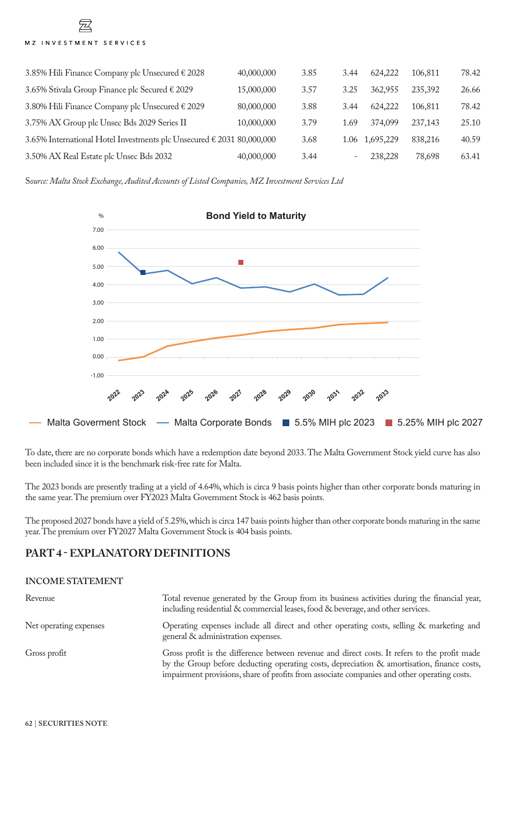## 宛 MZ INVESTMENT SERVICES

| 3.85% Hili Finance Company plc Unsecured € 2028                       | 40,000,000 | 3.85 | 3.44 | 624,222        | 106,811 | 78.42 |
|-----------------------------------------------------------------------|------------|------|------|----------------|---------|-------|
| 3.65% Stivala Group Finance plc Secured € 2029                        | 15,000,000 | 3.57 | 3.25 | 362,955        | 235,392 | 26.66 |
| 3.80% Hili Finance Company plc Unsecured € 2029                       | 80,000,000 | 3.88 | 3.44 | 624,222        | 106,811 | 78.42 |
| 3.75% AX Group plc Unsec Bds 2029 Series II                           | 10,000,000 | 3.79 | 1.69 | 374,099        | 237,143 | 25.10 |
| 3.65% International Hotel Investments plc Unsecured € 2031 80,000,000 |            | 3.68 |      | 1.06 1,695,229 | 838,216 | 40.59 |
| 3.50% AX Real Estate plc Unsec Bds 2032                               | 40,000,000 | 3.44 |      | 238,228        | 78,698  | 63.41 |

S*ource: Malta Stock Exchange, Audited Accounts of Listed Companies, MZ Investment Services Ltd*



To date, there are no corporate bonds which have a redemption date beyond 2033. The Malta Government Stock yield curve has also been included since it is the benchmark risk-free rate for Malta.

The 2023 bonds are presently trading at a yield of 4.64%, which is circa 9 basis points higher than other corporate bonds maturing in the same year. The premium over FY2023 Malta Government Stock is 462 basis points.

The proposed 2027 bonds have a yield of 5.25%, which is circa 147 basis points higher than other corporate bonds maturing in the same year. The premium over FY2027 Malta Government Stock is 404 basis points.

## **PART 4 - EXPLANATORY DEFINITIONS**

### **INCOME STATEMENT**

| Revenue                | Total revenue generated by the Group from its business activities during the financial year,<br>including residential & commercial leases, food & beverage, and other services.                                                                                                            |
|------------------------|--------------------------------------------------------------------------------------------------------------------------------------------------------------------------------------------------------------------------------------------------------------------------------------------|
| Net operating expenses | Operating expenses include all direct and other operating costs, selling & marketing and<br>general & administration expenses.                                                                                                                                                             |
| Gross profit           | Gross profit is the difference between revenue and direct costs. It refers to the profit made<br>by the Group before deducting operating costs, depreciation & amortisation, finance costs,<br>impairment provisions, share of profits from associate companies and other operating costs. |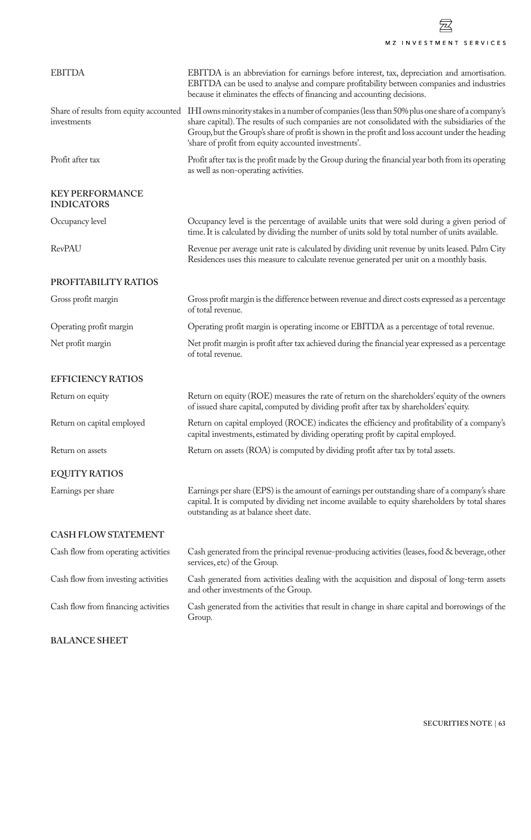

| <b>EBITDA</b>                               | EBITDA is an abbreviation for earnings before interest, tax, depreciation and amortisation.<br>EBITDA can be used to analyse and compare profitability between companies and industries<br>because it eliminates the effects of financing and accounting decisions.                                                                                                                                  |
|---------------------------------------------|------------------------------------------------------------------------------------------------------------------------------------------------------------------------------------------------------------------------------------------------------------------------------------------------------------------------------------------------------------------------------------------------------|
| investments                                 | Share of results from equity accounted IHI owns minority stakes in a number of companies (less than 50% plus one share of a company's<br>share capital). The results of such companies are not consolidated with the subsidiaries of the<br>Group, but the Group's share of profit is shown in the profit and loss account under the heading<br>'share of profit from equity accounted investments'. |
| Profit after tax                            | Profit after tax is the profit made by the Group during the financial year both from its operating<br>as well as non-operating activities.                                                                                                                                                                                                                                                           |
| <b>KEY PERFORMANCE</b><br><b>INDICATORS</b> |                                                                                                                                                                                                                                                                                                                                                                                                      |
| Occupancy level                             | Occupancy level is the percentage of available units that were sold during a given period of<br>time. It is calculated by dividing the number of units sold by total number of units available.                                                                                                                                                                                                      |
| <b>RevPAU</b>                               | Revenue per average unit rate is calculated by dividing unit revenue by units leased. Palm City<br>Residences uses this measure to calculate revenue generated per unit on a monthly basis.                                                                                                                                                                                                          |
| PROFITABILITY RATIOS                        |                                                                                                                                                                                                                                                                                                                                                                                                      |
| Gross profit margin                         | Gross profit margin is the difference between revenue and direct costs expressed as a percentage<br>of total revenue.                                                                                                                                                                                                                                                                                |
| Operating profit margin                     | Operating profit margin is operating income or EBITDA as a percentage of total revenue.                                                                                                                                                                                                                                                                                                              |
| Net profit margin                           | Net profit margin is profit after tax achieved during the financial year expressed as a percentage<br>of total revenue.                                                                                                                                                                                                                                                                              |
| <b>EFFICIENCY RATIOS</b>                    |                                                                                                                                                                                                                                                                                                                                                                                                      |
| Return on equity                            | Return on equity (ROE) measures the rate of return on the shareholders' equity of the owners<br>of issued share capital, computed by dividing profit after tax by shareholders' equity.                                                                                                                                                                                                              |
| Return on capital employed                  | Return on capital employed (ROCE) indicates the efficiency and profitability of a company's<br>capital investments, estimated by dividing operating profit by capital employed.                                                                                                                                                                                                                      |
| Return on assets                            | Return on assets (ROA) is computed by dividing profit after tax by total assets.                                                                                                                                                                                                                                                                                                                     |
| <b>EQUITY RATIOS</b>                        |                                                                                                                                                                                                                                                                                                                                                                                                      |
| Earnings per share                          | Earnings per share (EPS) is the amount of earnings per outstanding share of a company's share<br>capital. It is computed by dividing net income available to equity shareholders by total shares<br>outstanding as at balance sheet date.                                                                                                                                                            |
| <b>CASH FLOW STATEMENT</b>                  |                                                                                                                                                                                                                                                                                                                                                                                                      |
| Cash flow from operating activities         | Cash generated from the principal revenue-producing activities (leases, food & beverage, other<br>services, etc) of the Group.                                                                                                                                                                                                                                                                       |
| Cash flow from investing activities         | Cash generated from activities dealing with the acquisition and disposal of long-term assets<br>and other investments of the Group.                                                                                                                                                                                                                                                                  |
| Cash flow from financing activities         | Cash generated from the activities that result in change in share capital and borrowings of the<br>Group.                                                                                                                                                                                                                                                                                            |

### **BALANCE SHEET**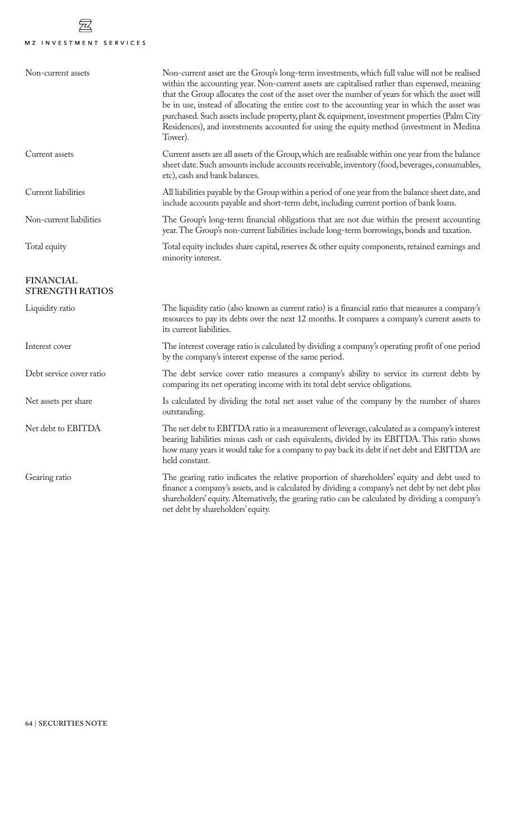## 晷 MZ INVESTMENT SERVICES

| Non-current assets                  | Non-current asset are the Group's long-term investments, which full value will not be realised<br>within the accounting year. Non-current assets are capitalised rather than expensed, meaning<br>that the Group allocates the cost of the asset over the number of years for which the asset will<br>be in use, instead of allocating the entire cost to the accounting year in which the asset was<br>purchased. Such assets include property, plant & equipment, investment properties (Palm City<br>Residences), and investments accounted for using the equity method (investment in Medina<br>Tower). |
|-------------------------------------|-------------------------------------------------------------------------------------------------------------------------------------------------------------------------------------------------------------------------------------------------------------------------------------------------------------------------------------------------------------------------------------------------------------------------------------------------------------------------------------------------------------------------------------------------------------------------------------------------------------|
| Current assets                      | Current assets are all assets of the Group, which are realisable within one year from the balance<br>sheet date. Such amounts include accounts receivable, inventory (food, beverages, consumables,<br>etc), cash and bank balances.                                                                                                                                                                                                                                                                                                                                                                        |
| Current liabilities                 | All liabilities payable by the Group within a period of one year from the balance sheet date, and<br>include accounts payable and short-term debt, including current portion of bank loans.                                                                                                                                                                                                                                                                                                                                                                                                                 |
| Non-current liabilities             | The Group's long-term financial obligations that are not due within the present accounting<br>year. The Group's non-current liabilities include long-term borrowings, bonds and taxation.                                                                                                                                                                                                                                                                                                                                                                                                                   |
| Total equity                        | Total equity includes share capital, reserves & other equity components, retained earnings and<br>minority interest.                                                                                                                                                                                                                                                                                                                                                                                                                                                                                        |
| FINANCIAL<br><b>STRENGTH RATIOS</b> |                                                                                                                                                                                                                                                                                                                                                                                                                                                                                                                                                                                                             |
| Liquidity ratio                     | The liquidity ratio (also known as current ratio) is a financial ratio that measures a company's<br>resources to pay its debts over the next 12 months. It compares a company's current assets to<br>its current liabilities.                                                                                                                                                                                                                                                                                                                                                                               |
| Interest cover                      | The interest coverage ratio is calculated by dividing a company's operating profit of one period<br>by the company's interest expense of the same period.                                                                                                                                                                                                                                                                                                                                                                                                                                                   |
| Debt service cover ratio            | The debt service cover ratio measures a company's ability to service its current debts by<br>comparing its net operating income with its total debt service obligations.                                                                                                                                                                                                                                                                                                                                                                                                                                    |
| Net assets per share                | Is calculated by dividing the total net asset value of the company by the number of shares<br>outstanding.                                                                                                                                                                                                                                                                                                                                                                                                                                                                                                  |
| Net debt to EBITDA                  | The net debt to EBITDA ratio is a measurement of leverage, calculated as a company's interest<br>bearing liabilities minus cash or cash equivalents, divided by its EBITDA. This ratio shows<br>how many years it would take for a company to pay back its debt if net debt and EBITDA are<br>held constant.                                                                                                                                                                                                                                                                                                |
| Gearing ratio                       | The gearing ratio indicates the relative proportion of shareholders' equity and debt used to<br>finance a company's assets, and is calculated by dividing a company's net debt by net debt plus<br>shareholders' equity. Alternatively, the gearing ratio can be calculated by dividing a company's<br>net debt by shareholders' equity.                                                                                                                                                                                                                                                                    |